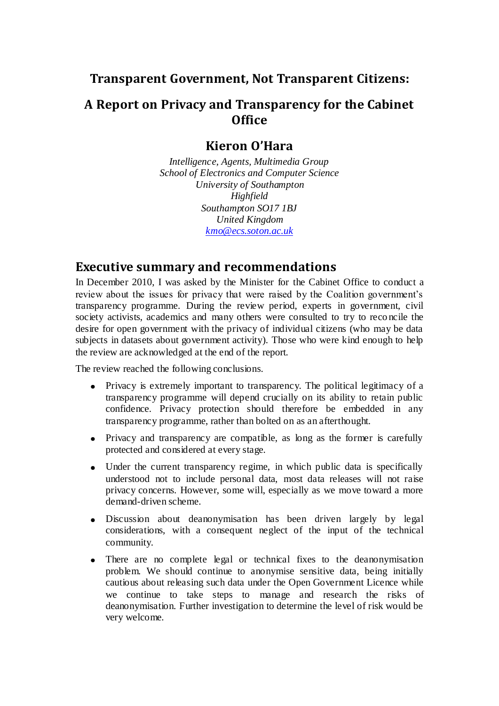## **Transparent Government, Not Transparent Citizens:**

# **A Report on Privacy and Transparency for the Cabinet Office**

## **Kieron O'Hara**

*Intelligence, Agents, Multimedia Group School of Electronics and Computer Science University of Southampton Highfield Southampton SO17 1BJ United Kingdom [kmo@ecs.soton.ac.uk](mailto:kmo@ecs.soton.ac.uk)*

### **Executive summary and recommendations**

In December 2010, I was asked by the Minister for the Cabinet Office to conduct a review about the issues for privacy that were raised by the Coalition government's transparency programme. During the review period, experts in government, civil society activists, academics and many others were consulted to try to reco ncile the desire for open government with the privacy of individual citizens (who may be data subjects in datasets about government activity). Those who were kind enough to help the review are acknowledged at the end of the report.

The review reached the following conclusions.

- Privacy is extremely important to transparency. The political legitimacy of a  $\bullet$ transparency programme will depend crucially on its ability to retain public confidence. Privacy protection should therefore be embedded in any transparency programme, rather than bolted on as an afterthought.
- $\bullet$ Privacy and transparency are compatible, as long as the former is carefully protected and considered at every stage.
- Under the current transparency regime, in which public data is specifically understood not to include personal data, most data releases will not raise privacy concerns. However, some will, especially as we move toward a more demand-driven scheme.
- Discussion about deanonymisation has been driven largely by legal considerations, with a consequent neglect of the input of the technical community.
- There are no complete legal or technical fixes to the deanonymisation problem. We should continue to anonymise sensitive data, being initially cautious about releasing such data under the Open Government Licence while we continue to take steps to manage and research the risks of deanonymisation. Further investigation to determine the level of risk would be very welcome.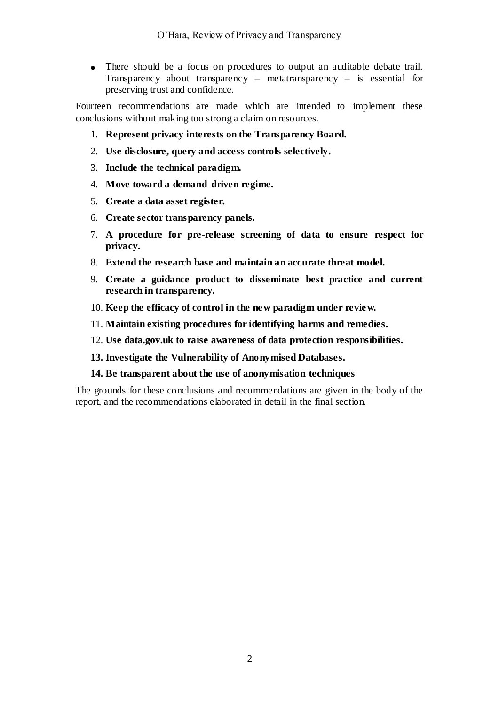There should be a focus on procedures to output an auditable debate trail. Transparency about transparency – metatransparency – is essential for preserving trust and confidence.

Fourteen recommendations are made which are intended to implement these conclusions without making too strong a claim on resources.

- 1. **Represent privacy interests on the Transparency Board.**
- 2. **Use disclosure, query and access controls selectively.**
- 3. **Include the technical paradigm.**
- 4. **Move toward a demand-driven regime.**
- 5. **Create a data asset register.**
- 6. **Create sector transparency panels.**
- 7. **A procedure for pre-release screening of data to ensure respect for privacy.**
- 8. **Extend the research base and maintain an accurate threat model.**
- 9. **Create a guidance product to disseminate best practice and current research in transparency.**
- 10. **Keep the efficacy of control in the new paradigm under review.**
- 11. **Maintain existing procedures for identifying harms and remedies.**
- 12. **Use data.gov.uk to raise awareness of data protection responsibilities.**
- **13. Investigate the Vulnerability of Anonymised Databases.**
- **14. Be transparent about the use of anonymisation techniques**

The grounds for these conclusions and recommendations are given in the body of the report, and the recommendations elaborated in detail in the final section.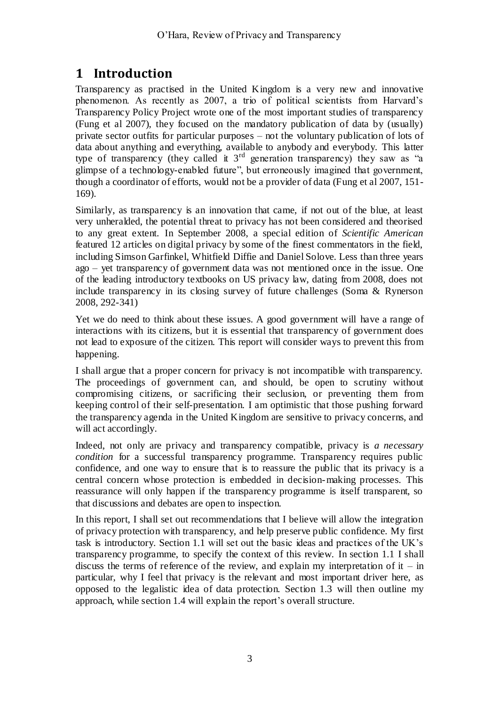# **1 Introduction**

Transparency as practised in the United Kingdom is a very new and innovative phenomenon. As recently as 2007, a trio of political scientists from Harvard's Transparency Policy Project wrote one of the most important studies of transparency (Fung et al 2007), they focused on the mandatory publication of data by (usually) private sector outfits for particular purposes – not the voluntary publication of lots of data about anything and everything, available to anybody and everybody. This latter type of transparency (they called it  $3<sup>rd</sup>$  generation transparency) they saw as "a glimpse of a technology-enabled future", but erroneously imagined that government, though a coordinator of efforts, would not be a provider of data (Fung et al 2007, 151- 169).

Similarly, as transparency is an innovation that came, if not out of the blue, at least very unheralded, the potential threat to privacy has not been considered and theorised to any great extent. In September 2008, a special edition of *Scientific American* featured 12 articles on digital privacy by some of the finest commentators in the field, including Simson Garfinkel, Whitfield Diffie and Daniel Solove. Less than three years ago – yet transparency of government data was not mentioned once in the issue. One of the leading introductory textbooks on US privacy law, dating from 2008, does not include transparency in its closing survey of future challenges (Soma & Rynerson 2008, 292-341)

Yet we do need to think about these issues. A good government will have a range of interactions with its citizens, but it is essential that transparency of government does not lead to exposure of the citizen. This report will consider ways to prevent this from happening.

I shall argue that a proper concern for privacy is not incompatible with transparency. The proceedings of government can, and should, be open to scrutiny without compromising citizens, or sacrificing their seclusion, or preventing them from keeping control of their self-presentation. I am optimistic that those pushing forward the transparency agenda in the United Kingdom are sensitive to privacy concerns, and will act accordingly.

Indeed, not only are privacy and transparency compatible, privacy is *a necessary condition* for a successful transparency programme. Transparency requires public confidence, and one way to ensure that is to reassure the public that its privacy is a central concern whose protection is embedded in decision-making processes. This reassurance will only happen if the transparency programme is itself transparent, so that discussions and debates are open to inspection.

In this report, I shall set out recommendations that I believe will allow the integration of privacy protection with transparency, and help preserve public confidence. My first task is introductory. Section [1.1](#page-3-0) will set out the basic ideas and practices of the UK's transparency programme, to specify the context of this review. In section [1.1](#page-3-0) I shall discuss the terms of reference of the review, and explain my interpretation of it – in particular, why I feel that privacy is the relevant and most important driver here, as opposed to the legalistic idea of data protection. Section [1.3](#page-11-0) will then outline my approach, while sectio[n 1.4](#page-15-0) will explain the report's overall structure.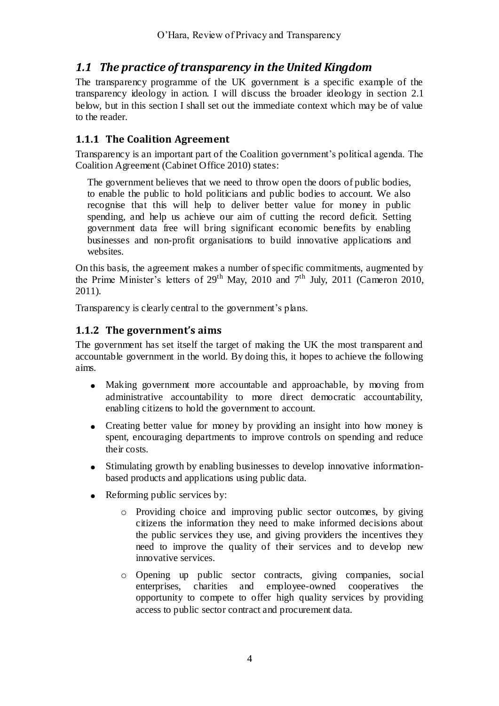# <span id="page-3-0"></span>*1.1 The practice of transparency in the United Kingdom*

The transparency programme of the UK government is a specific example of the transparency ideology in action. I will discuss the broader ideology in section [2.1](#page-16-0) below, but in this section I shall set out the immediate context which may be of value to the reader.

### **1.1.1 The Coalition Agreement**

Transparency is an important part of the Coalition government's political agenda. The Coalition Agreement (Cabinet Office 2010) states:

The government believes that we need to throw open the doors of public bodies, to enable the public to hold politicians and public bodies to account. We also recognise that this will help to deliver better value for money in public spending, and help us achieve our aim of cutting the record deficit. Setting government data free will bring significant economic benefits by enabling businesses and non-profit organisations to build innovative applications and websites.

On this basis, the agreement makes a number of specific commitments, augmented by the Prime Minister's letters of  $29<sup>th</sup>$  May, 2010 and  $7<sup>th</sup>$  July, 2011 (Cameron 2010, 2011).

Transparency is clearly central to the government's plans.

#### **1.1.2 The government's aims**

The government has set itself the target of making the UK the most transparent and accountable government in the world. By doing this, it hopes to achieve the following aims.

- Making government more accountable and approachable, by moving from administrative accountability to more direct democratic accountability, enabling citizens to hold the government to account.
- Creating better value for money by providing an insight into how money is  $\bullet$ spent, encouraging departments to improve controls on spending and reduce their costs.
- $\bullet$ Stimulating growth by enabling businesses to develop innovative informationbased products and applications using public data.
- Reforming public services by:  $\bullet$ 
	- o Providing choice and improving public sector outcomes, by giving citizens the information they need to make informed decisions about the public services they use, and giving providers the incentives they need to improve the quality of their services and to develop new innovative services.
	- o Opening up public sector contracts, giving companies, social enterprises, charities and employee-owned cooperatives the opportunity to compete to offer high quality services by providing access to public sector contract and procurement data.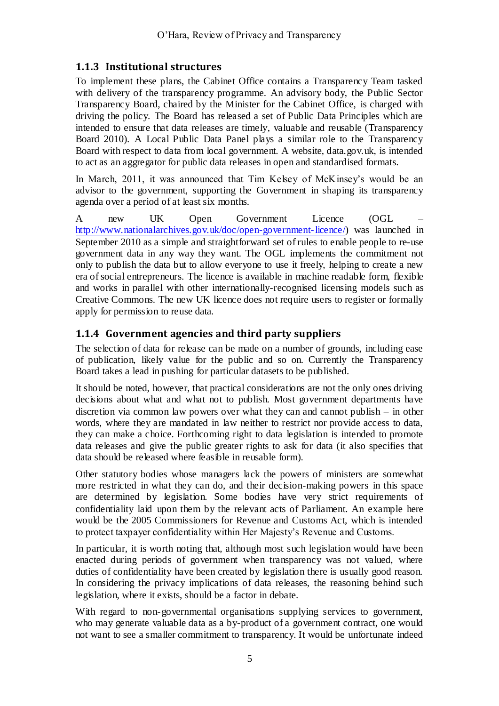### **1.1.3 Institutional structures**

To implement these plans, the Cabinet Office contains a Transparency Team tasked with delivery of the transparency programme. An advisory body, the Public Sector Transparency Board, chaired by the Minister for the Cabinet Office, is charged with driving the policy. The Board has released a set of Public Data Principles which are intended to ensure that data releases are timely, valuable and reusable (Transparency Board 2010). A Local Public Data Panel plays a similar role to the Transparency Board with respect to data from local government. A website, data.gov.uk, is intended to act as an aggregator for public data releases in open and standardised formats.

In March, 2011, it was announced that Tim Kelsey of McKinsey's would be an advisor to the government, supporting the Government in shaping its transparency agenda over a period of at least six months.

A new UK Open Government Licence (OGL – [http://www.nationalarchives.gov.uk/doc/open-government-licence/\)](http://www.nationalarchives.gov.uk/doc/open-government-licence/) was launched in September 2010 as a simple and straightforward set of rules to enable people to re-use government data in any way they want. The OGL implements the commitment not only to publish the data but to allow everyone to use it freely, helping to create a new era of social entrepreneurs. The licence is available in machine readable form, flexible and works in parallel with other internationally-recognised licensing models such as Creative Commons. The new UK licence does not require users to register or formally apply for permission to reuse data.

#### **1.1.4 Government agencies and third party suppliers**

The selection of data for release can be made on a number of grounds, including ease of publication, likely value for the public and so on. Currently the Transparency Board takes a lead in pushing for particular datasets to be published.

It should be noted, however, that practical considerations are not the only ones driving decisions about what and what not to publish. Most government departments have discretion via common law powers over what they can and cannot publish – in other words, where they are mandated in law neither to restrict nor provide access to data, they can make a choice. Forthcoming right to data legislation is intended to promote data releases and give the public greater rights to ask for data (it also specifies that data should be released where feasible in reusable form).

Other statutory bodies whose managers lack the powers of ministers are somewhat more restricted in what they can do, and their decision-making powers in this space are determined by legislation. Some bodies have very strict requirements of confidentiality laid upon them by the relevant acts of Parliament. An example here would be the 2005 Commissioners for Revenue and Customs Act, which is intended to protect taxpayer confidentiality within Her Majesty's Revenue and Customs.

In particular, it is worth noting that, although most such legislation would have been enacted during periods of government when transparency was not valued, where duties of confidentiality have been created by legislation there is usually good reason. In considering the privacy implications of data releases, the reasoning behind such legislation, where it exists, should be a factor in debate.

With regard to non-governmental organisations supplying services to government, who may generate valuable data as a by-product of a government contract, one would not want to see a smaller commitment to transparency. It would be unfortunate indeed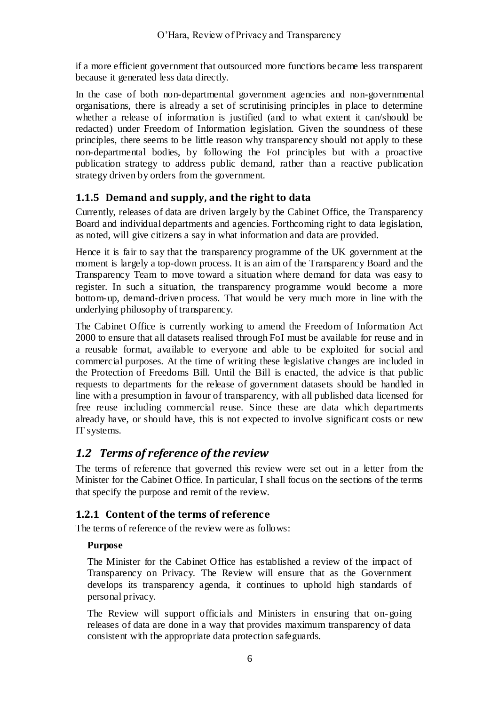if a more efficient government that outsourced more functions became less transparent because it generated less data directly.

In the case of both non-departmental government agencies and non-governmental organisations, there is already a set of scrutinising principles in place to determine whether a release of information is justified (and to what extent it can/should be redacted) under Freedom of Information legislation. Given the soundness of these principles, there seems to be little reason why transparency should not apply to these non-departmental bodies, by following the FoI principles but with a proactive publication strategy to address public demand, rather than a reactive publication strategy driven by orders from the government.

### **1.1.5 Demand and supply, and the right to data**

Currently, releases of data are driven largely by the Cabinet Office, the Transparency Board and individual departments and agencies. Forthcoming right to data legislation, as noted, will give citizens a say in what information and data are provided.

Hence it is fair to say that the transparency programme of the UK government at the moment is largely a top-down process. It is an aim of the Transparency Board and the Transparency Team to move toward a situation where demand for data was easy to register. In such a situation, the transparency programme would become a more bottom-up, demand-driven process. That would be very much more in line with the underlying philosophy of transparency.

The Cabinet Office is currently working to amend the Freedom of Information Act 2000 to ensure that all datasets realised through FoI must be available for reuse and in a reusable format, available to everyone and able to be exploited for social and commercial purposes. At the time of writing these legislative changes are included in the Protection of Freedoms Bill. Until the Bill is enacted, the advice is that public requests to departments for the release of government datasets should be handled in line with a presumption in favour of transparency, with all published data licensed for free reuse including commercial reuse. Since these are data which departments already have, or should have, this is not expected to involve significant costs or new IT systems.

### *1.2 Terms of reference of the review*

The terms of reference that governed this review were set out in a letter from the Minister for the Cabinet Office. In particular, I shall focus on the sections of the terms that specify the purpose and remit of the review.

#### **1.2.1 Content of the terms of reference**

The terms of reference of the review were as follows:

#### **Purpose**

The Minister for the Cabinet Office has established a review of the impact of Transparency on Privacy. The Review will ensure that as the Government develops its transparency agenda, it continues to uphold high standards of personal privacy.

The Review will support officials and Ministers in ensuring that on-going releases of data are done in a way that provides maximum transparency of data consistent with the appropriate data protection safeguards.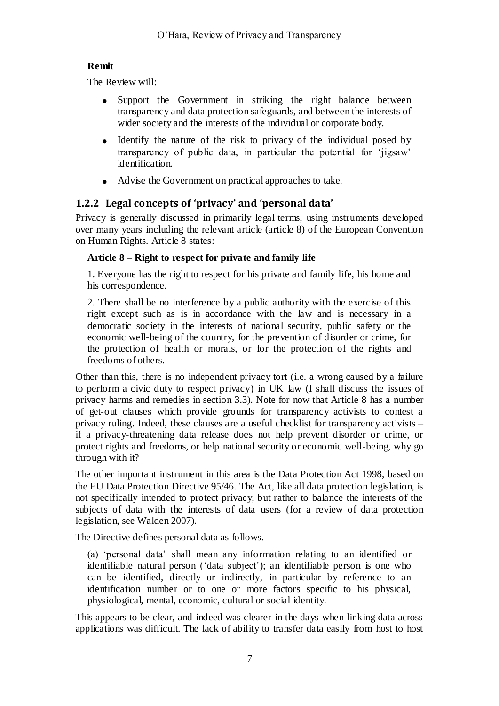#### **Remit**

The Review will:

- Support the Government in striking the right balance between transparency and data protection safeguards, and between the interests of wider society and the interests of the individual or corporate body.
- Identify the nature of the risk to privacy of the individual posed by transparency of public data, in particular the potential for ‗jigsaw' identification.
- Advise the Government on practical approaches to take.

### <span id="page-6-0"></span>**1.2.2 Legal concepts of 'privacy' and 'personal data'**

Privacy is generally discussed in primarily legal terms, using instruments developed over many years including the relevant article (article 8) of the European Convention on Human Rights. Article 8 states:

### **Article 8 – Right to respect for private and family life**

1. Everyone has the right to respect for his private and family life, his home and his correspondence.

2. There shall be no interference by a public authority with the exercise of this right except such as is in accordance with the law and is necessary in a democratic society in the interests of national security, public safety or the economic well-being of the country, for the prevention of disorder or crime, for the protection of health or morals, or for the protection of the rights and freedoms of others.

Other than this, there is no independent privacy tort (i.e. a wrong caused by a failure to perform a civic duty to respect privacy) in UK law (I shall discuss the issues of privacy harms and remedies in section [3.3\)](#page-33-0). Note for now that Article 8 has a number of get-out clauses which provide grounds for transparency activists to contest a privacy ruling. Indeed, these clauses are a useful checklist for transparency activists – if a privacy-threatening data release does not help prevent disorder or crime, or protect rights and freedoms, or help national security or economic well-being, why go through with it?

The other important instrument in this area is the Data Protection Act 1998, based on the EU Data Protection Directive 95/46. The Act, like all data protection legislation, is not specifically intended to protect privacy, but rather to balance the interests of the subjects of data with the interests of data users (for a review of data protection legislation, see Walden 2007).

The Directive defines personal data as follows.

(a) 'personal data' shall mean any information relating to an identified or identifiable natural person (‗data subject'); an identifiable person is one who can be identified, directly or indirectly, in particular by reference to an identification number or to one or more factors specific to his physical, physiological, mental, economic, cultural or social identity.

This appears to be clear, and indeed was clearer in the days when linking data across applications was difficult. The lack of ability to transfer data easily from host to host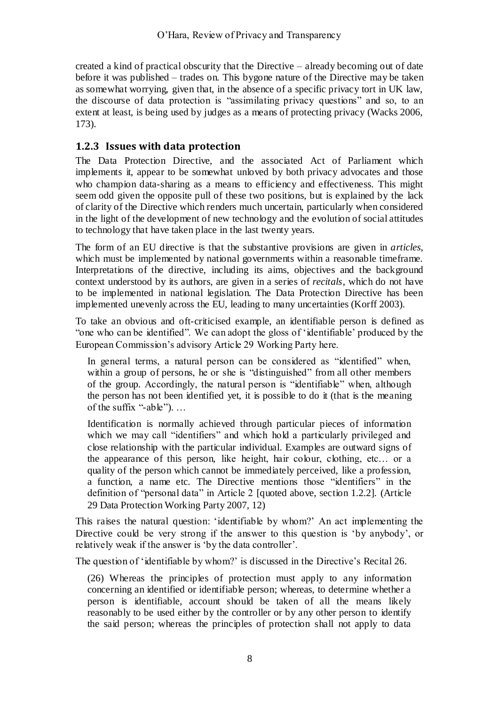created a kind of practical obscurity that the Directive – already becoming out of date before it was published – trades on. This bygone nature of the Directive may be taken as somewhat worrying, given that, in the absence of a specific privacy tort in UK law, the discourse of data protection is "assimilating privacy questions" and so, to an extent at least, is being used by judges as a means of protecting privacy (Wacks 2006, 173).

### **1.2.3 Issues with data protection**

The Data Protection Directive, and the associated Act of Parliament which implements it, appear to be somewhat unloved by both privacy advocates and those who champion data-sharing as a means to efficiency and effectiveness. This might seem odd given the opposite pull of these two positions, but is explained by the lack of clarity of the Directive which renders much uncertain, particularly when considered in the light of the development of new technology and the evolution of social attitudes to technology that have taken place in the last twenty years.

The form of an EU directive is that the substantive provisions are given in *articles*, which must be implemented by national governments within a reasonable timeframe. Interpretations of the directive, including its aims, objectives and the background context understood by its authors, are given in a series of *recitals*, which do not have to be implemented in national legislation. The Data Protection Directive has been implemented unevenly across the EU, leading to many uncertainties (Korff 2003).

To take an obvious and oft-criticised example, an identifiable person is defined as "one who can be identified". We can adopt the gloss of 'identifiable' produced by the European Commission's advisory Article 29 Working Party here.

In general terms, a natural person can be considered as "identified" when, within a group of persons, he or she is "distinguished" from all other members of the group. Accordingly, the natural person is "identifiable" when, although the person has not been identified yet, it is possible to do it (that is the meaning of the suffix "-able").  $\dots$ 

Identification is normally achieved through particular pieces of information which we may call "identifiers" and which hold a particularly privileged and close relationship with the particular individual. Examples are outward signs of the appearance of this person, like height, hair colour, clothing, etc… or a quality of the person which cannot be immediately perceived, like a profession, a function, a name etc. The Directive mentions those "identifiers" in the definition of "personal data" in Article 2 [quoted above, section [1.2.2\]](#page-6-0). (Article 29 Data Protection Working Party 2007, 12)

This raises the natural question: 'identifiable by whom?' An act implementing the Directive could be very strong if the answer to this question is 'by anybody', or relatively weak if the answer is 'by the data controller'.

The question of 'identifiable by whom?' is discussed in the Directive's Recital 26.

(26) Whereas the principles of protection must apply to any information concerning an identified or identifiable person; whereas, to determine whether a person is identifiable, account should be taken of all the means likely reasonably to be used either by the controller or by any other person to identify the said person; whereas the principles of protection shall not apply to data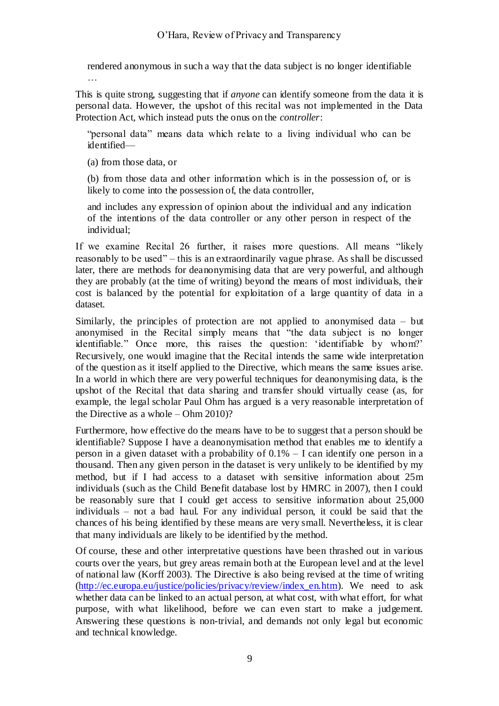rendered anonymous in such a way that the data subject is no longer identifiable

…

This is quite strong, suggesting that if *anyone* can identify someone from the data it is personal data. However, the upshot of this recital was not implemented in the Data Protection Act, which instead puts the onus on the *controller*:

"personal data" means data which relate to a living individual who can be identified—

(a) from those data, or

(b) from those data and other information which is in the possession of, or is likely to come into the possession of, the data controller,

and includes any expression of opinion about the individual and any indication of the intentions of the data controller or any other person in respect of the individual;

If we examine Recital 26 further, it raises more questions. All means "likely reasonably to be used" – this is an extraordinarily vague phrase. As shall be discussed later, there are methods for deanonymising data that are very powerful, and although they are probably (at the time of writing) beyond the means of most individuals, their cost is balanced by the potential for exploitation of a large quantity of data in a dataset.

Similarly, the principles of protection are not applied to anonymised data – but anonymised in the Recital simply means that "the data subject is no longer identifiable." Once more, this raises the question: 'identifiable by whom?' Recursively, one would imagine that the Recital intends the same wide interpretation of the question as it itself applied to the Directive, which means the same issues arise. In a world in which there are very powerful techniques for deanonymising data, is the upshot of the Recital that data sharing and transfer should virtually cease (as, for example, the legal scholar Paul Ohm has argued is a very reasonable interpretation of the Directive as a whole – Ohm 2010)?

Furthermore, how effective do the means have to be to suggest that a person should be identifiable? Suppose I have a deanonymisation method that enables me to identify a person in a given dataset with a probability of 0.1% – I can identify one person in a thousand. Then any given person in the dataset is very unlikely to be identified by my method, but if I had access to a dataset with sensitive information about 25m individuals (such as the Child Benefit database lost by HMRC in 2007), then I could be reasonably sure that I could get access to sensitive information about 25,000 individuals – not a bad haul. For any individual person, it could be said that the chances of his being identified by these means are very small. Nevertheless, it is clear that many individuals are likely to be identified by the method.

Of course, these and other interpretative questions have been thrashed out in various courts over the years, but grey areas remain both at the European level and at the level of national law (Korff 2003). The Directive is also being revised at the time of writing [\(http://ec.europa.eu/justice/policies/privacy/review/index\\_en.htm\)](http://ec.europa.eu/justice/policies/privacy/review/index_en.htm). We need to ask whether data can be linked to an actual person, at what cost, with what effort, for what purpose, with what likelihood, before we can even start to make a judgement. Answering these questions is non-trivial, and demands not only legal but economic and technical knowledge.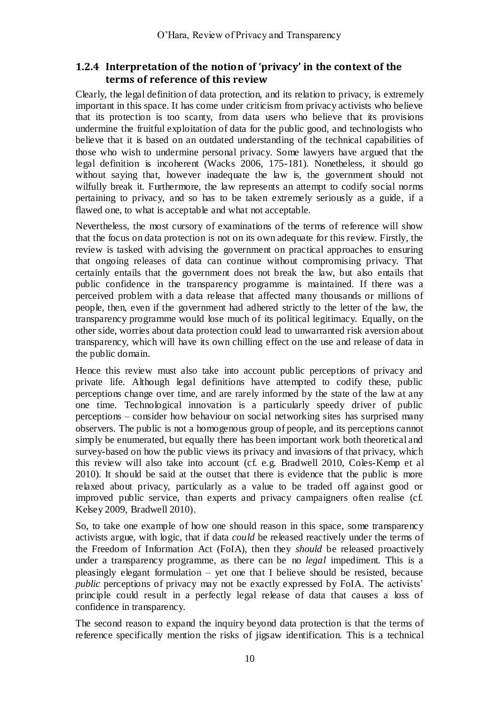#### <span id="page-9-0"></span>**1.2.4 Interpretation of the notion of 'privacy' in the context of the terms of reference of this review**

Clearly, the legal definition of data protection, and its relation to privacy, is extremely important in this space. It has come under criticism from privacy activists who believe that its protection is too scanty, from data users who believe that its provisions undermine the fruitful exploitation of data for the public good, and technologists who believe that it is based on an outdated understanding of the technical capabilities of those who wish to undermine personal privacy. Some lawyers have argued that the legal definition is incoherent (Wacks 2006, 175-181). Nonetheless, it should go without saying that, however inadequate the law is, the government should not wilfully break it. Furthermore, the law represents an attempt to codify social norms pertaining to privacy, and so has to be taken extremely seriously as a guide, if a flawed one, to what is acceptable and what not acceptable.

Nevertheless, the most cursory of examinations of the terms of reference will show that the focus on data protection is not on its own adequate for this review. Firstly, the review is tasked with advising the government on practical approaches to ensuring that ongoing releases of data can continue without compromising privacy. That certainly entails that the government does not break the law, but also entails that public confidence in the transparency programme is maintained. If there was a perceived problem with a data release that affected many thousands or millions of people, then, even if the government had adhered strictly to the letter of the law, the transparency programme would lose much of its political legitimacy. Equally, on the other side, worries about data protection could lead to unwarranted risk aversion about transparency, which will have its own chilling effect on the use and release of data in the public domain.

Hence this review must also take into account public perceptions of privacy and private life. Although legal definitions have attempted to codify these, public perceptions change over time, and are rarely informed by the state of the law at any one time. Technological innovation is a particularly speedy driver of public perceptions – consider how behaviour on social networking sites has surprised many observers. The public is not a homogenous group of people, and its perceptions cannot simply be enumerated, but equally there has been important work both theoretical and survey-based on how the public views its privacy and invasions of that privacy, which this review will also take into account (cf. e.g. Bradwell 2010, Coles-Kemp et al 2010). It should be said at the outset that there is evidence that the public is more relaxed about privacy, particularly as a value to be traded off against good or improved public service, than experts and privacy campaigners often realise (cf. Kelsey 2009, Bradwell 2010).

So, to take one example of how one should reason in this space, some transparency activists argue, with logic, that if data *could* be released reactively under the terms of the Freedom of Information Act (FoIA), then they *should* be released proactively under a transparency programme, as there can be no *legal* impediment. This is a pleasingly elegant formulation – yet one that I believe should be resisted, because *public* perceptions of privacy may not be exactly expressed by FoIA. The activists' principle could result in a perfectly legal release of data that causes a loss of confidence in transparency.

The second reason to expand the inquiry beyond data protection is that the terms of reference specifically mention the risks of jigsaw identification. This is a technical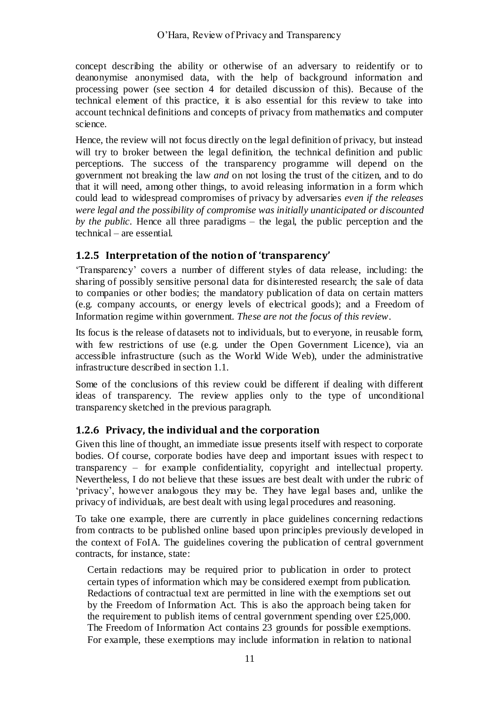concept describing the ability or otherwise of an adversary to reidentify or to deanonymise anonymised data, with the help of background information and processing power (see section [4](#page-36-0) for detailed discussion of this). Because of the technical element of this practice, it is also essential for this review to take into account technical definitions and concepts of privacy from mathematics and computer science.

Hence, the review will not focus directly on the legal definition of privacy, but instead will try to broker between the legal definition, the technical definition and public perceptions. The success of the transparency programme will depend on the government not breaking the law *and* on not losing the trust of the citizen, and to do that it will need, among other things, to avoid releasing information in a form which could lead to widespread compromises of privacy by adversaries *even if the releases were legal and the possibility of compromise was initially unanticipated or discounted by the public*. Hence all three paradigms – the legal, the public perception and the technical – are essential.

### **1.2.5 Interpretation of the notion of 'transparency'**

‗Transparency' covers a number of different styles of data release, including: the sharing of possibly sensitive personal data for disinterested research; the sale of data to companies or other bodies; the mandatory publication of data on certain matters (e.g. company accounts, or energy levels of electrical goods); and a Freedom of Information regime within government. *These are not the focus of this review*.

Its focus is the release of datasets not to individuals, but to everyone, in reusable form, with few restrictions of use (e.g. under the Open Government Licence), via an accessible infrastructure (such as the World Wide Web), under the administrative infrastructure described in section [1.1.](#page-3-0)

Some of the conclusions of this review could be different if dealing with different ideas of transparency. The review applies only to the type of unconditional transparency sketched in the previous paragraph.

### **1.2.6 Privacy, the individual and the corporation**

Given this line of thought, an immediate issue presents itself with respect to corporate bodies. Of course, corporate bodies have deep and important issues with respec t to transparency – for example confidentiality, copyright and intellectual property. Nevertheless, I do not believe that these issues are best dealt with under the rubric of ‗privacy', however analogous they may be. They have legal bases and, unlike the privacy of individuals, are best dealt with using legal procedures and reasoning.

To take one example, there are currently in place guidelines concerning redactions from contracts to be published online based upon principles previously developed in the context of FoIA. The guidelines covering the publication of central government contracts, for instance, state:

Certain redactions may be required prior to publication in order to protect certain types of information which may be considered exempt from publication. Redactions of contractual text are permitted in line with the exemptions set out by the Freedom of Information Act. This is also the approach being taken for the requirement to publish items of central government spending over £25,000. The Freedom of Information Act contains 23 grounds for possible exemptions. For example, these exemptions may include information in relation to national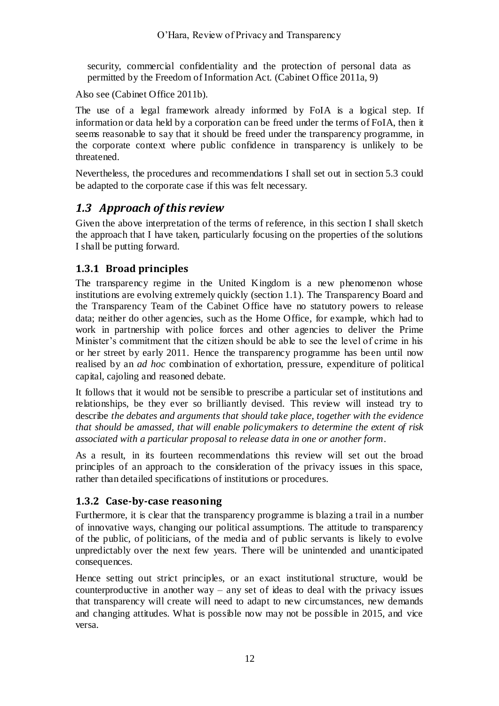security, commercial confidentiality and the protection of personal data as permitted by the Freedom of Information Act. (Cabinet Office 2011a, 9)

Also see (Cabinet Office 2011b).

The use of a legal framework already informed by FoIA is a logical step. If information or data held by a corporation can be freed under the terms of FoIA, then it seems reasonable to say that it should be freed under the transparency programme, in the corporate context where public confidence in transparency is unlikely to be threatened.

Nevertheless, the procedures and recommendations I shall set out in section [5.3](#page-56-0) could be adapted to the corporate case if this was felt necessary.

### <span id="page-11-0"></span>*1.3 Approach of this review*

Given the above interpretation of the terms of reference, in this section I shall sketch the approach that I have taken, particularly focusing on the properties of the solutions I shall be putting forward.

### **1.3.1 Broad principles**

The transparency regime in the United Kingdom is a new phenomenon whose institutions are evolving extremely quickly (section [1.1\)](#page-3-0). The Transparency Board and the Transparency Team of the Cabinet Office have no statutory powers to release data; neither do other agencies, such as the Home Office, for example, which had to work in partnership with police forces and other agencies to deliver the Prime Minister's commitment that the citizen should be able to see the level of crime in his or her street by early 2011. Hence the transparency programme has been until now realised by an *ad hoc* combination of exhortation, pressure, expenditure of political capital, cajoling and reasoned debate.

It follows that it would not be sensible to prescribe a particular set of institutions and relationships, be they ever so brilliantly devised. This review will instead try to describe *the debates and arguments that should take place, together with the evidence that should be amassed, that will enable policymakers to determine the extent of risk associated with a particular proposal to release data in one or another form*.

As a result, in its fourteen recommendations this review will set out the broad principles of an approach to the consideration of the privacy issues in this space, rather than detailed specifications of institutions or procedures.

#### **1.3.2 Case-by-case reasoning**

Furthermore, it is clear that the transparency programme is blazing a trail in a number of innovative ways, changing our political assumptions. The attitude to transparency of the public, of politicians, of the media and of public servants is likely to evolve unpredictably over the next few years. There will be unintended and unanticipated consequences.

Hence setting out strict principles, or an exact institutional structure, would be counterproductive in another way – any set of ideas to deal with the privacy issues that transparency will create will need to adapt to new circumstances, new demands and changing attitudes. What is possible now may not be possible in 2015, and vice versa.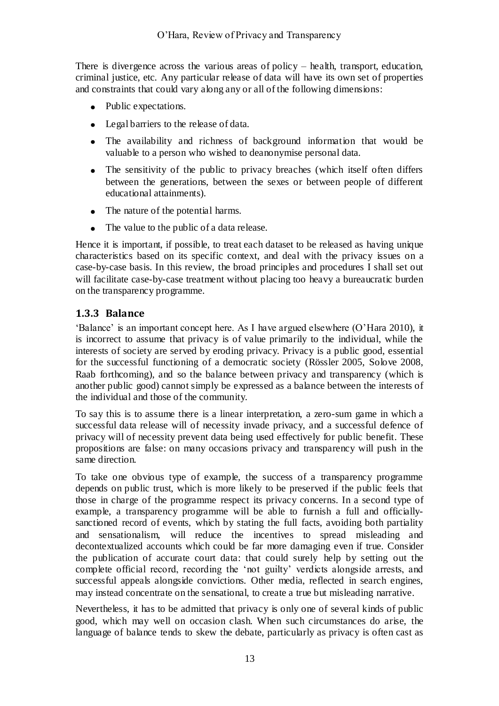There is divergence across the various areas of policy – health, transport, education, criminal justice, etc. Any particular release of data will have its own set of properties and constraints that could vary along any or all of the following dimensions:

- Public expectations.
- Legal barriers to the release of data.
- The availability and richness of background information that would be valuable to a person who wished to deanonymise personal data.
- The sensitivity of the public to privacy breaches (which itself often differs between the generations, between the sexes or between people of different educational attainments).
- The nature of the potential harms.
- The value to the public of a data release.

Hence it is important, if possible, to treat each dataset to be released as having unique characteristics based on its specific context, and deal with the privacy issues on a case-by-case basis. In this review, the broad principles and procedures I shall set out will facilitate case-by-case treatment without placing too heavy a bureaucratic burden on the transparency programme.

### **1.3.3 Balance**

‗Balance' is an important concept here. As I have argued elsewhere (O'Hara 2010), it is incorrect to assume that privacy is of value primarily to the individual, while the interests of society are served by eroding privacy. Privacy is a public good, essential for the successful functioning of a democratic society (Rössler 2005, Solove 2008, Raab forthcoming), and so the balance between privacy and transparency (which is another public good) cannot simply be expressed as a balance between the interests of the individual and those of the community.

To say this is to assume there is a linear interpretation, a zero-sum game in which a successful data release will of necessity invade privacy, and a successful defence of privacy will of necessity prevent data being used effectively for public benefit. These propositions are false: on many occasions privacy and transparency will push in the same direction.

To take one obvious type of example, the success of a transparency programme depends on public trust, which is more likely to be preserved if the public feels that those in charge of the programme respect its privacy concerns. In a second type of example, a transparency programme will be able to furnish a full and officiallysanctioned record of events, which by stating the full facts, avoiding both partiality and sensationalism, will reduce the incentives to spread misleading and decontextualized accounts which could be far more damaging even if true. Consider the publication of accurate court data: that could surely help by setting out the complete official record, recording the 'not guilty' verdicts alongside arrests, and successful appeals alongside convictions. Other media, reflected in search engines, may instead concentrate on the sensational, to create a true but misleading narrative.

Nevertheless, it has to be admitted that privacy is only one of several kinds of public good, which may well on occasion clash. When such circumstances do arise, the language of balance tends to skew the debate, particularly as privacy is often cast as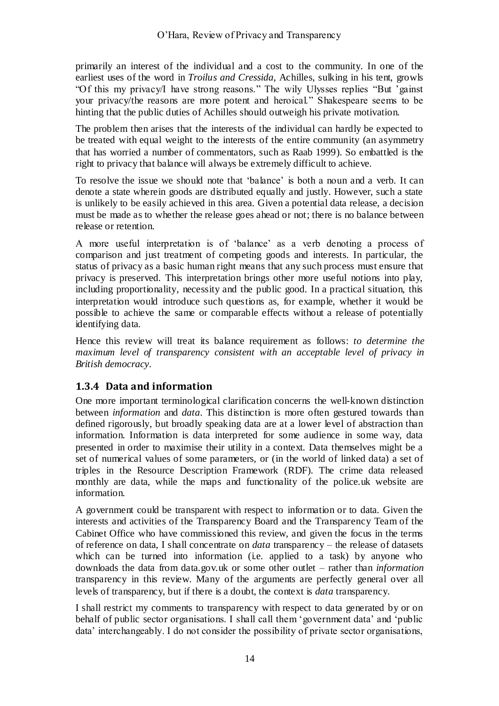primarily an interest of the individual and a cost to the community. In one of the earliest uses of the word in *Troilus and Cressida*, Achilles, sulking in his tent, growls "Of this my privacy/I have strong reasons." The wily Ulysses replies "But 'gainst your privacy/the reasons are more potent and heroical." Shakespeare seems to be hinting that the public duties of Achilles should outweigh his private motivation.

The problem then arises that the interests of the individual can hardly be expected to be treated with equal weight to the interests of the entire community (an asymmetry that has worried a number of commentators, such as Raab 1999). So embattled is the right to privacy that balance will always be extremely difficult to achieve.

To resolve the issue we should note that 'balance' is both a noun and a verb. It can denote a state wherein goods are distributed equally and justly. However, such a state is unlikely to be easily achieved in this area. Given a potential data release, a decision must be made as to whether the release goes ahead or not; there is no balance between release or retention.

A more useful interpretation is of 'balance' as a verb denoting a process of comparison and just treatment of competing goods and interests. In particular, the status of privacy as a basic human right means that any such process must ensure that privacy is preserved. This interpretation brings other more useful notions into play, including proportionality, necessity and the public good. In a practical situation, this interpretation would introduce such questions as, for example, whether it would be possible to achieve the same or comparable effects without a release of potentially identifying data.

Hence this review will treat its balance requirement as follows: *to determine the maximum level of transparency consistent with an acceptable level of privacy in British democracy*.

### **1.3.4 Data and information**

One more important terminological clarification concerns the well-known distinction between *information* and *data*. This distinction is more often gestured towards than defined rigorously, but broadly speaking data are at a lower level of abstraction than information. Information is data interpreted for some audience in some way, data presented in order to maximise their utility in a context. Data themselves might be a set of numerical values of some parameters, or (in the world of linked data) a set of triples in the Resource Description Framework (RDF). The crime data released monthly are data, while the maps and functionality of the police.uk website are information.

A government could be transparent with respect to information or to data. Given the interests and activities of the Transparency Board and the Transparency Team of the Cabinet Office who have commissioned this review, and given the focus in the terms of reference on data, I shall concentrate on *data* transparency – the release of datasets which can be turned into information (i.e. applied to a task) by anyone who downloads the data from data.gov.uk or some other outlet – rather than *information* transparency in this review. Many of the arguments are perfectly general over all levels of transparency, but if there is a doubt, the context is *data* transparency.

I shall restrict my comments to transparency with respect to data generated by or on behalf of public sector organisations. I shall call them 'government data' and 'public data' interchangeably. I do not consider the possibility of private sector organisations,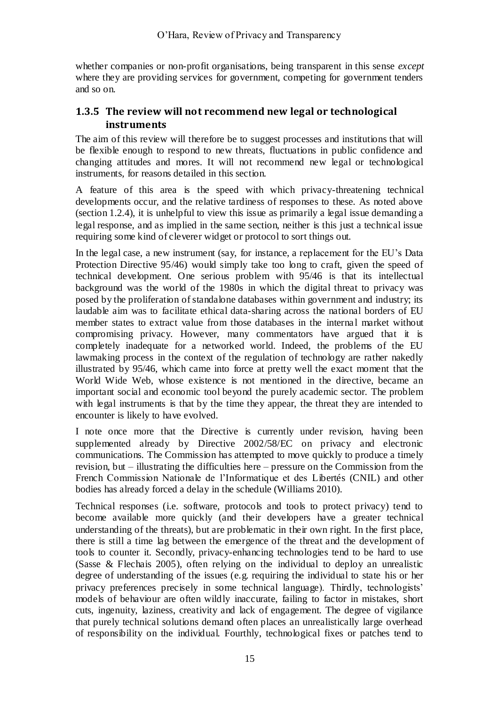whether companies or non-profit organisations, being transparent in this sense *except* where they are providing services for government, competing for government tenders and so on.

### **1.3.5 The review will not recommend new legal or technological instruments**

The aim of this review will therefore be to suggest processes and institutions that will be flexible enough to respond to new threats, fluctuations in public confidence and changing attitudes and mores. It will not recommend new legal or technological instruments, for reasons detailed in this section.

A feature of this area is the speed with which privacy-threatening technical developments occur, and the relative tardiness of responses to these. As noted above (section [1.2.4\)](#page-9-0), it is unhelpful to view this issue as primarily a legal issue demanding a legal response, and as implied in the same section, neither is this just a technical issue requiring some kind of cleverer widget or protocol to sort things out.

In the legal case, a new instrument (say, for instance, a replacement for the EU's Data Protection Directive 95/46) would simply take too long to craft, given the speed of technical development. One serious problem with 95/46 is that its intellectual background was the world of the 1980s in which the digital threat to privacy was posed by the proliferation of standalone databases within government and industry; its laudable aim was to facilitate ethical data-sharing across the national borders of EU member states to extract value from those databases in the internal market without compromising privacy. However, many commentators have argued that it is completely inadequate for a networked world. Indeed, the problems of the EU lawmaking process in the context of the regulation of technology are rather nakedly illustrated by 95/46, which came into force at pretty well the exact moment that the World Wide Web, whose existence is not mentioned in the directive, became an important social and economic tool beyond the purely academic sector. The problem with legal instruments is that by the time they appear, the threat they are intended to encounter is likely to have evolved.

I note once more that the Directive is currently under revision, having been supplemented already by Directive 2002/58/EC on privacy and electronic communications. The Commission has attempted to move quickly to produce a timely revision, but – illustrating the difficulties here – pressure on the Commission from the French Commission Nationale de l'Informatique et des Libertés (CNIL) and other bodies has already forced a delay in the schedule (Williams 2010).

Technical responses (i.e. software, protocols and tools to protect privacy) tend to become available more quickly (and their developers have a greater technical understanding of the threats), but are problematic in their own right. In the first place, there is still a time lag between the emergence of the threat and the development of tools to counter it. Secondly, privacy-enhancing technologies tend to be hard to use (Sasse & Flechais 2005), often relying on the individual to deploy an unrealistic degree of understanding of the issues (e.g. requiring the individual to state his or her privacy preferences precisely in some technical language). Thirdly, technologists' models of behaviour are often wildly inaccurate, failing to factor in mistakes, short cuts, ingenuity, laziness, creativity and lack of engagement. The degree of vigilance that purely technical solutions demand often places an unrealistically large overhead of responsibility on the individual. Fourthly, technological fixes or patches tend to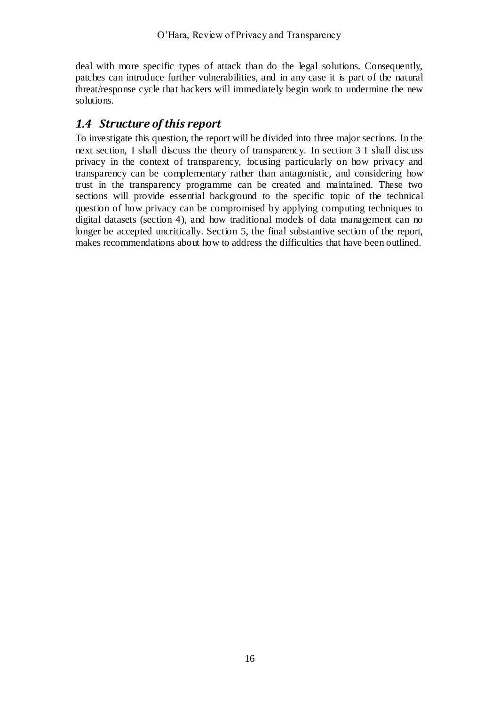deal with more specific types of attack than do the legal solutions. Consequently, patches can introduce further vulnerabilities, and in any case it is part of the natural threat/response cycle that hackers will immediately begin work to undermine the new solutions.

## <span id="page-15-0"></span>*1.4 Structure of this report*

To investigate this question, the report will be divided into three major sections. In the next section, I shall discuss the theory of transparency. In section [3](#page-26-0) I shall discuss privacy in the context of transparency, focusing particularly on how privacy and transparency can be complementary rather than antagonistic, and considering how trust in the transparency programme can be created and maintained. These two sections will provide essential background to the specific topic of the technical question of how privacy can be compromised by applying computing techniques to digital datasets (section [4\)](#page-36-0), and how traditional models of data management can no longer be accepted uncritically. Section [5,](#page-55-0) the final substantive section of the report, makes recommendations about how to address the difficulties that have been outlined.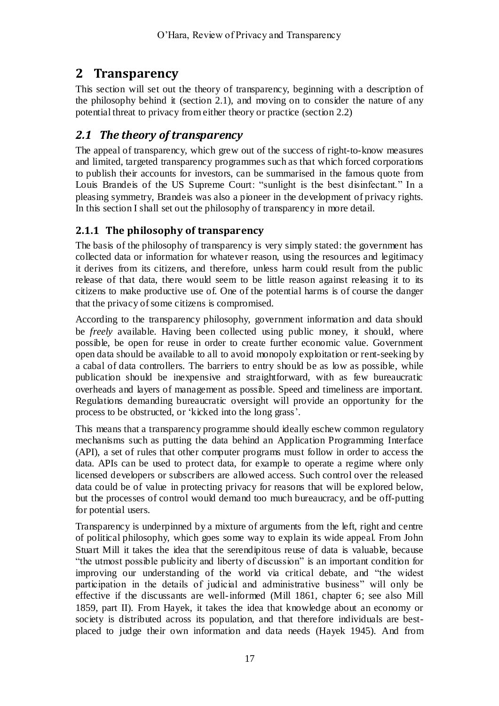# **2 Transparency**

This section will set out the theory of transparency, beginning with a description of the philosophy behind it (section [2.1\)](#page-16-0), and moving on to consider the nature of any potential threat to privacy from either theory or practice (section [2.2\)](#page-22-0)

# <span id="page-16-0"></span>*2.1 The theory of transparency*

The appeal of transparency, which grew out of the success of right-to-know measures and limited, targeted transparency programmes such as that which forced corporations to publish their accounts for investors, can be summarised in the famous quote from Louis Brandeis of the US Supreme Court: "sunlight is the best disinfectant." In a pleasing symmetry, Brandeis was also a pioneer in the development of privacy rights. In this section I shall set out the philosophy of transparency in more detail.

### <span id="page-16-1"></span>**2.1.1 The philosophy of transparency**

The basis of the philosophy of transparency is very simply stated: the government has collected data or information for whatever reason, using the resources and legitimacy it derives from its citizens, and therefore, unless harm could result from the public release of that data, there would seem to be little reason against releasing it to its citizens to make productive use of. One of the potential harms is of course the danger that the privacy of some citizens is compromised.

According to the transparency philosophy, government information and data should be *freely* available. Having been collected using public money, it should, where possible, be open for reuse in order to create further economic value. Government open data should be available to all to avoid monopoly exploitation or rent-seeking by a cabal of data controllers. The barriers to entry should be as low as possible, while publication should be inexpensive and straightforward, with as few bureaucratic overheads and layers of management as possible. Speed and timeliness are important. Regulations demanding bureaucratic oversight will provide an opportunity for the process to be obstructed, or 'kicked into the long grass'.

This means that a transparency programme should ideally eschew common regulatory mechanisms such as putting the data behind an Application Programming Interface (API), a set of rules that other computer programs must follow in order to access the data. APIs can be used to protect data, for example to operate a regime where only licensed developers or subscribers are allowed access. Such control over the released data could be of value in protecting privacy for reasons that will be explored below, but the processes of control would demand too much bureaucracy, and be off-putting for potential users.

Transparency is underpinned by a mixture of arguments from the left, right and centre of political philosophy, which goes some way to explain its wide appeal. From John Stuart Mill it takes the idea that the serendipitous reuse of data is valuable, because ―the utmost possible publicity and liberty of discussion‖ is an important condition for improving our understanding of the world via critical debate, and "the widest" participation in the details of judicial and administrative business" will only be effective if the discussants are well-informed (Mill 1861, chapter 6; see also Mill 1859, part II). From Hayek, it takes the idea that knowledge about an economy or society is distributed across its population, and that therefore individuals are bestplaced to judge their own information and data needs (Hayek 1945). And from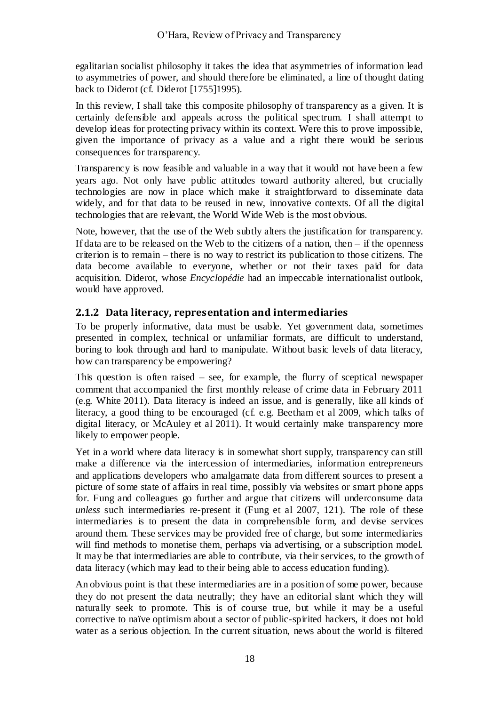egalitarian socialist philosophy it takes the idea that asymmetries of information lead to asymmetries of power, and should therefore be eliminated, a line of thought dating back to Diderot (cf. Diderot [1755]1995).

In this review, I shall take this composite philosophy of transparency as a given. It is certainly defensible and appeals across the political spectrum. I shall attempt to develop ideas for protecting privacy within its context. Were this to prove impossible, given the importance of privacy as a value and a right there would be serious consequences for transparency.

Transparency is now feasible and valuable in a way that it would not have been a few years ago. Not only have public attitudes toward authority altered, but crucially technologies are now in place which make it straightforward to disseminate data widely, and for that data to be reused in new, innovative contexts. Of all the digital technologies that are relevant, the World Wide Web is the most obvious.

Note, however, that the use of the Web subtly alters the justification for transparency. If data are to be released on the Web to the citizens of a nation, then  $-$  if the openness criterion is to remain – there is no way to restrict its publication to those citizens. The data become available to everyone, whether or not their taxes paid for data acquisition. Diderot, whose *Encyclopédie* had an impeccable internationalist outlook, would have approved.

### **2.1.2 Data literacy, representation and intermediaries**

To be properly informative, data must be usable. Yet government data, sometimes presented in complex, technical or unfamiliar formats, are difficult to understand, boring to look through and hard to manipulate. Without basic levels of data literacy, how can transparency be empowering?

This question is often raised  $-$  see, for example, the flurry of sceptical newspaper comment that accompanied the first monthly release of crime data in February 2011 (e.g. White 2011). Data literacy is indeed an issue, and is generally, like all kinds of literacy, a good thing to be encouraged (cf. e.g. Beetham et al 2009, which talks of digital literacy, or McAuley et al 2011). It would certainly make transparency more likely to empower people.

Yet in a world where data literacy is in somewhat short supply, transparency can still make a difference via the intercession of intermediaries, information entrepreneurs and applications developers who amalgamate data from different sources to present a picture of some state of affairs in real time, possibly via websites or smart phone apps for. Fung and colleagues go further and argue that citizens will underconsume data *unless* such intermediaries re-present it (Fung et al 2007, 121). The role of these intermediaries is to present the data in comprehensible form, and devise services around them. These services may be provided free of charge, but some intermediaries will find methods to monetise them, perhaps via advertising, or a subscription model. It may be that intermediaries are able to contribute, via their services, to the growth of data literacy (which may lead to their being able to access education funding).

An obvious point is that these intermediaries are in a position of some power, because they do not present the data neutrally; they have an editorial slant which they will naturally seek to promote. This is of course true, but while it may be a useful corrective to naïve optimism about a sector of public-spirited hackers, it does not hold water as a serious objection. In the current situation, news about the world is filtered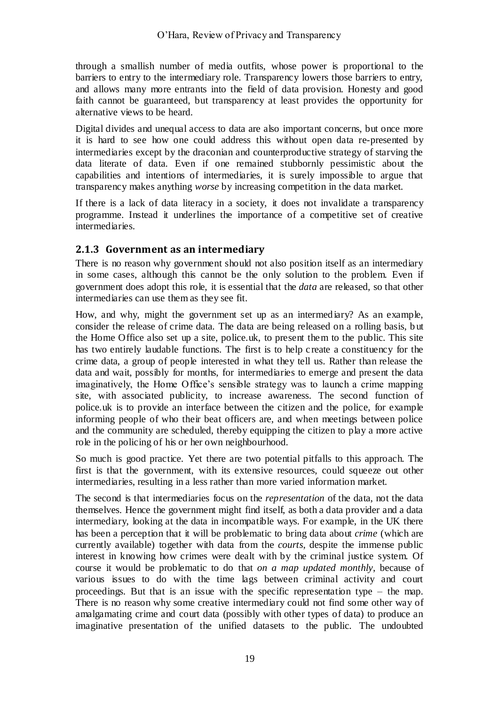through a smallish number of media outfits, whose power is proportional to the barriers to entry to the intermediary role. Transparency lowers those barriers to entry, and allows many more entrants into the field of data provision. Honesty and good faith cannot be guaranteed, but transparency at least provides the opportunity for alternative views to be heard.

Digital divides and unequal access to data are also important concerns, but once more it is hard to see how one could address this without open data re-presented by intermediaries except by the draconian and counterproductive strategy of starving the data literate of data. Even if one remained stubbornly pessimistic about the capabilities and intentions of intermediaries, it is surely impossible to argue that transparency makes anything *worse* by increasing competition in the data market.

If there is a lack of data literacy in a society, it does not invalidate a transparency programme. Instead it underlines the importance of a competitive set of creative intermediaries.

#### **2.1.3 Government as an intermediary**

There is no reason why government should not also position itself as an intermediary in some cases, although this cannot be the only solution to the problem. Even if government does adopt this role, it is essential that the *data* are released, so that other intermediaries can use them as they see fit.

How, and why, might the government set up as an intermediary? As an example, consider the release of crime data. The data are being released on a rolling basis, b ut the Home Office also set up a site, police.uk, to present them to the public. This site has two entirely laudable functions. The first is to help create a constituency for the crime data, a group of people interested in what they tell us. Rather than release the data and wait, possibly for months, for intermediaries to emerge and present the data imaginatively, the Home Office's sensible strategy was to launch a crime mapping site, with associated publicity, to increase awareness. The second function of police.uk is to provide an interface between the citizen and the police, for example informing people of who their beat officers are, and when meetings between police and the community are scheduled, thereby equipping the citizen to play a more active role in the policing of his or her own neighbourhood.

So much is good practice. Yet there are two potential pitfalls to this approach. The first is that the government, with its extensive resources, could squeeze out other intermediaries, resulting in a less rather than more varied information market.

The second is that intermediaries focus on the *representation* of the data, not the data themselves. Hence the government might find itself, as both a data provider and a data intermediary, looking at the data in incompatible ways. For example, in the UK there has been a perception that it will be problematic to bring data about *crime* (which are currently available) together with data from the *courts*, despite the immense public interest in knowing how crimes were dealt with by the criminal justice system. Of course it would be problematic to do that *on a map updated monthly*, because of various issues to do with the time lags between criminal activity and court proceedings. But that is an issue with the specific representation type – the map. There is no reason why some creative intermediary could not find some other way of amalgamating crime and court data (possibly with other types of data) to produce an imaginative presentation of the unified datasets to the public. The undoubted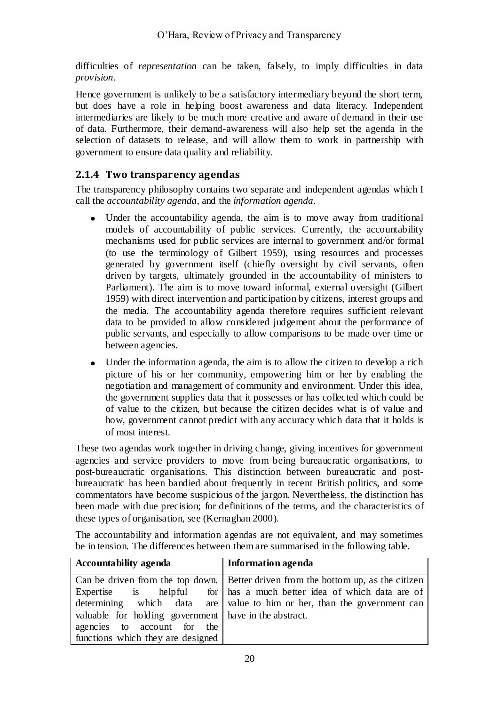difficulties of *representation* can be taken, falsely, to imply difficulties in data *provision*.

Hence government is unlikely to be a satisfactory intermediary beyond the short term, but does have a role in helping boost awareness and data literacy. Independent intermediaries are likely to be much more creative and aware of demand in their use of data. Furthermore, their demand-awareness will also help set the agenda in the selection of datasets to release, and will allow them to work in partnership with government to ensure data quality and reliability.

### **2.1.4 Two transparency agendas**

The transparency philosophy contains two separate and independent agendas which I call the *accountability agenda*, and the *information agenda*.

- Under the accountability agenda, the aim is to move away from traditional models of accountability of public services. Currently, the accountability mechanisms used for public services are internal to government and/or formal (to use the terminology of Gilbert 1959), using resources and processes generated by government itself (chiefly oversight by civil servants, often driven by targets, ultimately grounded in the accountability of ministers to Parliament). The aim is to move toward informal, external oversight (Gilbert 1959) with direct intervention and participation by citizens, interest groups and the media. The accountability agenda therefore requires sufficient relevant data to be provided to allow considered judgement about the performance of public servants, and especially to allow comparisons to be made over time or between agencies.
- Under the information agenda, the aim is to allow the citizen to develop a rich  $\bullet$ picture of his or her community, empowering him or her by enabling the negotiation and management of community and environment. Under this idea, the government supplies data that it possesses or has collected which could be of value to the citizen, but because the citizen decides what is of value and how, government cannot predict with any accuracy which data that it holds is of most interest.

These two agendas work together in driving change, giving incentives for government agencies and service providers to move from being bureaucratic organisations, to post-bureaucratic organisations. This distinction between bureaucratic and postbureaucratic has been bandied about frequently in recent British politics, and some commentators have become suspicious of the jargon. Nevertheless, the distinction has been made with due precision; for definitions of the terms, and the characteristics of these types of organisation, see (Kernaghan 2000).

The accountability and information agendas are not equivalent, and may sometimes be in tension. The differences between them are summarised in the following table.

| <b>Accountability agenda</b>                            | Information agenda                                                                  |
|---------------------------------------------------------|-------------------------------------------------------------------------------------|
|                                                         | Can be driven from the top down.   Better driven from the bottom up, as the citizen |
| Expertise is helpful                                    | for   has a much better idea of which data are of                                   |
|                                                         | determining which data are value to him or her, than the government can             |
| valuable for holding government   have in the abstract. |                                                                                     |
| agencies to account for the                             |                                                                                     |
| functions which they are designed                       |                                                                                     |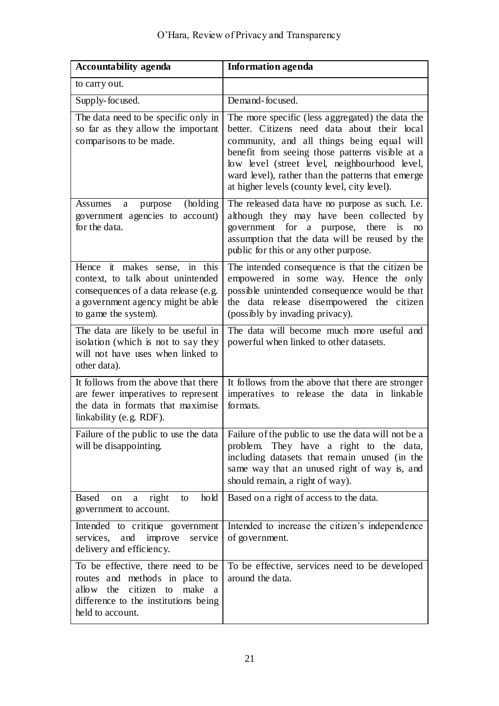| <b>Accountability agenda</b>                                                                                                                                                       | <b>Information agenda</b>                                                                                                                                                                                                                                                                                                                               |
|------------------------------------------------------------------------------------------------------------------------------------------------------------------------------------|---------------------------------------------------------------------------------------------------------------------------------------------------------------------------------------------------------------------------------------------------------------------------------------------------------------------------------------------------------|
| to carry out.                                                                                                                                                                      |                                                                                                                                                                                                                                                                                                                                                         |
| Supply-focused.                                                                                                                                                                    | Demand-focused.                                                                                                                                                                                                                                                                                                                                         |
| The data need to be specific only in<br>so far as they allow the important<br>comparisons to be made.                                                                              | The more specific (less aggregated) the data the<br>better. Citizens need data about their local<br>community, and all things being equal will<br>benefit from seeing those patterns visible at a<br>low level (street level, neighbourhood level,<br>ward level), rather than the patterns that emerge<br>at higher levels (county level, city level). |
| (holding)<br>Assumes<br>purpose<br>a<br>government agencies to account)<br>for the data.                                                                                           | The released data have no purpose as such. I.e.<br>although they may have been collected by<br>government for a purpose, there<br>is<br>no<br>assumption that the data will be reused by the<br>public for this or any other purpose.                                                                                                                   |
| Hence it makes sense, in this<br>context, to talk about unintended<br>consequences of a data release (e.g.<br>a government agency might be able<br>to game the system).            | The intended consequence is that the citizen be<br>empowered in some way. Hence the only<br>possible unintended consequence would be that<br>the data release disempowered the citizen<br>(possibly by invading privacy).                                                                                                                               |
| The data are likely to be useful in<br>isolation (which is not to say they<br>will not have uses when linked to<br>other data).                                                    | The data will become much more useful and<br>powerful when linked to other datasets.                                                                                                                                                                                                                                                                    |
| It follows from the above that there<br>are fewer imperatives to represent<br>the data in formats that maximise<br>linkability (e.g. RDF).                                         | It follows from the above that there are stronger<br>imperatives to release the data in linkable<br>formats.                                                                                                                                                                                                                                            |
| will be disappointing.                                                                                                                                                             | Failure of the public to use the data $\vert$ Failure of the public to use the data will not be a<br>problem.<br>They have a right to the data,<br>including datasets that remain unused (in the<br>same way that an unused right of way is, and<br>should remain, a right of way).                                                                     |
| <b>Based</b><br>hold<br>right<br>on<br>$\mathbf{a}$<br>to<br>government to account.                                                                                                | Based on a right of access to the data.                                                                                                                                                                                                                                                                                                                 |
| Intended to critique government<br>services,<br>improve<br>service<br>and<br>delivery and efficiency.                                                                              | Intended to increase the citizen's independence<br>of government.                                                                                                                                                                                                                                                                                       |
| To be effective, there need to be<br>routes and methods in place to<br>allow the<br>citizen to<br>make<br><sub>a</sub><br>difference to the institutions being<br>held to account. | To be effective, services need to be developed<br>around the data.                                                                                                                                                                                                                                                                                      |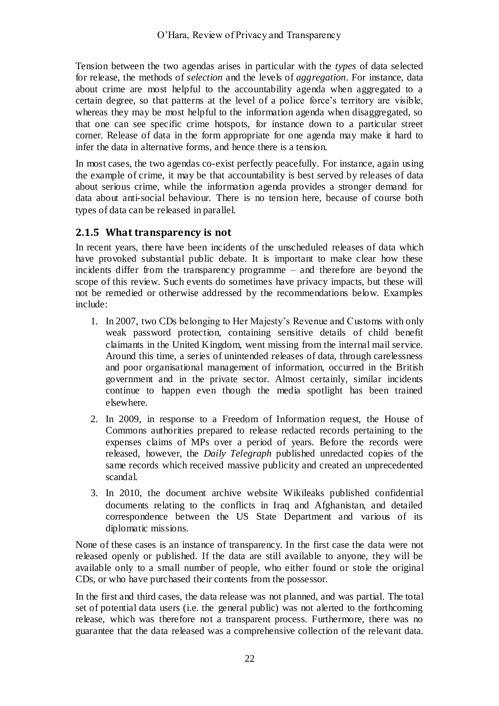Tension between the two agendas arises in particular with the *types* of data selected for release, the methods of *selection* and the levels of *aggregation*. For instance, data about crime are most helpful to the accountability agenda when aggregated to a certain degree, so that patterns at the level of a police force's territory are visible, whereas they may be most helpful to the information agenda when disaggregated, so that one can see specific crime hotspots, for instance down to a particular street corner. Release of data in the form appropriate for one agenda may make it hard to infer the data in alternative forms, and hence there is a tension.

In most cases, the two agendas co-exist perfectly peacefully. For instance, again using the example of crime, it may be that accountability is best served by releases of data about serious crime, while the information agenda provides a stronger demand for data about anti-social behaviour. There is no tension here, because of course both types of data can be released in parallel.

### **2.1.5 What transparency is not**

In recent years, there have been incidents of the unscheduled releases of data which have provoked substantial public debate. It is important to make clear how these incidents differ from the transparency programme – and therefore are beyond the scope of this review. Such events do sometimes have privacy impacts, but these will not be remedied or otherwise addressed by the recommendations below. Examples include:

- 1. In 2007, two CDs belonging to Her Majesty's Revenue and Customs with only weak password protection, containing sensitive details of child benefit claimants in the United Kingdom, went missing from the internal mail service. Around this time, a series of unintended releases of data, through carelessness and poor organisational management of information, occurred in the British government and in the private sector. Almost certainly, similar incidents continue to happen even though the media spotlight has been trained elsewhere.
- 2. In 2009, in response to a Freedom of Information request, the House of Commons authorities prepared to release redacted records pertaining to the expenses claims of MPs over a period of years. Before the records were released, however, the *Daily Telegraph* published unredacted copies of the same records which received massive publicity and created an unprecedented scandal.
- 3. In 2010, the document archive website Wikileaks published confidential documents relating to the conflicts in Iraq and Afghanistan, and detailed correspondence between the US State Department and various of its diplomatic missions.

None of these cases is an instance of transparency. In the first case the data were not released openly or published. If the data are still available to anyone, they will be available only to a small number of people, who either found or stole the original CDs, or who have purchased their contents from the possessor.

In the first and third cases, the data release was not planned, and was partial. The total set of potential data users (i.e. the general public) was not alerted to the forthcoming release, which was therefore not a transparent process. Furthermore, there was no guarantee that the data released was a comprehensive collection of the relevant data.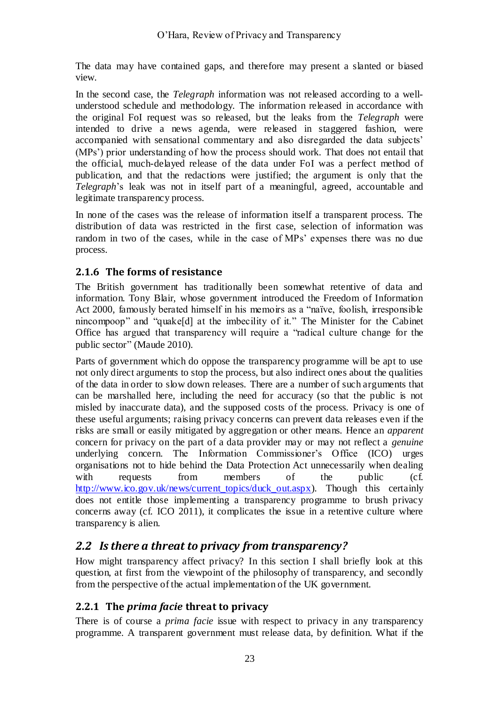The data may have contained gaps, and therefore may present a slanted or biased view.

In the second case, the *Telegraph* information was not released according to a wellunderstood schedule and methodology. The information released in accordance with the original FoI request was so released, but the leaks from the *Telegraph* were intended to drive a news agenda, were released in staggered fashion, were accompanied with sensational commentary and also disregarded the data subjects' (MPs') prior understanding of how the process should work. That does not entail that the official, much-delayed release of the data under FoI was a perfect method of publication, and that the redactions were justified; the argument is only that the *Telegraph*'s leak was not in itself part of a meaningful, agreed, accountable and legitimate transparency process.

In none of the cases was the release of information itself a transparent process. The distribution of data was restricted in the first case, selection of information was random in two of the cases, while in the case of MPs' expenses there was no due process.

### **2.1.6 The forms of resistance**

The British government has traditionally been somewhat retentive of data and information. Tony Blair, whose government introduced the Freedom of Information Act 2000, famously berated himself in his memoirs as a "naïve, foolish, irresponsible nincompoop" and "quake[d] at the imbecility of it." The Minister for the Cabinet Office has argued that transparency will require a "radical culture change for the public sector" (Maude 2010).

Parts of government which do oppose the transparency programme will be apt to use not only direct arguments to stop the process, but also indirect ones about the qualities of the data in order to slow down releases. There are a number of such arguments that can be marshalled here, including the need for accuracy (so that the public is not misled by inaccurate data), and the supposed costs of the process. Privacy is one of these useful arguments; raising privacy concerns can prevent data releases even if the risks are small or easily mitigated by aggregation or other means. Hence an *apparent* concern for privacy on the part of a data provider may or may not reflect a *genuine* underlying concern. The Information Commissioner's Office (ICO) urges organisations not to hide behind the Data Protection Act unnecessarily when dealing with requests from members of the public (cf. [http://www.ico.gov.uk/news/current\\_topics/duck\\_out.aspx\)](http://www.ico.gov.uk/news/current_topics/duck_out.aspx). Though this certainly does not entitle those implementing a transparency programme to brush privacy concerns away (cf. ICO 2011), it complicates the issue in a retentive culture where transparency is alien.

### <span id="page-22-0"></span>*2.2 Is there a threat to privacy from transparency?*

How might transparency affect privacy? In this section I shall briefly look at this question, at first from the viewpoint of the philosophy of transparency, and secondly from the perspective of the actual implementation of the UK government.

#### **2.2.1 The** *prima facie* **threat to privacy**

There is of course a *prima facie* issue with respect to privacy in any transparency programme. A transparent government must release data, by definition. What if the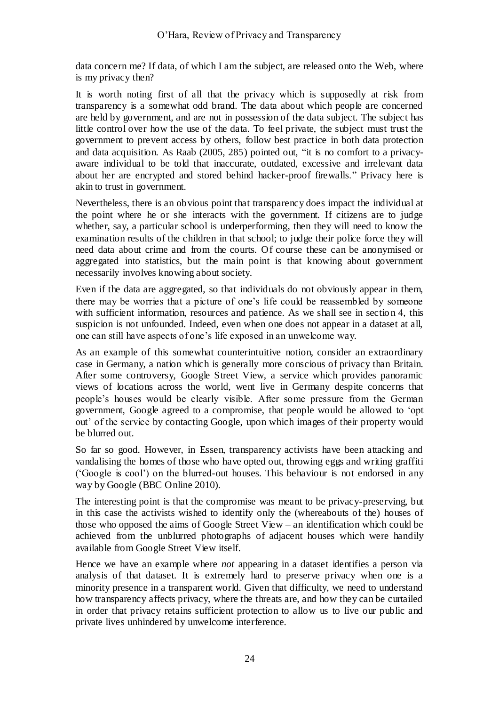data concern me? If data, of which I am the subject, are released onto the Web, where is my privacy then?

It is worth noting first of all that the privacy which is supposedly at risk from transparency is a somewhat odd brand. The data about which people are concerned are held by government, and are not in possession of the data subject. The subject has little control over how the use of the data. To feel private, the subject must trust the government to prevent access by others, follow best practice in both data protection and data acquisition. As Raab  $(2005, 285)$  pointed out, "it is no comfort to a privacyaware individual to be told that inaccurate, outdated, excessive and irrelevant data about her are encrypted and stored behind hacker-proof firewalls." Privacy here is akin to trust in government.

Nevertheless, there is an obvious point that transparency does impact the individual at the point where he or she interacts with the government. If citizens are to judge whether, say, a particular school is underperforming, then they will need to know the examination results of the children in that school; to judge their police force they will need data about crime and from the courts. Of course these can be anonymised or aggregated into statistics, but the main point is that knowing about government necessarily involves knowing about society.

Even if the data are aggregated, so that individuals do not obviously appear in them, there may be worries that a picture of one's life could be reassembled by someone with sufficient information, resources and patience. As we shall see in section [4,](#page-36-0) this suspicion is not unfounded. Indeed, even when one does not appear in a dataset at all, one can still have aspects of one's life exposed in an unwelcome way.

As an example of this somewhat counterintuitive notion, consider an extraordinary case in Germany, a nation which is generally more conscious of privacy than Britain. After some controversy, Google Street View, a service which provides panoramic views of locations across the world, went live in Germany despite concerns that people's houses would be clearly visible. After some pressure from the German government, Google agreed to a compromise, that people would be allowed to 'opt out' of the service by contacting Google, upon which images of their property would be blurred out.

So far so good. However, in Essen, transparency activists have been attacking and vandalising the homes of those who have opted out, throwing eggs and writing graffiti (‗Google is cool') on the blurred-out houses. This behaviour is not endorsed in any way by Google (BBC Online 2010).

The interesting point is that the compromise was meant to be privacy-preserving, but in this case the activists wished to identify only the (whereabouts of the) houses of those who opposed the aims of Google Street View – an identification which could be achieved from the unblurred photographs of adjacent houses which were handily available from Google Street View itself.

Hence we have an example where *not* appearing in a dataset identifies a person via analysis of that dataset. It is extremely hard to preserve privacy when one is a minority presence in a transparent world. Given that difficulty, we need to understand how transparency affects privacy, where the threats are, and how they can be curtailed in order that privacy retains sufficient protection to allow us to live our public and private lives unhindered by unwelcome interference.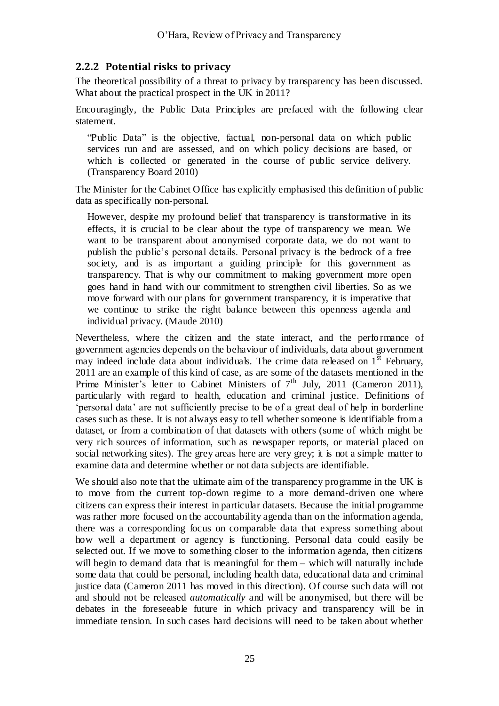#### **2.2.2 Potential risks to privacy**

The theoretical possibility of a threat to privacy by transparency has been discussed. What about the practical prospect in the UK in 2011?

Encouragingly, the Public Data Principles are prefaced with the following clear statement.

"Public Data" is the objective, factual, non-personal data on which public services run and are assessed, and on which policy decisions are based, or which is collected or generated in the course of public service delivery. (Transparency Board 2010)

The Minister for the Cabinet Office has explicitly emphasised this definition of public data as specifically non-personal.

However, despite my profound belief that transparency is transformative in its effects, it is crucial to be clear about the type of transparency we mean. We want to be transparent about anonymised corporate data, we do not want to publish the public's personal details. Personal privacy is the bedrock of a free society, and is as important a guiding principle for this government as transparency. That is why our commitment to making government more open goes hand in hand with our commitment to strengthen civil liberties. So as we move forward with our plans for government transparency, it is imperative that we continue to strike the right balance between this openness agenda and individual privacy. (Maude 2010)

Nevertheless, where the citizen and the state interact, and the perfo rmance of government agencies depends on the behaviour of individuals, data about government may indeed include data about individuals. The crime data released on  $1<sup>st</sup>$  February, 2011 are an example of this kind of case, as are some of the datasets mentioned in the Prime Minister's letter to Cabinet Ministers of  $7<sup>th</sup>$  July, 2011 (Cameron 2011), particularly with regard to health, education and criminal justice. Definitions of ‗personal data' are not sufficiently precise to be of a great deal of help in borderline cases such as these. It is not always easy to tell whether someone is identifiable from a dataset, or from a combination of that datasets with others (some of which might be very rich sources of information, such as newspaper reports, or material placed on social networking sites). The grey areas here are very grey; it is not a simple matter to examine data and determine whether or not data subjects are identifiable.

We should also note that the ultimate aim of the transparency programme in the UK is to move from the current top-down regime to a more demand-driven one where citizens can express their interest in particular datasets. Because the initial programme was rather more focused on the accountability agenda than on the information agenda, there was a corresponding focus on comparable data that express something about how well a department or agency is functioning. Personal data could easily be selected out. If we move to something closer to the information agenda, then citizens will begin to demand data that is meaningful for them – which will naturally include some data that could be personal, including health data, educational data and criminal justice data (Cameron 2011 has moved in this direction). Of course such data will not and should not be released *automatically* and will be anonymised, but there will be debates in the foreseeable future in which privacy and transparency will be in immediate tension. In such cases hard decisions will need to be taken about whether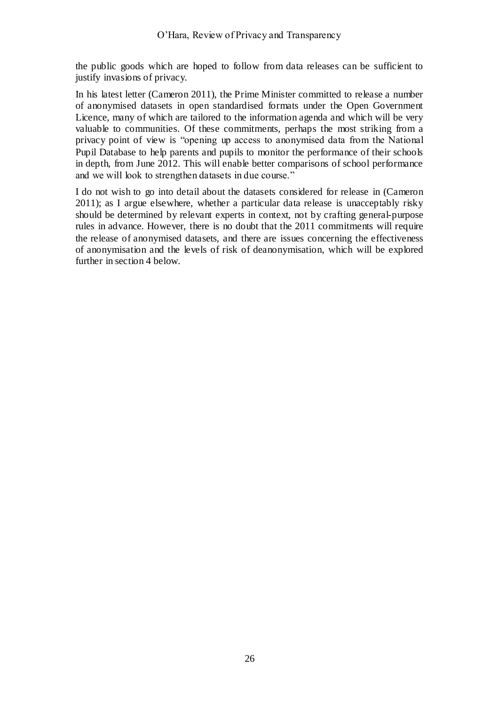the public goods which are hoped to follow from data releases can be sufficient to justify invasions of privacy.

In his latest letter (Cameron 2011), the Prime Minister committed to release a number of anonymised datasets in open standardised formats under the Open Government Licence, many of which are tailored to the information agenda and which will be very valuable to communities. Of these commitments, perhaps the most striking from a privacy point of view is "opening up access to anonymised data from the National Pupil Database to help parents and pupils to monitor the performance of their schools in depth, from June 2012. This will enable better comparisons of school performance and we will look to strengthen datasets in due course."

I do not wish to go into detail about the datasets considered for release in (Cameron 2011); as I argue elsewhere, whether a particular data release is unacceptably risky should be determined by relevant experts in context, not by crafting general-purpose rules in advance. However, there is no doubt that the 2011 commitments will require the release of anonymised datasets, and there are issues concerning the effectiveness of anonymisation and the levels of risk of deanonymisation, which will be explored further in section [4](#page-36-0) below.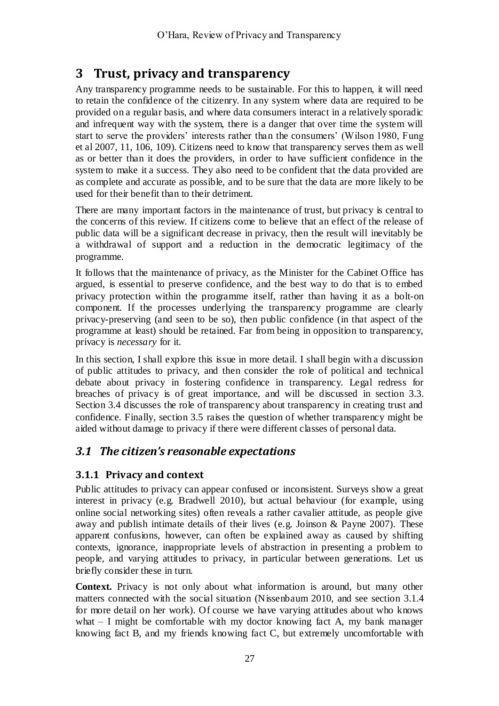# <span id="page-26-0"></span>**3 Trust, privacy and transparency**

Any transparency programme needs to be sustainable. For this to happen, it will need to retain the confidence of the citizenry. In any system where data are required to be provided on a regular basis, and where data consumers interact in a relatively sporadic and infrequent way with the system, there is a danger that over time the system will start to serve the providers' interests rather than the consumers' (Wilson 1980, Fung et al 2007, 11, 106, 109). Citizens need to know that transparency serves them as well as or better than it does the providers, in order to have sufficient confidence in the system to make it a success. They also need to be confident that the data provided are as complete and accurate as possible, and to be sure that the data are more likely to be used for their benefit than to their detriment.

There are many important factors in the maintenance of trust, but privacy is central to the concerns of this review. If citizens come to believe that an effect of the release of public data will be a significant decrease in privacy, then the result will inevitably be a withdrawal of support and a reduction in the democratic legitimacy of the programme.

It follows that the maintenance of privacy, as the Minister for the Cabinet Office has argued, is essential to preserve confidence, and the best way to do that is to embed privacy protection within the programme itself, rather than having it as a bolt-on component. If the processes underlying the transparency programme are clearly privacy-preserving (and seen to be so), then public confidence (in that aspect of the programme at least) should be retained. Far from being in opposition to transparency, privacy is *necessary* for it.

In this section, I shall explore this issue in more detail. I shall begin with a discussion of public attitudes to privacy, and then consider the role of political and technical debate about privacy in fostering confidence in transparency. Legal redress for breaches of privacy is of great importance, and will be discussed in section [3.3.](#page-33-0) Section [3.4](#page-34-0) discusses the role of transparency about transparency in creating trust and confidence. Finally, section [3.5](#page-35-0) raises the question of whether transparency might be aided without damage to privacy if there were different classes of personal data.

# *3.1 The citizen's reasonable expectations*

### **3.1.1 Privacy and context**

Public attitudes to privacy can appear confused or inconsistent. Surveys show a great interest in privacy (e.g. Bradwell 2010), but actual behaviour (for example, using online social networking sites) often reveals a rather cavalier attitude, as people give away and publish intimate details of their lives (e.g. Joinson & Payne 2007). These apparent confusions, however, can often be explained away as caused by shifting contexts, ignorance, inappropriate levels of abstraction in presenting a problem to people, and varying attitudes to privacy, in particular between generations. Let us briefly consider these in turn.

**Context.** Privacy is not only about what information is around, but many other matters connected with the social situation (Nissenbaum 2010, and see section [3.1.4](#page-29-0) for more detail on her work). Of course we have varying attitudes about who knows what – I might be comfortable with my doctor knowing fact A, my bank manager knowing fact B, and my friends knowing fact C, but extremely uncomfortable with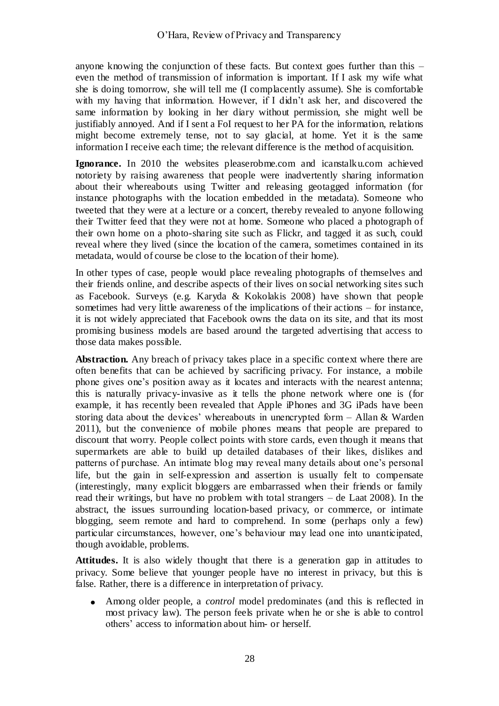anyone knowing the conjunction of these facts. But context goes further than this – even the method of transmission of information is important. If I ask my wife what she is doing tomorrow, she will tell me (I complacently assume). She is comfortable with my having that information. However, if I didn't ask her, and discovered the same information by looking in her diary without permission, she might well be justifiably annoyed. And if I sent a FoI request to her PA for the information, relations might become extremely tense, not to say glacial, at home. Yet it is the same information I receive each time; the relevant difference is the method of acquisition.

**Ignorance.** In 2010 the websites pleaserobme.com and icanstalku.com achieved notoriety by raising awareness that people were inadvertently sharing information about their whereabouts using Twitter and releasing geotagged information (for instance photographs with the location embedded in the metadata). Someone who tweeted that they were at a lecture or a concert, thereby revealed to anyone following their Twitter feed that they were not at home. Someone who placed a photograph of their own home on a photo-sharing site such as Flickr, and tagged it as such, could reveal where they lived (since the location of the camera, sometimes contained in its metadata, would of course be close to the location of their home).

In other types of case, people would place revealing photographs of themselves and their friends online, and describe aspects of their lives on social networking sites such as Facebook. Surveys (e.g. Karyda & Kokolakis 2008) have shown that people sometimes had very little awareness of the implications of their actions – for instance, it is not widely appreciated that Facebook owns the data on its site, and that its most promising business models are based around the targeted advertising that access to those data makes possible.

**Abstraction.** Any breach of privacy takes place in a specific context where there are often benefits that can be achieved by sacrificing privacy. For instance, a mobile phone gives one's position away as it locates and interacts with the nearest antenna; this is naturally privacy-invasive as it tells the phone network where one is (for example, it has recently been revealed that Apple iPhones and 3G iPads have been storing data about the devices' whereabouts in unencrypted form – Allan & Warden 2011), but the convenience of mobile phones means that people are prepared to discount that worry. People collect points with store cards, even though it means that supermarkets are able to build up detailed databases of their likes, dislikes and patterns of purchase. An intimate blog may reveal many details about one's personal life, but the gain in self-expression and assertion is usually felt to compensate (interestingly, many explicit bloggers are embarrassed when their friends or family read their writings, but have no problem with total strangers – de Laat 2008). In the abstract, the issues surrounding location-based privacy, or commerce, or intimate blogging, seem remote and hard to comprehend. In some (perhaps only a few) particular circumstances, however, one's behaviour may lead one into unanticipated, though avoidable, problems.

**Attitudes.** It is also widely thought that there is a generation gap in attitudes to privacy. Some believe that younger people have no interest in privacy, but this is false. Rather, there is a difference in interpretation of privacy.

Among older people, a *control* model predominates (and this is reflected in most privacy law). The person feels private when he or she is able to control others' access to information about him- or herself.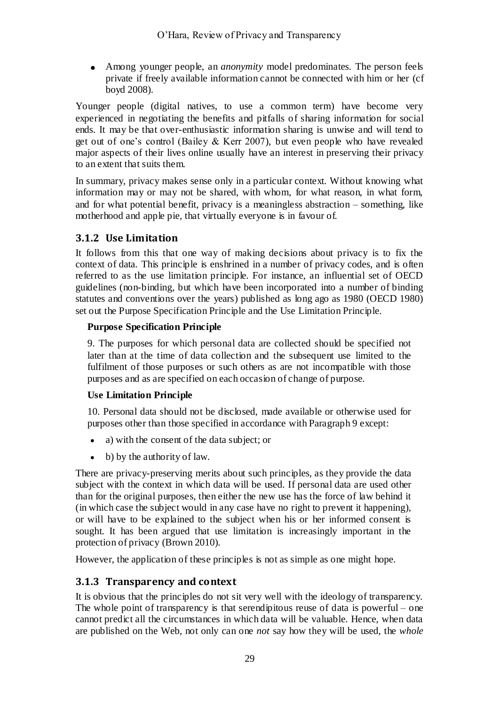Among younger people, an *anonymity* model predominates. The person feels private if freely available information cannot be connected with him or her (cf boyd 2008).

Younger people (digital natives, to use a common term) have become very experienced in negotiating the benefits and pitfalls of sharing information for social ends. It may be that over-enthusiastic information sharing is unwise and will tend to get out of one's control (Bailey & Kerr 2007), but even people who have revealed major aspects of their lives online usually have an interest in preserving their privacy to an extent that suits them.

In summary, privacy makes sense only in a particular context. Without knowing what information may or may not be shared, with whom, for what reason, in what form, and for what potential benefit, privacy is a meaningless abstraction – something, like motherhood and apple pie, that virtually everyone is in favour of.

### **3.1.2 Use Limitation**

It follows from this that one way of making decisions about privacy is to fix the context of data. This principle is enshrined in a number of privacy codes, and is often referred to as the use limitation principle. For instance, an influential set of OECD guidelines (non-binding, but which have been incorporated into a number of binding statutes and conventions over the years) published as long ago as 1980 (OECD 1980) set out the Purpose Specification Principle and the Use Limitation Principle.

#### **Purpose Specification Principle**

9. The purposes for which personal data are collected should be specified not later than at the time of data collection and the subsequent use limited to the fulfilment of those purposes or such others as are not incompatible with those purposes and as are specified on each occasion of change of purpose.

#### **Use Limitation Principle**

10. Personal data should not be disclosed, made available or otherwise used for purposes other than those specified in accordance with Paragraph 9 except:

- $\bullet$ a) with the consent of the data subject; or
- $\bullet$ b) by the authority of law.

There are privacy-preserving merits about such principles, as they provide the data subject with the context in which data will be used. If personal data are used other than for the original purposes, then either the new use has the force of law behind it (in which case the subject would in any case have no right to prevent it happening), or will have to be explained to the subject when his or her informed consent is sought. It has been argued that use limitation is increasingly important in the protection of privacy (Brown 2010).

However, the application of these principles is not as simple as one might hope.

### **3.1.3 Transparency and context**

It is obvious that the principles do not sit very well with the ideology of transparency. The whole point of transparency is that serendipitous reuse of data is powerful – one cannot predict all the circumstances in which data will be valuable. Hence, when data are published on the Web, not only can one *not* say how they will be used, the *whole*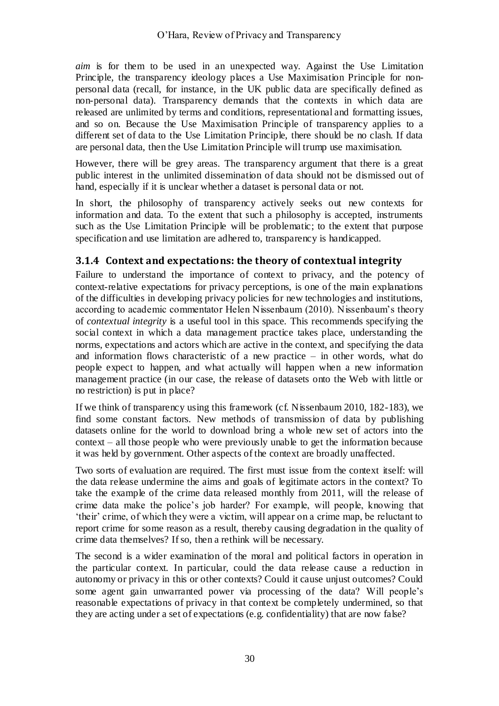*aim* is for them to be used in an unexpected way. Against the Use Limitation Principle, the transparency ideology places a Use Maximisation Principle for nonpersonal data (recall, for instance, in the UK public data are specifically defined as non-personal data). Transparency demands that the contexts in which data are released are unlimited by terms and conditions, representational and formatting issues, and so on. Because the Use Maximisation Principle of transparency applies to a different set of data to the Use Limitation Principle, there should be no clash. If data are personal data, then the Use Limitation Principle will trump use maximisation.

However, there will be grey areas. The transparency argument that there is a great public interest in the unlimited dissemination of data should not be dismissed out of hand, especially if it is unclear whether a dataset is personal data or not.

In short, the philosophy of transparency actively seeks out new contexts for information and data. To the extent that such a philosophy is accepted, instruments such as the Use Limitation Principle will be problematic; to the extent that purpose specification and use limitation are adhered to, transparency is handicapped.

### <span id="page-29-0"></span>**3.1.4 Context and expectations: the theory of contextual integrity**

Failure to understand the importance of context to privacy, and the potency of context-relative expectations for privacy perceptions, is one of the main explanations of the difficulties in developing privacy policies for new technologies and institutions, according to academic commentator Helen Nissenbaum (2010). Nissenbaum's theory of *contextual integrity* is a useful tool in this space. This recommends specifying the social context in which a data management practice takes place, understanding the norms, expectations and actors which are active in the context, and specifying the data and information flows characteristic of a new practice – in other words, what do people expect to happen, and what actually will happen when a new information management practice (in our case, the release of datasets onto the Web with little or no restriction) is put in place?

If we think of transparency using this framework (cf. Nissenbaum 2010, 182-183), we find some constant factors. New methods of transmission of data by publishing datasets online for the world to download bring a whole new set of actors into the context – all those people who were previously unable to get the information because it was held by government. Other aspects of the context are broadly unaffected.

Two sorts of evaluation are required. The first must issue from the context itself: will the data release undermine the aims and goals of legitimate actors in the context? To take the example of the crime data released monthly from 2011, will the release of crime data make the police's job harder? For example, will people, knowing that ‗their' crime, of which they were a victim, will appear on a crime map, be reluctant to report crime for some reason as a result, thereby causing degradation in the quality of crime data themselves? If so, then a rethink will be necessary.

The second is a wider examination of the moral and political factors in operation in the particular context. In particular, could the data release cause a reduction in autonomy or privacy in this or other contexts? Could it cause unjust outcomes? Could some agent gain unwarranted power via processing of the data? Will people's reasonable expectations of privacy in that context be completely undermined, so that they are acting under a set of expectations (e.g. confidentiality) that are now false?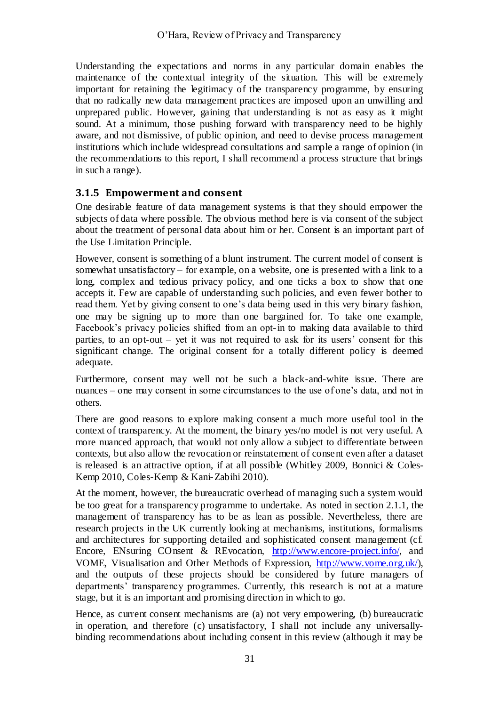Understanding the expectations and norms in any particular domain enables the maintenance of the contextual integrity of the situation. This will be extremely important for retaining the legitimacy of the transparency programme, by ensuring that no radically new data management practices are imposed upon an unwilling and unprepared public. However, gaining that understanding is not as easy as it might sound. At a minimum, those pushing forward with transparency need to be highly aware, and not dismissive, of public opinion, and need to devise process management institutions which include widespread consultations and sample a range of opinion (in the recommendations to this report, I shall recommend a process structure that brings in such a range).

### **3.1.5 Empowerment and consent**

One desirable feature of data management systems is that they should empower the subjects of data where possible. The obvious method here is via consent of the subject about the treatment of personal data about him or her. Consent is an important part of the Use Limitation Principle.

However, consent is something of a blunt instrument. The current model of consent is somewhat unsatisfactory – for example, on a website, one is presented with a link to a long, complex and tedious privacy policy, and one ticks a box to show that one accepts it. Few are capable of understanding such policies, and even fewer bother to read them. Yet by giving consent to one's data being used in this very binary fashion, one may be signing up to more than one bargained for. To take one example, Facebook's privacy policies shifted from an opt-in to making data available to third parties, to an opt-out – yet it was not required to ask for its users' consent for this significant change. The original consent for a totally different policy is deemed adequate.

Furthermore, consent may well not be such a black-and-white issue. There are nuances – one may consent in some circumstances to the use of one's data, and not in others.

There are good reasons to explore making consent a much more useful tool in the context of transparency. At the moment, the binary yes/no model is not very useful. A more nuanced approach, that would not only allow a subject to differentiate between contexts, but also allow the revocation or reinstatement of consent even after a dataset is released is an attractive option, if at all possible (Whitley 2009, Bonnici & Coles-Kemp 2010, Coles-Kemp & Kani-Zabihi 2010).

At the moment, however, the bureaucratic overhead of managing such a system would be too great for a transparency programme to undertake. As noted in section [2.1.1,](#page-16-1) the management of transparency has to be as lean as possible. Nevertheless, there are research projects in the UK currently looking at mechanisms, institutions, formalisms and architectures for supporting detailed and sophisticated consent management (cf. Encore, ENsuring COnsent & REvocation, [http://www.encore-project.info/,](http://www.encore-project.info/) and VOME, Visualisation and Other Methods of Expression, [http://www.vome.org.uk/\)](http://www.vome.org.uk/), and the outputs of these projects should be considered by future managers of departments' transparency programmes. Currently, this research is not at a mature stage, but it is an important and promising direction in which to go.

Hence, as current consent mechanisms are (a) not very empowering, (b) bureaucratic in operation, and therefore (c) unsatisfactory, I shall not include any universallybinding recommendations about including consent in this review (although it may be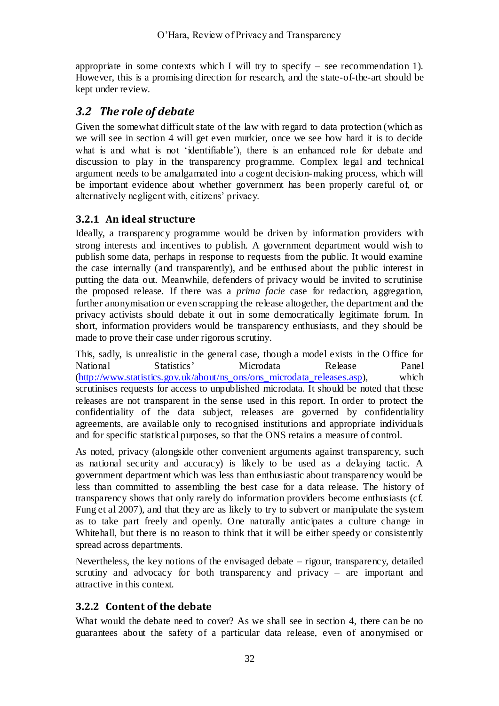appropriate in some contexts which I will try to specify  $-$  see recommendation 1). However, this is a promising direction for research, and the state-of-the-art should be kept under review.

# *3.2 The role of debate*

Given the somewhat difficult state of the law with regard to data protection (which as we will see in section [4](#page-36-0) will get even murkier, once we see how hard it is to decide what is and what is not 'identifiable'), there is an enhanced role for debate and discussion to play in the transparency programme. Complex legal and technical argument needs to be amalgamated into a cogent decision-making process, which will be important evidence about whether government has been properly careful of, or alternatively negligent with, citizens' privacy.

### **3.2.1 An ideal structure**

Ideally, a transparency programme would be driven by information providers with strong interests and incentives to publish. A government department would wish to publish some data, perhaps in response to requests from the public. It would examine the case internally (and transparently), and be enthused about the public interest in putting the data out. Meanwhile, defenders of privacy would be invited to scrutinise the proposed release. If there was a *prima facie* case for redaction, aggregation, further anonymisation or even scrapping the release altogether, the department and the privacy activists should debate it out in some democratically legitimate forum. In short, information providers would be transparency enthusiasts, and they should be made to prove their case under rigorous scrutiny.

This, sadly, is unrealistic in the general case, though a model exists in the Office for National Statistics' Microdata Release Panel [\(http://www.statistics.gov.uk/about/ns\\_ons/ons\\_microdata\\_releases.asp\)](http://www.statistics.gov.uk/about/ns_ons/ons_microdata_releases.asp), which scrutinises requests for access to unpublished microdata. It should be noted that these releases are not transparent in the sense used in this report. In order to protect the confidentiality of the data subject, releases are governed by confidentiality agreements, are available only to recognised institutions and appropriate individuals and for specific statistical purposes, so that the ONS retains a measure of control.

As noted, privacy (alongside other convenient arguments against transparency, such as national security and accuracy) is likely to be used as a delaying tactic. A government department which was less than enthusiastic about transparency would be less than committed to assembling the best case for a data release. The history of transparency shows that only rarely do information providers become enthusiasts (cf. Fung et al 2007), and that they are as likely to try to subvert or manipulate the system as to take part freely and openly. One naturally anticipates a culture change in Whitehall, but there is no reason to think that it will be either speedy or consistently spread across departments.

Nevertheless, the key notions of the envisaged debate – rigour, transparency, detailed scrutiny and advocacy for both transparency and privacy – are important and attractive in this context.

### **3.2.2 Content of the debate**

What would the debate need to cover? As we shall see in section [4,](#page-36-0) there can be no guarantees about the safety of a particular data release, even of anonymised or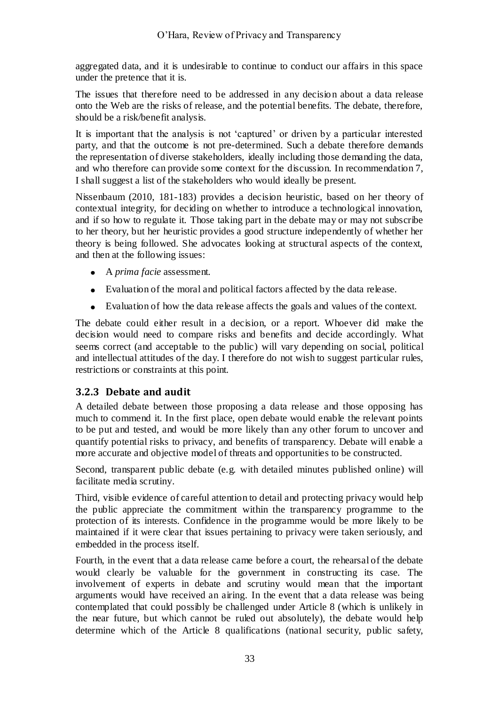aggregated data, and it is undesirable to continue to conduct our affairs in this space under the pretence that it is.

The issues that therefore need to be addressed in any decision about a data release onto the Web are the risks of release, and the potential benefits. The debate, therefore, should be a risk/benefit analysis.

It is important that the analysis is not 'captured' or driven by a particular interested party, and that the outcome is not pre-determined. Such a debate therefore demands the representation of diverse stakeholders, ideally including those demanding the data, and who therefore can provide some context for the discussion. In recommendation 7, I shall suggest a list of the stakeholders who would ideally be present.

Nissenbaum (2010, 181-183) provides a decision heuristic, based on her theory of contextual integrity, for deciding on whether to introduce a technological innovation, and if so how to regulate it. Those taking part in the debate may or may not subscribe to her theory, but her heuristic provides a good structure independently of whether her theory is being followed. She advocates looking at structural aspects of the context, and then at the following issues:

- A *prima facie* assessment.
- Evaluation of the moral and political factors affected by the data release.
- Evaluation of how the data release affects the goals and values of the context.

The debate could either result in a decision, or a report. Whoever did make the decision would need to compare risks and benefits and decide accordingly. What seems correct (and acceptable to the public) will vary depending on social, political and intellectual attitudes of the day. I therefore do not wish to suggest particular rules, restrictions or constraints at this point.

#### <span id="page-32-0"></span>**3.2.3 Debate and audit**

A detailed debate between those proposing a data release and those opposing has much to commend it. In the first place, open debate would enable the relevant points to be put and tested, and would be more likely than any other forum to uncover and quantify potential risks to privacy, and benefits of transparency. Debate will enable a more accurate and objective model of threats and opportunities to be constructed.

Second, transparent public debate (e.g. with detailed minutes published online) will facilitate media scrutiny.

Third, visible evidence of careful attention to detail and protecting privacy would help the public appreciate the commitment within the transparency programme to the protection of its interests. Confidence in the programme would be more likely to be maintained if it were clear that issues pertaining to privacy were taken seriously, and embedded in the process itself.

Fourth, in the event that a data release came before a court, the rehearsal of the debate would clearly be valuable for the government in constructing its case. The involvement of experts in debate and scrutiny would mean that the important arguments would have received an airing. In the event that a data release was being contemplated that could possibly be challenged under Article 8 (which is unlikely in the near future, but which cannot be ruled out absolutely), the debate would help determine which of the Article 8 qualifications (national security, public safety,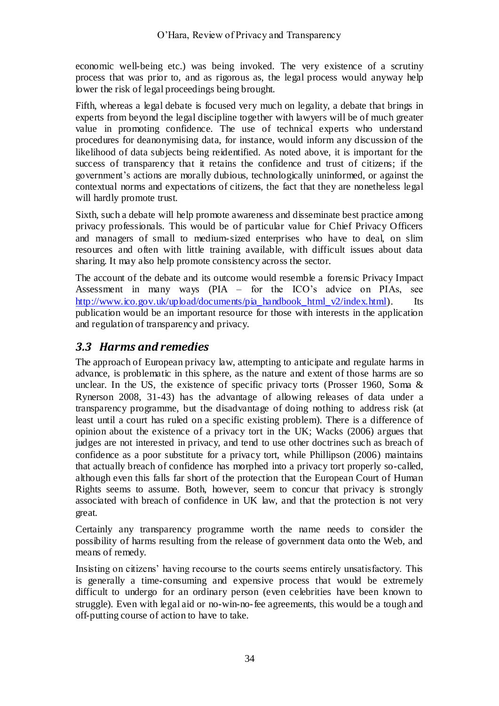economic well-being etc.) was being invoked. The very existence of a scrutiny process that was prior to, and as rigorous as, the legal process would anyway help lower the risk of legal proceedings being brought.

Fifth, whereas a legal debate is focused very much on legality, a debate that brings in experts from beyond the legal discipline together with lawyers will be of much greater value in promoting confidence. The use of technical experts who understand procedures for deanonymising data, for instance, would inform any discussion of the likelihood of data subjects being reidentified. As noted above, it is important for the success of transparency that it retains the confidence and trust of citizens; if the government's actions are morally dubious, technologically uninformed, or against the contextual norms and expectations of citizens, the fact that they are nonetheless legal will hardly promote trust.

Sixth, such a debate will help promote awareness and disseminate best practice among privacy professionals. This would be of particular value for Chief Privacy Officers and managers of small to medium-sized enterprises who have to deal, on slim resources and often with little training available, with difficult issues about data sharing. It may also help promote consistency across the sector.

The account of the debate and its outcome would resemble a forensic Privacy Impact Assessment in many ways (PIA – for the ICO's advice on PIAs, see [http://www.ico.gov.uk/upload/documents/pia\\_handbook\\_html\\_v2/index.html\)](http://www.ico.gov.uk/upload/documents/pia_handbook_html_v2/index.html). Its publication would be an important resource for those with interests in the application and regulation of transparency and privacy.

# <span id="page-33-0"></span>*3.3 Harms and remedies*

The approach of European privacy law, attempting to anticipate and regulate harms in advance, is problematic in this sphere, as the nature and extent of those harms are so unclear. In the US, the existence of specific privacy torts (Prosser 1960, Soma & Rynerson 2008, 31-43) has the advantage of allowing releases of data under a transparency programme, but the disadvantage of doing nothing to address risk (at least until a court has ruled on a specific existing problem). There is a difference of opinion about the existence of a privacy tort in the UK; Wacks (2006) argues that judges are not interested in privacy, and tend to use other doctrines such as breach of confidence as a poor substitute for a privacy tort, while Phillipson (2006) maintains that actually breach of confidence has morphed into a privacy tort properly so-called, although even this falls far short of the protection that the European Court of Human Rights seems to assume. Both, however, seem to concur that privacy is strongly associated with breach of confidence in UK law, and that the protection is not very great.

Certainly any transparency programme worth the name needs to consider the possibility of harms resulting from the release of government data onto the Web, and means of remedy.

Insisting on citizens' having recourse to the courts seems entirely unsatisfactory. This is generally a time-consuming and expensive process that would be extremely difficult to undergo for an ordinary person (even celebrities have been known to struggle). Even with legal aid or no-win-no-fee agreements, this would be a tough and off-putting course of action to have to take.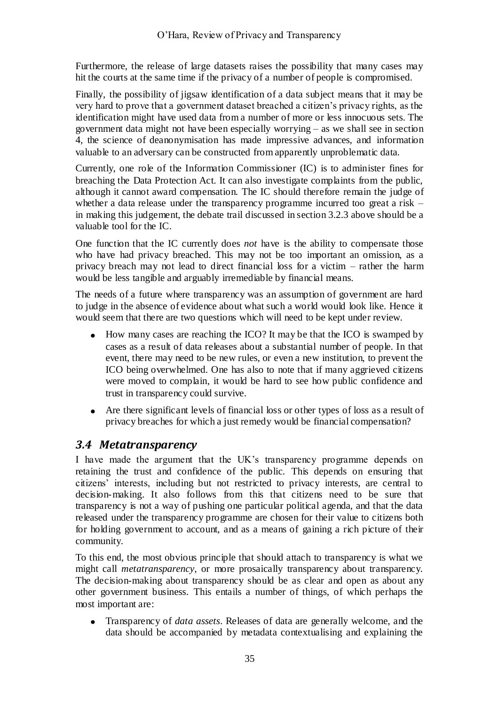Furthermore, the release of large datasets raises the possibility that many cases may hit the courts at the same time if the privacy of a number of people is compromised.

Finally, the possibility of jigsaw identification of a data subject means that it may be very hard to prove that a government dataset breached a citizen's privacy rights, as the identification might have used data from a number of more or less innocuous sets. The government data might not have been especially worrying – as we shall see in section [4,](#page-36-0) the science of deanonymisation has made impressive advances, and information valuable to an adversary can be constructed from apparently unproblematic data.

Currently, one role of the Information Commissioner (IC) is to administer fines for breaching the Data Protection Act. It can also investigate complaints from the public, although it cannot award compensation. The IC should therefore remain the judge of whether a data release under the transparency programme incurred too great a risk – in making this judgement, the debate trail discussed in section [3.2.3](#page-32-0) above should be a valuable tool for the IC.

One function that the IC currently does *not* have is the ability to compensate those who have had privacy breached. This may not be too important an omission, as a privacy breach may not lead to direct financial loss for a victim – rather the harm would be less tangible and arguably irremediable by financial means.

The needs of a future where transparency was an assumption of government are hard to judge in the absence of evidence about what such a world would look like. Hence it would seem that there are two questions which will need to be kept under review.

- $\bullet$ How many cases are reaching the ICO? It may be that the ICO is swamped by cases as a result of data releases about a substantial number of people. In that event, there may need to be new rules, or even a new institution, to prevent the ICO being overwhelmed. One has also to note that if many aggrieved citizens were moved to complain, it would be hard to see how public confidence and trust in transparency could survive.
- Are there significant levels of financial loss or other types of loss as a result of privacy breaches for which a just remedy would be financial compensation?

### <span id="page-34-0"></span>*3.4 Metatransparency*

I have made the argument that the UK's transparency programme depends on retaining the trust and confidence of the public. This depends on ensuring that citizens' interests, including but not restricted to privacy interests, are central to decision-making. It also follows from this that citizens need to be sure that transparency is not a way of pushing one particular political agenda, and that the data released under the transparency programme are chosen for their value to citizens both for holding government to account, and as a means of gaining a rich picture of their community.

To this end, the most obvious principle that should attach to transparency is what we might call *metatransparency*, or more prosaically transparency about transparency. The decision-making about transparency should be as clear and open as about any other government business. This entails a number of things, of which perhaps the most important are:

Transparency of *data assets*. Releases of data are generally welcome, and the data should be accompanied by metadata contextualising and explaining the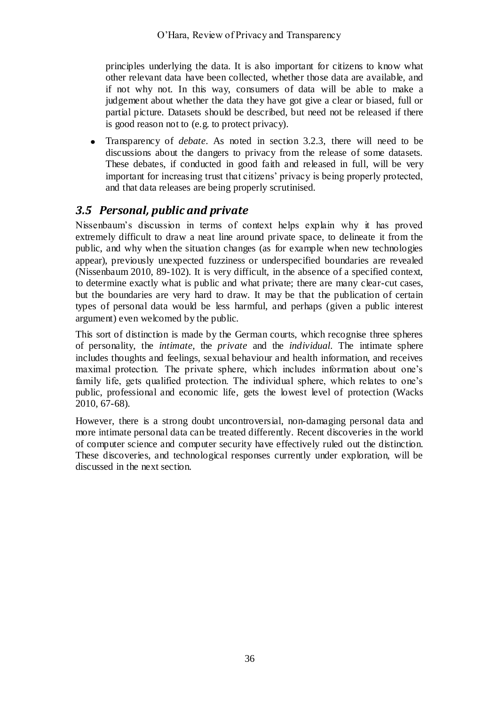principles underlying the data. It is also important for citizens to know what other relevant data have been collected, whether those data are available, and if not why not. In this way, consumers of data will be able to make a judgement about whether the data they have got give a clear or biased, full or partial picture. Datasets should be described, but need not be released if there is good reason not to (e.g. to protect privacy).

Transparency of *debate*. As noted in section [3.2.3,](#page-32-0) there will need to be discussions about the dangers to privacy from the release of some datasets. These debates, if conducted in good faith and released in full, will be very important for increasing trust that citizens' privacy is being properly protected, and that data releases are being properly scrutinised.

### <span id="page-35-0"></span>*3.5 Personal, public and private*

Nissenbaum's discussion in terms of context helps explain why it has proved extremely difficult to draw a neat line around private space, to delineate it from the public, and why when the situation changes (as for example when new technologies appear), previously unexpected fuzziness or underspecified boundaries are revealed (Nissenbaum 2010, 89-102). It is very difficult, in the absence of a specified context, to determine exactly what is public and what private; there are many clear-cut cases, but the boundaries are very hard to draw. It may be that the publication of certain types of personal data would be less harmful, and perhaps (given a public interest argument) even welcomed by the public.

This sort of distinction is made by the German courts, which recognise three spheres of personality, the *intimate*, the *private* and the *individual*. The intimate sphere includes thoughts and feelings, sexual behaviour and health information, and receives maximal protection. The private sphere, which includes information about one's family life, gets qualified protection. The individual sphere, which relates to one's public, professional and economic life, gets the lowest level of protection (Wacks 2010, 67-68).

However, there is a strong doubt uncontroversial, non-damaging personal data and more intimate personal data can be treated differently. Recent discoveries in the world of computer science and computer security have effectively ruled out the distinction. These discoveries, and technological responses currently under exploration, will be discussed in the next section.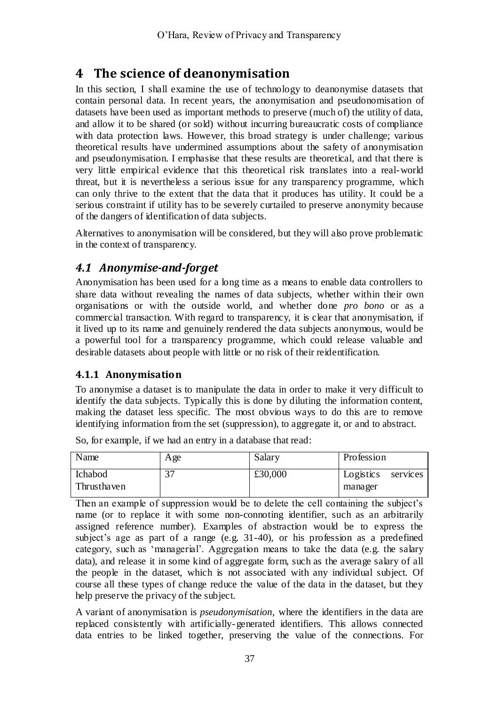# **4 The science of deanonymisation**

In this section, I shall examine the use of technology to deanonymise datasets that contain personal data. In recent years, the anonymisation and pseudonomisation of datasets have been used as important methods to preserve (much of) the utility of data, and allow it to be shared (or sold) without incurring bureaucratic costs of compliance with data protection laws. However, this broad strategy is under challenge; various theoretical results have undermined assumptions about the safety of anonymisation and pseudonymisation. I emphasise that these results are theoretical, and that there is very little empirical evidence that this theoretical risk translates into a real-world threat, but it is nevertheless a serious issue for any transparency programme, which can only thrive to the extent that the data that it produces has utility. It could be a serious constraint if utility has to be severely curtailed to preserve anonymity because of the dangers of identification of data subjects.

Alternatives to anonymisation will be considered, but they will also prove problematic in the context of transparency.

# *4.1 Anonymise-and-forget*

Anonymisation has been used for a long time as a means to enable data controllers to share data without revealing the names of data subjects, whether within their own organisations or with the outside world, and whether done *pro bono* or as a commercial transaction. With regard to transparency, it is clear that anonymisation, if it lived up to its name and genuinely rendered the data subjects anonymous, would be a powerful tool for a transparency programme, which could release valuable and desirable datasets about people with little or no risk of their reidentification.

## **4.1.1 Anonymisation**

To anonymise a dataset is to manipulate the data in order to make it very difficult to identify the data subjects. Typically this is done by diluting the information content, making the dataset less specific. The most obvious ways to do this are to remove identifying information from the set (suppression), to aggregate it, or and to abstract.

Name Age Salary Profession Ichabod Thrusthaven 37 £30,000 Logistics services manager

So, for example, if we had an entry in a database that read:

Then an example of suppression would be to delete the cell containing the subject's name (or to replace it with some non-connoting identifier, such as an arbitrarily assigned reference number). Examples of abstraction would be to express the subject's age as part of a range (e.g. 31-40), or his profession as a predefined category, such as ‗managerial'. Aggregation means to take the data (e.g. the salary data), and release it in some kind of aggregate form, such as the average salary of all the people in the dataset, which is not associated with any individual subject. Of course all these types of change reduce the value of the data in the dataset, but they help preserve the privacy of the subject.

A variant of anonymisation is *pseudonymisation*, where the identifiers in the data are replaced consistently with artificially-generated identifiers. This allows connected data entries to be linked together, preserving the value of the connections. For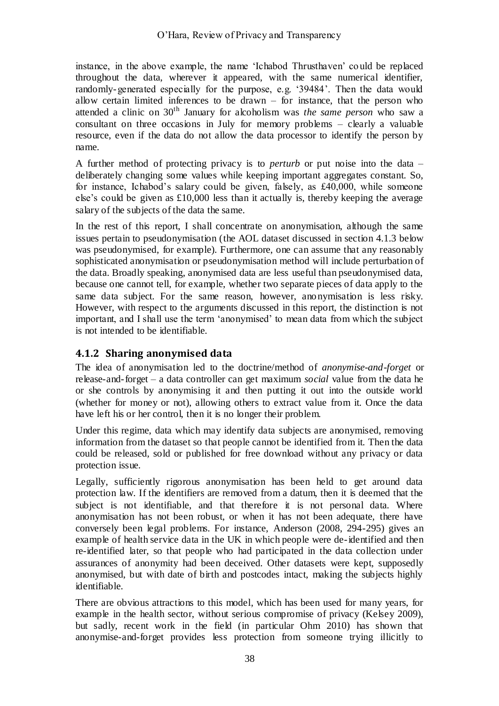instance, in the above example, the name 'Ichabod Thrusthaven' could be replaced throughout the data, wherever it appeared, with the same numerical identifier, randomly-generated especially for the purpose, e.g. ‗39484'. Then the data would allow certain limited inferences to be drawn  $-$  for instance, that the person who attended a clinic on 30th January for alcoholism was *the same person* who saw a consultant on three occasions in July for memory problems – clearly a valuable resource, even if the data do not allow the data processor to identify the person by name.

A further method of protecting privacy is to *perturb* or put noise into the data – deliberately changing some values while keeping important aggregates constant. So, for instance, Ichabod's salary could be given, falsely, as £40,000, while someone else's could be given as £10,000 less than it actually is, thereby keeping the average salary of the subjects of the data the same.

In the rest of this report, I shall concentrate on anonymisation, although the same issues pertain to pseudonymisation (the AOL dataset discussed in section [4.1.3](#page-38-0) below was pseudonymised, for example). Furthermore, one can assume that any reasonably sophisticated anonymisation or pseudonymisation method will include perturbation of the data. Broadly speaking, anonymised data are less useful than pseudonymised data, because one cannot tell, for example, whether two separate pieces of data apply to the same data subject. For the same reason, however, anonymisation is less risky. However, with respect to the arguments discussed in this report, the distinction is not important, and I shall use the term 'anonymised' to mean data from which the subject is not intended to be identifiable.

## **4.1.2 Sharing anonymised data**

The idea of anonymisation led to the doctrine/method of *anonymise-and-forget* or release-and-forget – a data controller can get maximum *social* value from the data he or she controls by anonymising it and then putting it out into the outside world (whether for money or not), allowing others to extract value from it. Once the data have left his or her control, then it is no longer their problem.

Under this regime, data which may identify data subjects are anonymised, removing information from the dataset so that people cannot be identified from it. Then the data could be released, sold or published for free download without any privacy or data protection issue.

Legally, sufficiently rigorous anonymisation has been held to get around data protection law. If the identifiers are removed from a datum, then it is deemed that the subject is not identifiable, and that therefore it is not personal data. Where anonymisation has not been robust, or when it has not been adequate, there have conversely been legal problems. For instance, Anderson (2008, 294-295) gives an example of health service data in the UK in which people were de-identified and then re-identified later, so that people who had participated in the data collection under assurances of anonymity had been deceived. Other datasets were kept, supposedly anonymised, but with date of birth and postcodes intact, making the subjects highly identifiable.

There are obvious attractions to this model, which has been used for many years, for example in the health sector, without serious compromise of privacy (Kelsey 2009), but sadly, recent work in the field (in particular Ohm 2010) has shown that anonymise-and-forget provides less protection from someone trying illicitly to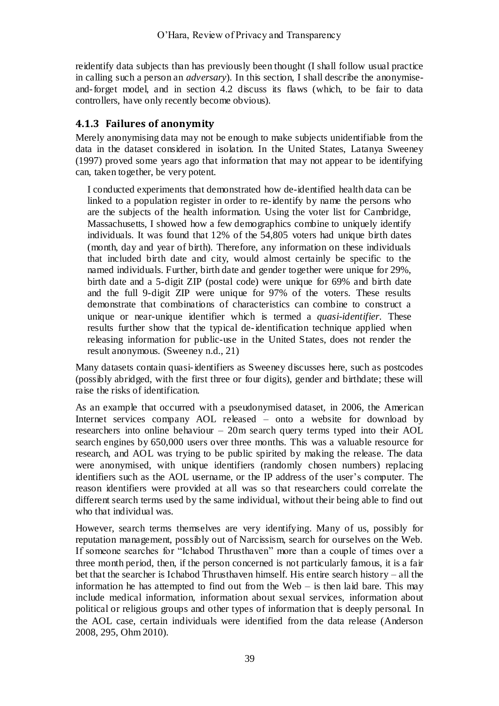reidentify data subjects than has previously been thought (I shall follow usual practice in calling such a person an *adversary*). In this section, I shall describe the anonymiseand-forget model, and in section [4.2](#page-39-0) discuss its flaws (which, to be fair to data controllers, have only recently become obvious).

## <span id="page-38-0"></span>**4.1.3 Failures of anonymity**

Merely anonymising data may not be enough to make subjects unidentifiable from the data in the dataset considered in isolation. In the United States, Latanya Sweeney (1997) proved some years ago that information that may not appear to be identifying can, taken together, be very potent.

I conducted experiments that demonstrated how de-identified health data can be linked to a population register in order to re-identify by name the persons who are the subjects of the health information. Using the voter list for Cambridge, Massachusetts, I showed how a few demographics combine to uniquely identify individuals. It was found that 12% of the 54,805 voters had unique birth dates (month, day and year of birth). Therefore, any information on these individuals that included birth date and city, would almost certainly be specific to the named individuals. Further, birth date and gender together were unique for 29%, birth date and a 5-digit ZIP (postal code) were unique for 69% and birth date and the full 9-digit ZIP were unique for 97% of the voters. These results demonstrate that combinations of characteristics can combine to construct a unique or near-unique identifier which is termed a *quasi-identifier*. These results further show that the typical de-identification technique applied when releasing information for public-use in the United States, does not render the result anonymous. (Sweeney n.d., 21)

Many datasets contain quasi-identifiers as Sweeney discusses here, such as postcodes (possibly abridged, with the first three or four digits), gender and birthdate; these will raise the risks of identification.

As an example that occurred with a pseudonymised dataset, in 2006, the American Internet services company AOL released – onto a website for download by researchers into online behaviour – 20m search query terms typed into their AOL search engines by 650,000 users over three months. This was a valuable resource for research, and AOL was trying to be public spirited by making the release. The data were anonymised, with unique identifiers (randomly chosen numbers) replacing identifiers such as the AOL username, or the IP address of the user's computer. The reason identifiers were provided at all was so that researchers could correlate the different search terms used by the same individual, without their being able to find out who that individual was.

However, search terms themselves are very identifying. Many of us, possibly for reputation management, possibly out of Narcissism, search for ourselves on the Web. If someone searches for "Ichabod Thrusthaven" more than a couple of times over a three month period, then, if the person concerned is not particularly famous, it is a fair bet that the searcher is Ichabod Thrusthaven himself. His entire search history – all the information he has attempted to find out from the Web  $-$  is then laid bare. This may include medical information, information about sexual services, information about political or religious groups and other types of information that is deeply personal. In the AOL case, certain individuals were identified from the data release (Anderson 2008, 295, Ohm 2010).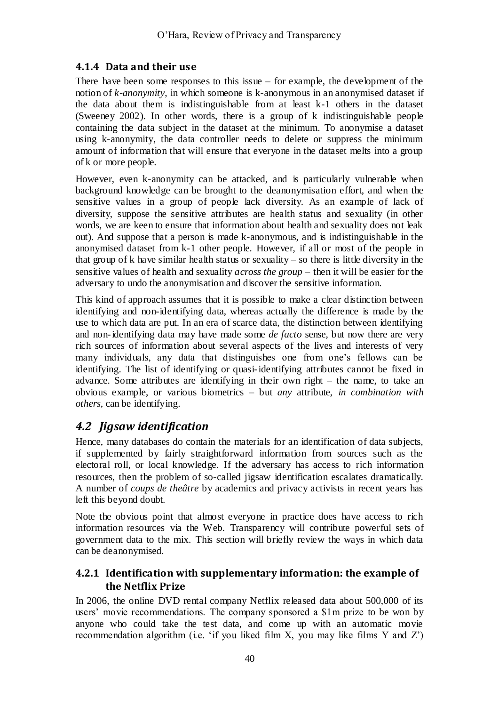## **4.1.4 Data and their use**

There have been some responses to this issue  $-$  for example, the development of the notion of *k-anonymity*, in which someone is k-anonymous in an anonymised dataset if the data about them is indistinguishable from at least k-1 others in the dataset (Sweeney 2002). In other words, there is a group of k indistinguishable people containing the data subject in the dataset at the minimum. To anonymise a dataset using k-anonymity, the data controller needs to delete or suppress the minimum amount of information that will ensure that everyone in the dataset melts into a group of k or more people.

However, even k-anonymity can be attacked, and is particularly vulnerable when background knowledge can be brought to the deanonymisation effort, and when the sensitive values in a group of people lack diversity. As an example of lack of diversity, suppose the sensitive attributes are health status and sexuality (in other words, we are keen to ensure that information about health and sexuality does not leak out). And suppose that a person is made k-anonymous, and is indistinguishable in the anonymised dataset from k-1 other people. However, if all or most of the people in that group of k have similar health status or sexuality – so there is little diversity in the sensitive values of health and sexuality *across the group* – then it will be easier for the adversary to undo the anonymisation and discover the sensitive information.

This kind of approach assumes that it is possible to make a clear distinction between identifying and non-identifying data, whereas actually the difference is made by the use to which data are put. In an era of scarce data, the distinction between identifying and non-identifying data may have made some *de facto* sense, but now there are very rich sources of information about several aspects of the lives and interests of very many individuals, any data that distinguishes one from one's fellows can be identifying. The list of identifying or quasi-identifying attributes cannot be fixed in advance. Some attributes are identifying in their own right – the name, to take an obvious example, or various biometrics – but *any* attribute, *in combination with others*, can be identifying.

# <span id="page-39-0"></span>*4.2 Jigsaw identification*

Hence, many databases do contain the materials for an identification of data subjects, if supplemented by fairly straightforward information from sources such as the electoral roll, or local knowledge. If the adversary has access to rich information resources, then the problem of so-called jigsaw identification escalates dramatically. A number of *coups de theâtre* by academics and privacy activists in recent years has left this beyond doubt.

Note the obvious point that almost everyone in practice does have access to rich information resources via the Web. Transparency will contribute powerful sets of government data to the mix. This section will briefly review the ways in which data can be deanonymised.

## **4.2.1 Identification with supplementary information: the example of the Netflix Prize**

In 2006, the online DVD rental company Netflix released data about 500,000 of its users' movie recommendations. The company sponsored a \$1m prize to be won by anyone who could take the test data, and come up with an automatic movie recommendation algorithm (i.e.  $\lq$  if you liked film X, you may like films Y and Z')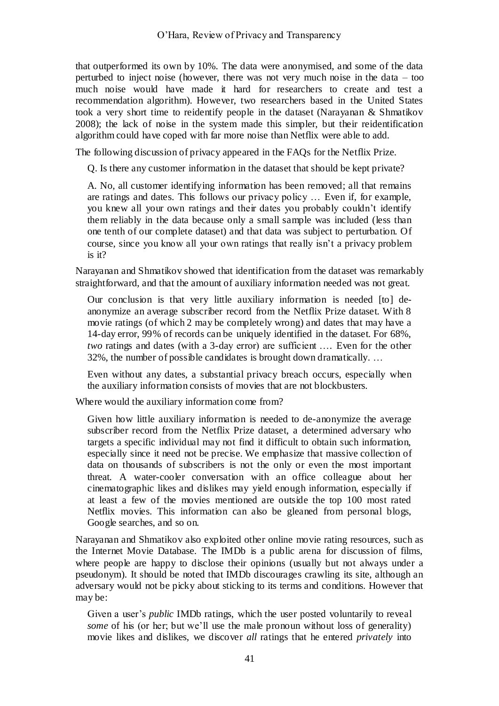that outperformed its own by 10%. The data were anonymised, and some of the data perturbed to inject noise (however, there was not very much noise in the data – too much noise would have made it hard for researchers to create and test a recommendation algorithm). However, two researchers based in the United States took a very short time to reidentify people in the dataset (Narayanan & Shmatikov 2008); the lack of noise in the system made this simpler, but their reidentification algorithm could have coped with far more noise than Netflix were able to add.

The following discussion of privacy appeared in the FAQs for the Netflix Prize.

Q. Is there any customer information in the dataset that should be kept private?

A. No, all customer identifying information has been removed; all that remains are ratings and dates. This follows our privacy policy … Even if, for example, you knew all your own ratings and their dates you probably couldn't identify them reliably in the data because only a small sample was included (less than one tenth of our complete dataset) and that data was subject to perturbation. Of course, since you know all your own ratings that really isn't a privacy problem is it?

Narayanan and Shmatikov showed that identification from the dataset was remarkably straightforward, and that the amount of auxiliary information needed was not great.

Our conclusion is that very little auxiliary information is needed [to] deanonymize an average subscriber record from the Netflix Prize dataset. With 8 movie ratings (of which 2 may be completely wrong) and dates that may have a 14-day error, 99% of records can be uniquely identified in the dataset. For 68%, *two* ratings and dates (with a 3-day error) are sufficient …. Even for the other 32%, the number of possible candidates is brought down dramatically. …

Even without any dates, a substantial privacy breach occurs, especially when the auxiliary information consists of movies that are not blockbusters.

Where would the auxiliary information come from?

Given how little auxiliary information is needed to de-anonymize the average subscriber record from the Netflix Prize dataset, a determined adversary who targets a specific individual may not find it difficult to obtain such information, especially since it need not be precise. We emphasize that massive collection of data on thousands of subscribers is not the only or even the most important threat. A water-cooler conversation with an office colleague about her cinematographic likes and dislikes may yield enough information, especially if at least a few of the movies mentioned are outside the top 100 most rated Netflix movies. This information can also be gleaned from personal blogs, Google searches, and so on.

Narayanan and Shmatikov also exploited other online movie rating resources, such as the Internet Movie Database. The IMDb is a public arena for discussion of films, where people are happy to disclose their opinions (usually but not always under a pseudonym). It should be noted that IMDb discourages crawling its site, although an adversary would not be picky about sticking to its terms and conditions. However that may be:

Given a user's *public* IMDb ratings, which the user posted voluntarily to reveal *some* of his (or her; but we'll use the male pronoun without loss of generality) movie likes and dislikes, we discover *all* ratings that he entered *privately* into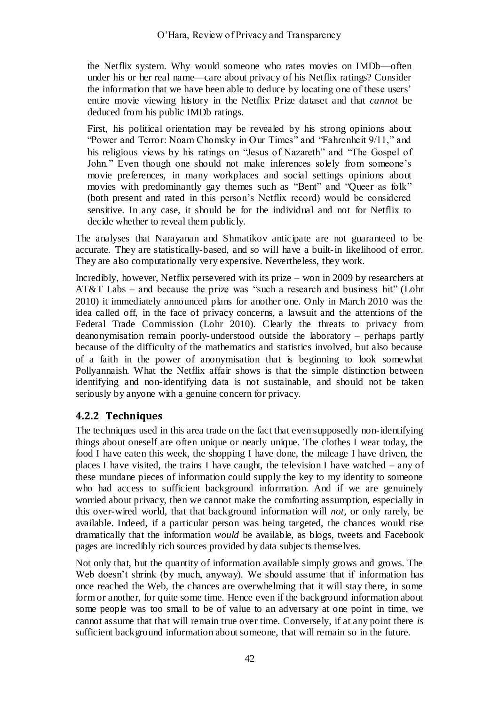the Netflix system. Why would someone who rates movies on IMDb—often under his or her real name—care about privacy of his Netflix ratings? Consider the information that we have been able to deduce by locating one of these users' entire movie viewing history in the Netflix Prize dataset and that *cannot* be deduced from his public IMDb ratings.

First, his political orientation may be revealed by his strong opinions about "Power and Terror: Noam Chomsky in Our Times" and "Fahrenheit 9/11," and his religious views by his ratings on "Jesus of Nazareth" and "The Gospel of John." Even though one should not make inferences solely from someone's movie preferences, in many workplaces and social settings opinions about movies with predominantly gay themes such as "Bent" and "Queer as folk" (both present and rated in this person's Netflix record) would be considered sensitive. In any case, it should be for the individual and not for Netflix to decide whether to reveal them publicly.

The analyses that Narayanan and Shmatikov anticipate are not guaranteed to be accurate. They are statistically-based, and so will have a built-in likelihood of error. They are also computationally very expensive. Nevertheless, they work.

Incredibly, however, Netflix persevered with its prize – won in 2009 by researchers at AT&T Labs – and because the prize was "such a research and business hit" (Lohr 2010) it immediately announced plans for another one. Only in March 2010 was the idea called off, in the face of privacy concerns, a lawsuit and the attentions of the Federal Trade Commission (Lohr 2010). Clearly the threats to privacy from deanonymisation remain poorly-understood outside the laboratory – perhaps partly because of the difficulty of the mathematics and statistics involved, but also because of a faith in the power of anonymisation that is beginning to look somewhat Pollyannaish. What the Netflix affair shows is that the simple distinction between identifying and non-identifying data is not sustainable, and should not be taken seriously by anyone with a genuine concern for privacy.

## **4.2.2 Techniques**

The techniques used in this area trade on the fact that even supposedly non-identifying things about oneself are often unique or nearly unique. The clothes I wear today, the food I have eaten this week, the shopping I have done, the mileage I have driven, the places I have visited, the trains I have caught, the television I have watched – any of these mundane pieces of information could supply the key to my identity to someone who had access to sufficient background information. And if we are genuinely worried about privacy, then we cannot make the comforting assumption, especially in this over-wired world, that that background information will *not*, or only rarely, be available. Indeed, if a particular person was being targeted, the chances would rise dramatically that the information *would* be available, as blogs, tweets and Facebook pages are incredibly rich sources provided by data subjects themselves.

Not only that, but the quantity of information available simply grows and grows. The Web doesn't shrink (by much, anyway). We should assume that if information has once reached the Web, the chances are overwhelming that it will stay there, in some form or another, for quite some time. Hence even if the background information about some people was too small to be of value to an adversary at one point in time, we cannot assume that that will remain true over time. Conversely, if at any point there *is* sufficient background information about someone, that will remain so in the future.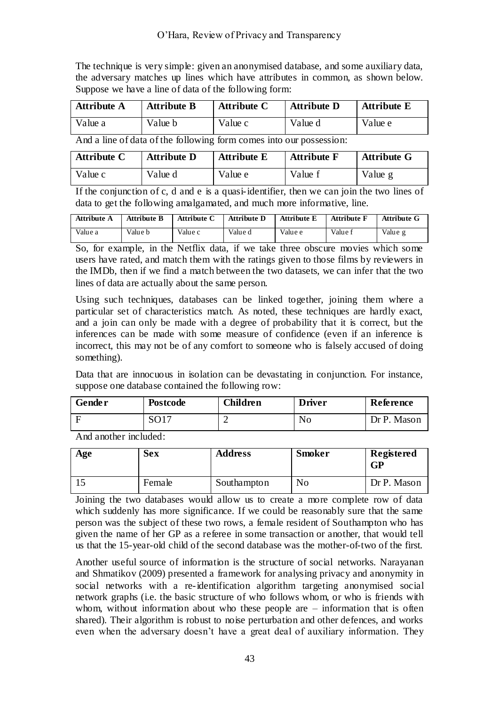The technique is very simple: given an anonymised database, and some auxiliary data, the adversary matches up lines which have attributes in common, as shown below. Suppose we have a line of data of the following form:

| <b>Attribute A</b> | <b>Attribute B</b> | <b>Attribute C</b> | <b>Attribute D</b> | <b>Attribute E</b> |
|--------------------|--------------------|--------------------|--------------------|--------------------|
| Value a            | Value b            | Value c            | Value d            | Value e            |

And a line of data of the following form comes into our possession:

| <b>Attribute C</b> | <b>Attribute D</b> | <b>Attribute E</b> | <b>Attribute F</b> | <b>Attribute G</b> |
|--------------------|--------------------|--------------------|--------------------|--------------------|
| Value c            | Value d            | Value e            | Value f            | Value g            |

If the conjunction of c, d and e is a quasi-identifier, then we can join the two lines of data to get the following amalgamated, and much more informative, line.

| <b>Attribute A</b> | <b>Attribute B</b> | Attribute C | <b>Attribute D</b> | <b>Attribute E</b> | <b>Attribute F</b> | <b>Attribute G</b> |
|--------------------|--------------------|-------------|--------------------|--------------------|--------------------|--------------------|
| Value a            | Value b            | Value c     | Value d            | Value e            | Value f            | Value g            |

So, for example, in the Netflix data, if we take three obscure movies which some users have rated, and match them with the ratings given to those films by reviewers in the IMDb, then if we find a match between the two datasets, we can infer that the two lines of data are actually about the same person.

Using such techniques, databases can be linked together, joining them where a particular set of characteristics match. As noted, these techniques are hardly exact, and a join can only be made with a degree of probability that it is correct, but the inferences can be made with some measure of confidence (even if an inference is incorrect, this may not be of any comfort to someone who is falsely accused of doing something).

Data that are innocuous in isolation can be devastating in conjunction. For instance, suppose one database contained the following row:

| No | Reference<br><b>Driver</b> | <b>Children</b> | <b>Postcode</b> | <b>Gender</b> |
|----|----------------------------|-----------------|-----------------|---------------|
| -  | Mason<br>DrP.              |                 |                 |               |

And another included:

| Age | <b>Sex</b> | <b>Address</b> | <b>Smoker</b> | Registered<br><b>GP</b> |
|-----|------------|----------------|---------------|-------------------------|
|     | Female     | Southampton    | No            | Dr P. Mason             |

Joining the two databases would allow us to create a more complete row of data which suddenly has more significance. If we could be reasonably sure that the same person was the subject of these two rows, a female resident of Southampton who has given the name of her GP as a referee in some transaction or another, that would tell us that the 15-year-old child of the second database was the mother-of-two of the first.

Another useful source of information is the structure of social networks. Narayanan and Shmatikov (2009) presented a framework for analysing privacy and anonymity in social networks with a re-identification algorithm targeting anonymised social network graphs (i.e. the basic structure of who follows whom, or who is friends with whom, without information about who these people are  $-$  information that is often shared). Their algorithm is robust to noise perturbation and other defences, and works even when the adversary doesn't have a great deal of auxiliary information. They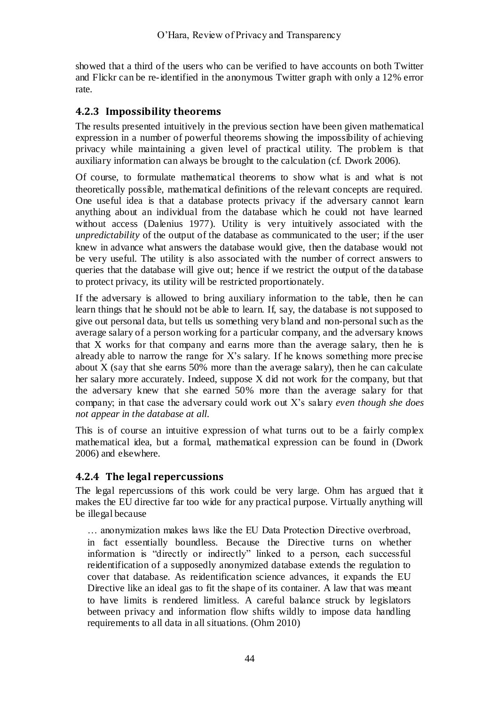showed that a third of the users who can be verified to have accounts on both Twitter and Flickr can be re-identified in the anonymous Twitter graph with only a 12% error rate.

#### <span id="page-43-0"></span>**4.2.3 Impossibility theorems**

The results presented intuitively in the previous section have been given mathematical expression in a number of powerful theorems showing the impossibility of achieving privacy while maintaining a given level of practical utility. The problem is that auxiliary information can always be brought to the calculation (cf. Dwork 2006).

Of course, to formulate mathematical theorems to show what is and what is not theoretically possible, mathematical definitions of the relevant concepts are required. One useful idea is that a database protects privacy if the adversary cannot learn anything about an individual from the database which he could not have learned without access (Dalenius 1977). Utility is very intuitively associated with the *unpredictability* of the output of the database as communicated to the user; if the user knew in advance what answers the database would give, then the database would not be very useful. The utility is also associated with the number of correct answers to queries that the database will give out; hence if we restrict the output of the da tabase to protect privacy, its utility will be restricted proportionately.

If the adversary is allowed to bring auxiliary information to the table, then he can learn things that he should not be able to learn. If, say, the database is not supposed to give out personal data, but tells us something very bland and non-personal such as the average salary of a person working for a particular company, and the adversary knows that X works for that company and earns more than the average salary, then he is already able to narrow the range for X's salary. If he knows something more precise about X (say that she earns 50% more than the average salary), then he can calculate her salary more accurately. Indeed, suppose X did not work for the company, but that the adversary knew that she earned 50% more than the average salary for that company; in that case the adversary could work out X's salary *even though she does not appear in the database at all*.

This is of course an intuitive expression of what turns out to be a fairly complex mathematical idea, but a formal, mathematical expression can be found in (Dwork 2006) and elsewhere.

#### **4.2.4 The legal repercussions**

The legal repercussions of this work could be very large. Ohm has argued that it makes the EU directive far too wide for any practical purpose. Virtually anything will be illegal because

… anonymization makes laws like the EU Data Protection Directive overbroad, in fact essentially boundless. Because the Directive turns on whether information is "directly or indirectly" linked to a person, each successful reidentification of a supposedly anonymized database extends the regulation to cover that database. As reidentification science advances, it expands the EU Directive like an ideal gas to fit the shape of its container. A law that was meant to have limits is rendered limitless. A careful balance struck by legislators between privacy and information flow shifts wildly to impose data handling requirements to all data in all situations. (Ohm 2010)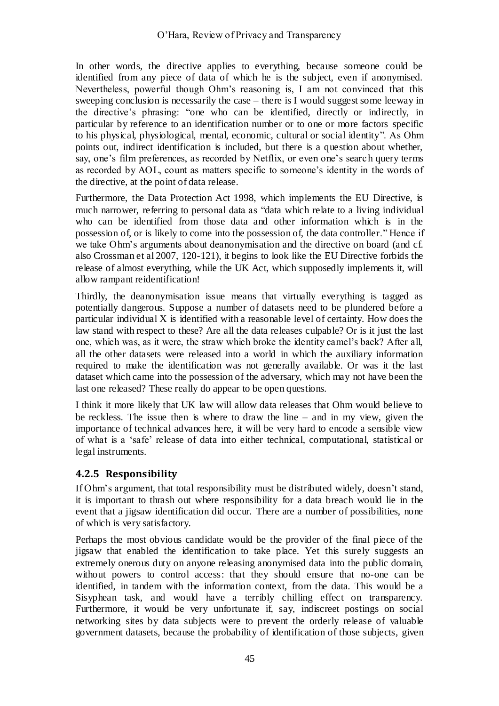In other words, the directive applies to everything, because someone could be identified from any piece of data of which he is the subject, even if anonymised. Nevertheless, powerful though Ohm's reasoning is, I am not convinced that this sweeping conclusion is necessarily the case – there is I would suggest some leeway in the directive's phrasing: "one who can be identified, directly or indirectly, in particular by reference to an identification number or to one or more factors specific to his physical, physiological, mental, economic, cultural or social identity". As Ohm points out, indirect identification is included, but there is a question about whether, say, one's film preferences, as recorded by Netflix, or even one's search query terms as recorded by AOL, count as matters specific to someone's identity in the words of the directive, at the point of data release.

Furthermore, the Data Protection Act 1998, which implements the EU Directive, is much narrower, referring to personal data as "data which relate to a living individual who can be identified from those data and other information which is in the possession of, or is likely to come into the possession of, the data controller." Hence if we take Ohm's arguments about deanonymisation and the directive on board (and cf. also Crossman et al 2007, 120-121), it begins to look like the EU Directive forbids the release of almost everything, while the UK Act, which supposedly implements it, will allow rampant reidentification!

Thirdly, the deanonymisation issue means that virtually everything is tagged as potentially dangerous. Suppose a number of datasets need to be plundered before a particular individual X is identified with a reasonable level of certainty. How does the law stand with respect to these? Are all the data releases culpable? Or is it just the last one, which was, as it were, the straw which broke the identity camel's back? After all, all the other datasets were released into a world in which the auxiliary information required to make the identification was not generally available. Or was it the last dataset which came into the possession of the adversary, which may not have been the last one released? These really do appear to be open questions.

I think it more likely that UK law will allow data releases that Ohm would believe to be reckless. The issue then is where to draw the line – and in my view, given the importance of technical advances here, it will be very hard to encode a sensible view of what is a ‗safe' release of data into either technical, computational, statistical or legal instruments.

## **4.2.5 Responsibility**

If Ohm's argument, that total responsibility must be distributed widely, doesn't stand, it is important to thrash out where responsibility for a data breach would lie in the event that a jigsaw identification did occur. There are a number of possibilities, none of which is very satisfactory.

Perhaps the most obvious candidate would be the provider of the final piece of the jigsaw that enabled the identification to take place. Yet this surely suggests an extremely onerous duty on anyone releasing anonymised data into the public domain, without powers to control access: that they should ensure that no-one can be identified, in tandem with the information context, from the data. This would be a Sisyphean task, and would have a terribly chilling effect on transparency. Furthermore, it would be very unfortunate if, say, indiscreet postings on social networking sites by data subjects were to prevent the orderly release of valuable government datasets, because the probability of identification of those subjects, given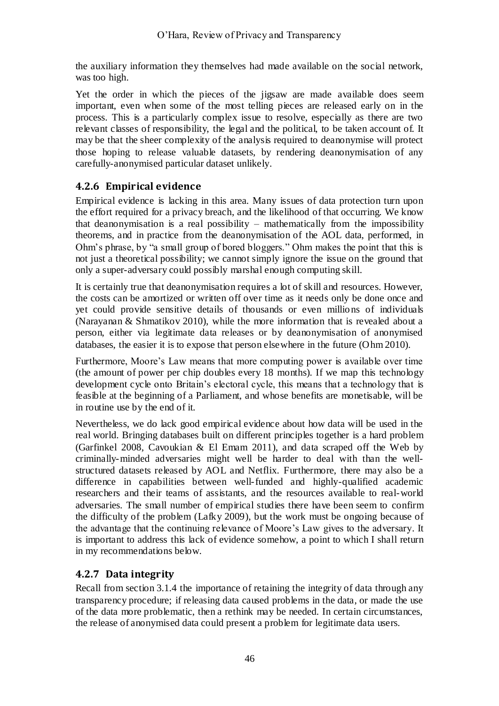the auxiliary information they themselves had made available on the social network, was too high.

Yet the order in which the pieces of the jigsaw are made available does seem important, even when some of the most telling pieces are released early on in the process. This is a particularly complex issue to resolve, especially as there are two relevant classes of responsibility, the legal and the political, to be taken account of. It may be that the sheer complexity of the analysis required to deanonymise will protect those hoping to release valuable datasets, by rendering deanonymisation of any carefully-anonymised particular dataset unlikely.

## **4.2.6 Empirical evidence**

Empirical evidence is lacking in this area. Many issues of data protection turn upon the effort required for a privacy breach, and the likelihood of that occurring. We know that deanonymisation is a real possibility – mathematically from the impossibility theorems, and in practice from the deanonymisation of the AOL data, performed, in Ohm's phrase, by "a small group of bored bloggers." Ohm makes the point that this is not just a theoretical possibility; we cannot simply ignore the issue on the ground that only a super-adversary could possibly marshal enough computing skill.

It is certainly true that deanonymisation requires a lot of skill and resources. However, the costs can be amortized or written off over time as it needs only be done once and yet could provide sensitive details of thousands or even millions of individuals (Narayanan & Shmatikov 2010), while the more information that is revealed about a person, either via legitimate data releases or by deanonymisation of anonymised databases, the easier it is to expose that person elsewhere in the future (Ohm 2010).

Furthermore, Moore's Law means that more computing power is available over time (the amount of power per chip doubles every 18 months). If we map this technology development cycle onto Britain's electoral cycle, this means that a technology that is feasible at the beginning of a Parliament, and whose benefits are monetisable, will be in routine use by the end of it.

Nevertheless, we do lack good empirical evidence about how data will be used in the real world. Bringing databases built on different principles together is a hard problem (Garfinkel 2008, Cavoukian & El Emam 2011), and data scraped off the Web by criminally-minded adversaries might well be harder to deal with than the wellstructured datasets released by AOL and Netflix. Furthermore, there may also be a difference in capabilities between well-funded and highly-qualified academic researchers and their teams of assistants, and the resources available to real-world adversaries. The small number of empirical studies there have been seem to confirm the difficulty of the problem (Lafky 2009), but the work must be ongoing because of the advantage that the continuing relevance of Moore's Law gives to the adversary. It is important to address this lack of evidence somehow, a point to which I shall return in my recommendations below.

## **4.2.7 Data integrity**

Recall from section [3.1.4](#page-29-0) the importance of retaining the integrity of data through any transparency procedure; if releasing data caused problems in the data, or made the use of the data more problematic, then a rethink may be needed. In certain circumstances, the release of anonymised data could present a problem for legitimate data users.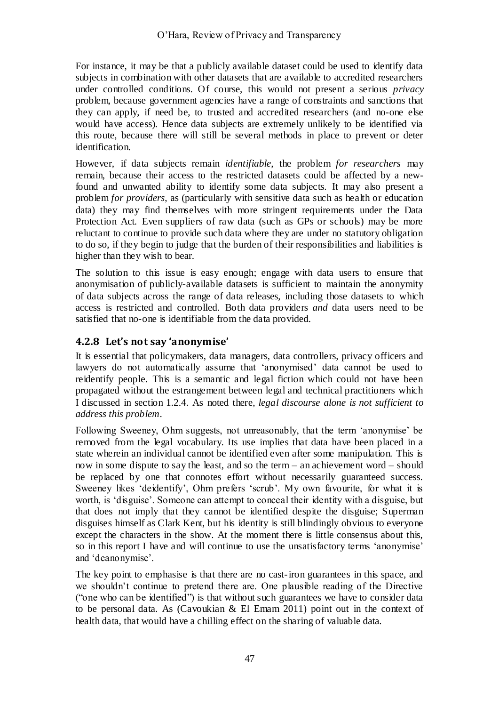For instance, it may be that a publicly available dataset could be used to identify data subjects in combination with other datasets that are available to accredited researchers under controlled conditions. Of course, this would not present a serious *privacy* problem, because government agencies have a range of constraints and sanctions that they can apply, if need be, to trusted and accredited researchers (and no-one else would have access). Hence data subjects are extremely unlikely to be identified via this route, because there will still be several methods in place to prevent or deter identification.

However, if data subjects remain *identifiable*, the problem *for researchers* may remain, because their access to the restricted datasets could be affected by a newfound and unwanted ability to identify some data subjects. It may also present a problem *for providers*, as (particularly with sensitive data such as health or education data) they may find themselves with more stringent requirements under the Data Protection Act. Even suppliers of raw data (such as GPs or schools) may be more reluctant to continue to provide such data where they are under no statutory obligation to do so, if they begin to judge that the burden of their responsibilities and liabilities is higher than they wish to bear.

The solution to this issue is easy enough; engage with data users to ensure that anonymisation of publicly-available datasets is sufficient to maintain the anonymity of data subjects across the range of data releases, including those datasets to which access is restricted and controlled. Both data providers *and* data users need to be satisfied that no-one is identifiable from the data provided.

## **4.2.8 Let's not say 'anonymise'**

It is essential that policymakers, data managers, data controllers, privacy officers and lawyers do not automatically assume that 'anonymised' data cannot be used to reidentify people. This is a semantic and legal fiction which could not have been propagated without the estrangement between legal and technical practitioners which I discussed in section [1.2.4.](#page-9-0) As noted there, *legal discourse alone is not sufficient to address this problem*.

Following Sweeney, Ohm suggests, not unreasonably, that the term 'anonymise' be removed from the legal vocabulary. Its use implies that data have been placed in a state wherein an individual cannot be identified even after some manipulation. This is now in some dispute to say the least, and so the term – an achievement word – should be replaced by one that connotes effort without necessarily guaranteed success. Sweeney likes 'deidentify', Ohm prefers 'scrub'. My own favourite, for what it is worth, is ‗disguise'. Someone can attempt to conceal their identity with a disguise, but that does not imply that they cannot be identified despite the disguise; Superman disguises himself as Clark Kent, but his identity is still blindingly obvious to everyone except the characters in the show. At the moment there is little consensus about this, so in this report I have and will continue to use the unsatisfactory terms ‗anonymise' and 'deanonymise'.

The key point to emphasise is that there are no cast-iron guarantees in this space, and we shouldn't continue to pretend there are. One plausible reading of the Directive ("one who can be identified") is that without such guarantees we have to consider data to be personal data. As (Cavoukian & El Emam 2011) point out in the context of health data, that would have a chilling effect on the sharing of valuable data.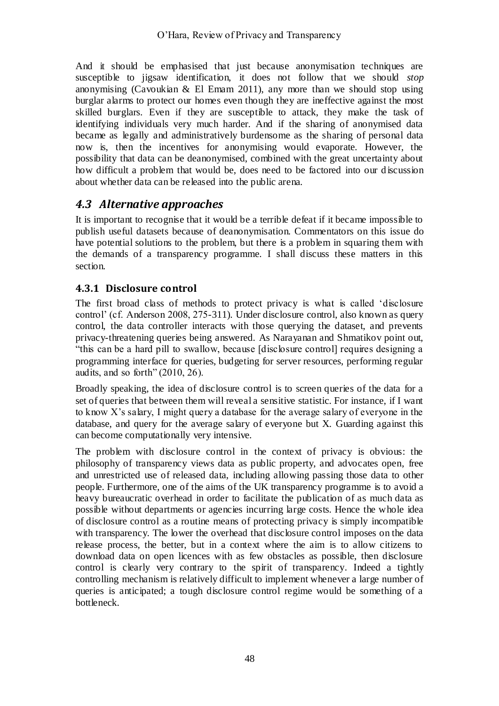And it should be emphasised that just because anonymisation techniques are susceptible to jigsaw identification, it does not follow that we should *stop* anonymising (Cavoukian  $\&$  El Emam 2011), any more than we should stop using burglar alarms to protect our homes even though they are ineffective against the most skilled burglars. Even if they are susceptible to attack, they make the task of identifying individuals very much harder. And if the sharing of anonymised data became as legally and administratively burdensome as the sharing of personal data now is, then the incentives for anonymising would evaporate. However, the possibility that data can be deanonymised, combined with the great uncertainty about how difficult a problem that would be, does need to be factored into our d iscussion about whether data can be released into the public arena.

# *4.3 Alternative approaches*

It is important to recognise that it would be a terrible defeat if it became impossible to publish useful datasets because of deanonymisation. Commentators on this issue do have potential solutions to the problem, but there is a problem in squaring them with the demands of a transparency programme. I shall discuss these matters in this section.

## **4.3.1 Disclosure control**

The first broad class of methods to protect privacy is what is called 'disclosure control' (cf. Anderson 2008, 275-311). Under disclosure control, also known as query control, the data controller interacts with those querying the dataset, and prevents privacy-threatening queries being answered. As Narayanan and Shmatikov point out, "this can be a hard pill to swallow, because [disclosure control] requires designing a programming interface for queries, budgeting for server resources, performing regular audits, and so forth"  $(2010, 26)$ .

Broadly speaking, the idea of disclosure control is to screen queries of the data for a set of queries that between them will reveal a sensitive statistic. For instance, if I want to know X's salary, I might query a database for the average salary of everyone in the database, and query for the average salary of everyone but X. Guarding against this can become computationally very intensive.

The problem with disclosure control in the context of privacy is obvious: the philosophy of transparency views data as public property, and advocates open, free and unrestricted use of released data, including allowing passing those data to other people. Furthermore, one of the aims of the UK transparency programme is to avoid a heavy bureaucratic overhead in order to facilitate the publication of as much data as possible without departments or agencies incurring large costs. Hence the whole idea of disclosure control as a routine means of protecting privacy is simply incompatible with transparency. The lower the overhead that disclosure control imposes on the data release process, the better, but in a context where the aim is to allow citizens to download data on open licences with as few obstacles as possible, then disclosure control is clearly very contrary to the spirit of transparency. Indeed a tightly controlling mechanism is relatively difficult to implement whenever a large number of queries is anticipated; a tough disclosure control regime would be something of a bottleneck.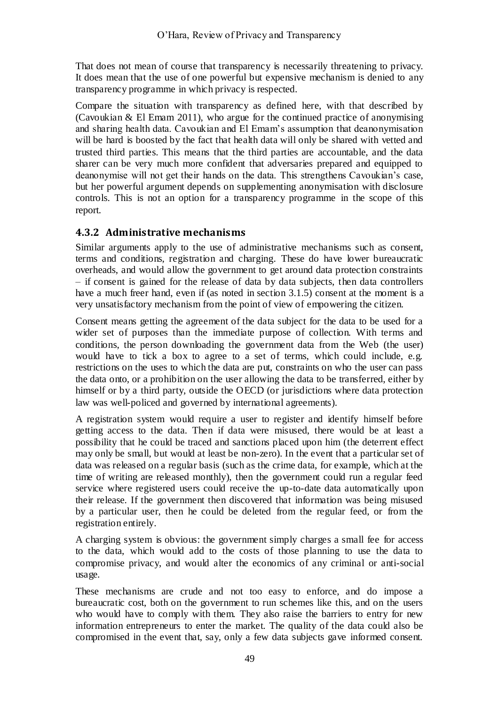That does not mean of course that transparency is necessarily threatening to privacy. It does mean that the use of one powerful but expensive mechanism is denied to any transparency programme in which privacy is respected.

Compare the situation with transparency as defined here, with that described by (Cavoukian  $&\text{El Emam 2011}$ ), who argue for the continued practice of anonymising and sharing health data. Cavoukian and El Emam's assumption that deanonymisation will be hard is boosted by the fact that health data will only be shared with vetted and trusted third parties. This means that the third parties are accountable, and the data sharer can be very much more confident that adversaries prepared and equipped to deanonymise will not get their hands on the data. This strengthens Cavoukian's case, but her powerful argument depends on supplementing anonymisation with disclosure controls. This is not an option for a transparency programme in the scope of this report.

## <span id="page-48-0"></span>**4.3.2 Administrative mechanisms**

Similar arguments apply to the use of administrative mechanisms such as consent, terms and conditions, registration and charging. These do have lower bureaucratic overheads, and would allow the government to get around data protection constraints – if consent is gained for the release of data by data subjects, then data controllers have a much freer hand, even if (as noted in section [3.1.5\)](#page-30-0) consent at the moment is a very unsatisfactory mechanism from the point of view of empowering the citizen.

Consent means getting the agreement of the data subject for the data to be used for a wider set of purposes than the immediate purpose of collection. With terms and conditions, the person downloading the government data from the Web (the user) would have to tick a box to agree to a set of terms, which could include, e.g. restrictions on the uses to which the data are put, constraints on who the user can pass the data onto, or a prohibition on the user allowing the data to be transferred, either by himself or by a third party, outside the OECD (or jurisdictions where data protection law was well-policed and governed by international agreements).

A registration system would require a user to register and identify himself before getting access to the data. Then if data were misused, there would be at least a possibility that he could be traced and sanctions placed upon him (the deterrent effect may only be small, but would at least be non-zero). In the event that a particular set of data was released on a regular basis (such as the crime data, for example, which at the time of writing are released monthly), then the government could run a regular feed service where registered users could receive the up-to-date data automatically upon their release. If the government then discovered that information was being misused by a particular user, then he could be deleted from the regular feed, or from the registration entirely.

A charging system is obvious: the government simply charges a small fee for access to the data, which would add to the costs of those planning to use the data to compromise privacy, and would alter the economics of any criminal or anti-social usage.

These mechanisms are crude and not too easy to enforce, and do impose a bureaucratic cost, both on the government to run schemes like this, and on the users who would have to comply with them. They also raise the barriers to entry for new information entrepreneurs to enter the market. The quality of the data could also be compromised in the event that, say, only a few data subjects gave informed consent.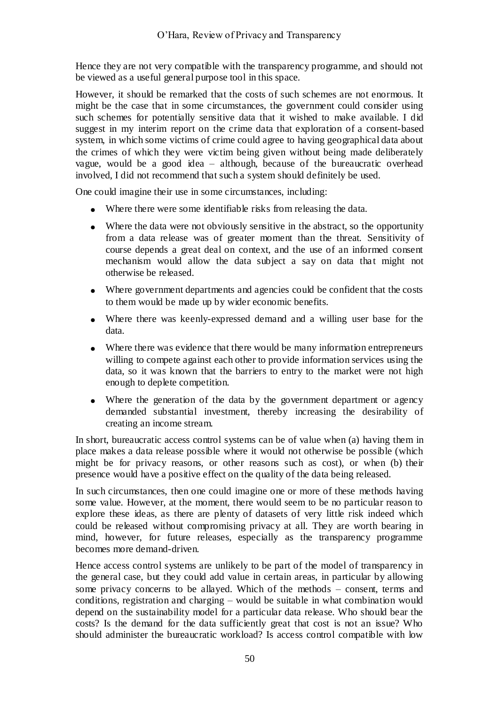Hence they are not very compatible with the transparency programme, and should not be viewed as a useful general purpose tool in this space.

However, it should be remarked that the costs of such schemes are not enormous. It might be the case that in some circumstances, the government could consider using such schemes for potentially sensitive data that it wished to make available. I did suggest in my interim report on the crime data that exploration of a consent-based system, in which some victims of crime could agree to having geographical data about the crimes of which they were victim being given without being made deliberately vague, would be a good idea – although, because of the bureaucratic overhead involved, I did not recommend that such a system should definitely be used.

One could imagine their use in some circumstances, including:

- Where there were some identifiable risks from releasing the data.
- Where the data were not obviously sensitive in the abstract, so the opportunity from a data release was of greater moment than the threat. Sensitivity of course depends a great deal on context, and the use of an informed consent mechanism would allow the data subject a say on data that might not otherwise be released.
- Where government departments and agencies could be confident that the costs to them would be made up by wider economic benefits.
- Where there was keenly-expressed demand and a willing user base for the data.
- Where there was evidence that there would be many information entrepreneurs  $\bullet$ willing to compete against each other to provide information services using the data, so it was known that the barriers to entry to the market were not high enough to deplete competition.
- Where the generation of the data by the government department or agency demanded substantial investment, thereby increasing the desirability of creating an income stream.

In short, bureaucratic access control systems can be of value when (a) having them in place makes a data release possible where it would not otherwise be possible (which might be for privacy reasons, or other reasons such as cost), or when (b) their presence would have a positive effect on the quality of the data being released.

In such circumstances, then one could imagine one or more of these methods having some value. However, at the moment, there would seem to be no particular reason to explore these ideas, as there are plenty of datasets of very little risk indeed which could be released without compromising privacy at all. They are worth bearing in mind, however, for future releases, especially as the transparency programme becomes more demand-driven.

Hence access control systems are unlikely to be part of the model of transparency in the general case, but they could add value in certain areas, in particular by allowing some privacy concerns to be allayed. Which of the methods – consent, terms and conditions, registration and charging – would be suitable in what combination would depend on the sustainability model for a particular data release. Who should bear the costs? Is the demand for the data sufficiently great that cost is not an issue? Who should administer the bureaucratic workload? Is access control compatible with low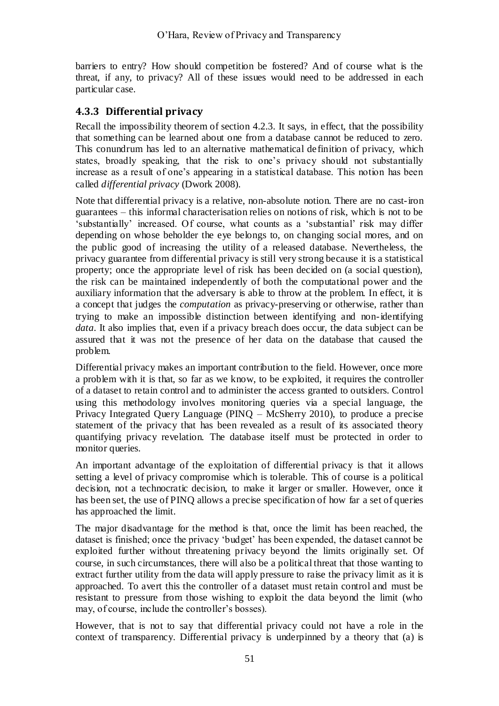barriers to entry? How should competition be fostered? And of course what is the threat, if any, to privacy? All of these issues would need to be addressed in each particular case.

## **4.3.3 Differential privacy**

Recall the impossibility theorem of section [4.2.3.](#page-43-0) It says, in effect, that the possibility that something can be learned about one from a database cannot be reduced to zero. This conundrum has led to an alternative mathematical definition of privacy, which states, broadly speaking, that the risk to one's privacy should not substantially increase as a result of one's appearing in a statistical database. This notion has been called *differential privacy* (Dwork 2008).

Note that differential privacy is a relative, non-absolute notion. There are no cast-iron guarantees – this informal characterisation relies on notions of risk, which is not to be ‗substantially' increased. Of course, what counts as a ‗substantial' risk may differ depending on whose beholder the eye belongs to, on changing social mores, and on the public good of increasing the utility of a released database. Nevertheless, the privacy guarantee from differential privacy is still very strong because it is a statistical property; once the appropriate level of risk has been decided on (a social question), the risk can be maintained independently of both the computational power and the auxiliary information that the adversary is able to throw at the problem. In effect, it is a concept that judges the *computation* as privacy-preserving or otherwise, rather than trying to make an impossible distinction between identifying and non-identifying *data*. It also implies that, even if a privacy breach does occur, the data subject can be assured that it was not the presence of her data on the database that caused the problem.

Differential privacy makes an important contribution to the field. However, once more a problem with it is that, so far as we know, to be exploited, it requires the controller of a dataset to retain control and to administer the access granted to outsiders. Control using this methodology involves monitoring queries via a special language, the Privacy Integrated Query Language (PINQ – McSherry 2010), to produce a precise statement of the privacy that has been revealed as a result of its associated theory quantifying privacy revelation. The database itself must be protected in order to monitor queries.

An important advantage of the exploitation of differential privacy is that it allows setting a level of privacy compromise which is tolerable. This of course is a political decision, not a technocratic decision, to make it larger or smaller. However, once it has been set, the use of PINQ allows a precise specification of how far a set of queries has approached the limit.

The major disadvantage for the method is that, once the limit has been reached, the dataset is finished; once the privacy 'budget' has been expended, the dataset cannot be exploited further without threatening privacy beyond the limits originally set. Of course, in such circumstances, there will also be a political threat that those wanting to extract further utility from the data will apply pressure to raise the privacy limit as it is approached. To avert this the controller of a dataset must retain control and must be resistant to pressure from those wishing to exploit the data beyond the limit (who may, of course, include the controller's bosses).

However, that is not to say that differential privacy could not have a role in the context of transparency. Differential privacy is underpinned by a theory that (a) is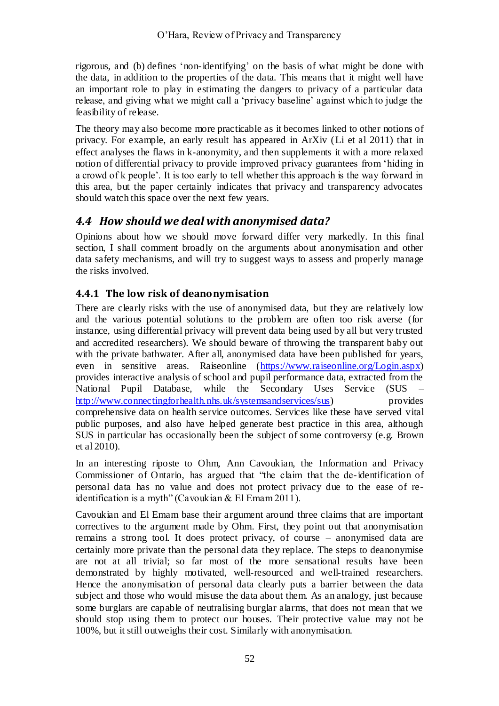rigorous, and (b) defines 'non-identifying' on the basis of what might be done with the data, in addition to the properties of the data. This means that it might well have an important role to play in estimating the dangers to privacy of a particular data release, and giving what we might call a 'privacy baseline' against which to judge the feasibility of release.

The theory may also become more practicable as it becomes linked to other notions of privacy. For example, an early result has appeared in ArXiv (Li et al 2011) that in effect analyses the flaws in k-anonymity, and then supplements it with a more relaxed notion of differential privacy to provide improved privacy guarantees from 'hiding in a crowd of k people'. It is too early to tell whether this approach is the way forward in this area, but the paper certainly indicates that privacy and transparency advocates should watch this space over the next few years.

# *4.4 How should we deal with anonymised data?*

Opinions about how we should move forward differ very markedly. In this final section, I shall comment broadly on the arguments about anonymisation and other data safety mechanisms, and will try to suggest ways to assess and properly manage the risks involved.

## **4.4.1 The low risk of deanonymisation**

There are clearly risks with the use of anonymised data, but they are relatively low and the various potential solutions to the problem are often too risk averse (for instance, using differential privacy will prevent data being used by all but very trusted and accredited researchers). We should beware of throwing the transparent baby out with the private bathwater. After all, anonymised data have been published for years, even in sensitive areas. Raiseonline [\(https://www.raiseonline.org/Login.aspx\)](https://www.raiseonline.org/Login.aspx) provides interactive analysis of school and pupil performance data, extracted from the National Pupil Database, while the Secondary Uses Service (SUS – [http://www.connectingforhealth.nhs.uk/systemsandservices/sus\)](http://www.connectingforhealth.nhs.uk/systemsandservices/sus) provides comprehensive data on health service outcomes. Services like these have served vital public purposes, and also have helped generate best practice in this area, although SUS in particular has occasionally been the subject of some controversy (e.g. Brown et al 2010).

In an interesting riposte to Ohm, Ann Cavoukian, the Information and Privacy Commissioner of Ontario, has argued that "the claim that the de-identification of personal data has no value and does not protect privacy due to the ease of reidentification is a myth" (Cavoukian  $& \text{El Emann 2011}.$ 

Cavoukian and El Emam base their argument around three claims that are important correctives to the argument made by Ohm. First, they point out that anonymisation remains a strong tool. It does protect privacy, of course – anonymised data are certainly more private than the personal data they replace. The steps to deanonymise are not at all trivial; so far most of the more sensational results have been demonstrated by highly motivated, well-resourced and well-trained researchers. Hence the anonymisation of personal data clearly puts a barrier between the data subject and those who would misuse the data about them. As an analogy, just because some burglars are capable of neutralising burglar alarms, that does not mean that we should stop using them to protect our houses. Their protective value may not be 100%, but it still outweighs their cost. Similarly with anonymisation.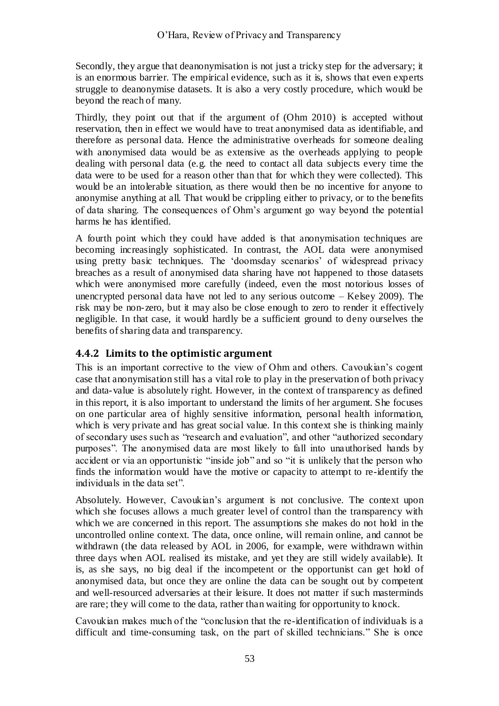Secondly, they argue that deanonymisation is not just a tricky step for the adversary; it is an enormous barrier. The empirical evidence, such as it is, shows that even experts struggle to deanonymise datasets. It is also a very costly procedure, which would be beyond the reach of many.

Thirdly, they point out that if the argument of (Ohm 2010) is accepted without reservation, then in effect we would have to treat anonymised data as identifiable, and therefore as personal data. Hence the administrative overheads for someone dealing with anonymised data would be as extensive as the overheads applying to people dealing with personal data (e.g. the need to contact all data subjects every time the data were to be used for a reason other than that for which they were collected). This would be an intolerable situation, as there would then be no incentive for anyone to anonymise anything at all. That would be crippling either to privacy, or to the benefits of data sharing. The consequences of Ohm's argument go way beyond the potential harms he has identified.

A fourth point which they could have added is that anonymisation techniques are becoming increasingly sophisticated. In contrast, the AOL data were anonymised using pretty basic techniques. The 'doomsday scenarios' of widespread privacy breaches as a result of anonymised data sharing have not happened to those datasets which were anonymised more carefully (indeed, even the most notorious losses of unencrypted personal data have not led to any serious outcome – Kelsey 2009). The risk may be non-zero, but it may also be close enough to zero to render it effectively negligible. In that case, it would hardly be a sufficient ground to deny ourselves the benefits of sharing data and transparency.

#### **4.4.2 Limits to the optimistic argument**

This is an important corrective to the view of Ohm and others. Cavoukian's cogent case that anonymisation still has a vital role to play in the preservation of both privacy and data-value is absolutely right. However, in the context of transparency as defined in this report, it is also important to understand the limits of her argument. She focuses on one particular area of highly sensitive information, personal health information, which is very private and has great social value. In this context she is thinking mainly of secondary uses such as "research and evaluation", and other "authorized secondary purposes". The anonymised data are most likely to fall into unauthorised hands by accident or via an opportunistic "inside job" and so "it is unlikely that the person who finds the information would have the motive or capacity to attempt to re-identify the individuals in the data set".

Absolutely. However, Cavoukian's argument is not conclusive. The context upon which she focuses allows a much greater level of control than the transparency with which we are concerned in this report. The assumptions she makes do not hold in the uncontrolled online context. The data, once online, will remain online, and cannot be withdrawn (the data released by AOL in 2006, for example, were withdrawn within three days when AOL realised its mistake, and yet they are still widely available). It is, as she says, no big deal if the incompetent or the opportunist can get hold of anonymised data, but once they are online the data can be sought out by competent and well-resourced adversaries at their leisure. It does not matter if such masterminds are rare; they will come to the data, rather than waiting for opportunity to knock.

Cavoukian makes much of the "conclusion that the re-identification of individuals is a difficult and time-consuming task, on the part of skilled technicians." She is once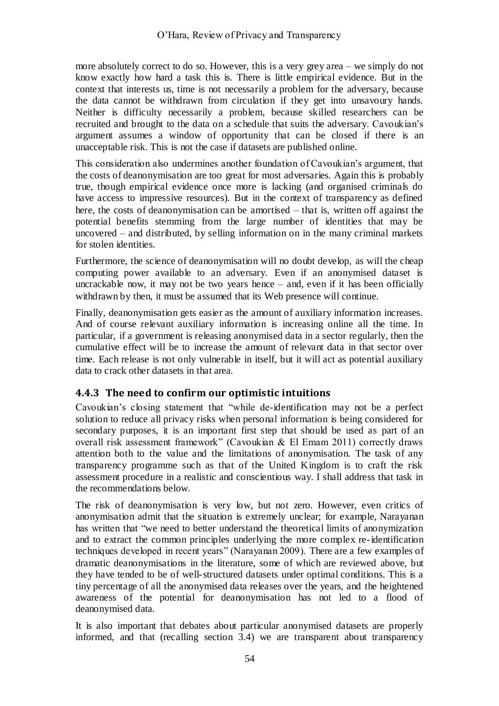more absolutely correct to do so. However, this is a very grey area – we simply do not know exactly how hard a task this is. There is little empirical evidence. But in the context that interests us, time is not necessarily a problem for the adversary, because the data cannot be withdrawn from circulation if they get into unsavoury hands. Neither is difficulty necessarily a problem, because skilled researchers can be recruited and brought to the data on a schedule that suits the adversary. Cavoukian's argument assumes a window of opportunity that can be closed if there is an unacceptable risk. This is not the case if datasets are published online.

This consideration also undermines another foundation of Cavoukian's argument, that the costs of deanonymisation are too great for most adversaries. Again this is probably true, though empirical evidence once more is lacking (and organised criminals do have access to impressive resources). But in the context of transparency as defined here, the costs of deanonymisation can be amortised – that is, written off against the potential benefits stemming from the large number of identities that may be uncovered – and distributed, by selling information on in the many criminal markets for stolen identities.

Furthermore, the science of deanonymisation will no doubt develop, as will the cheap computing power available to an adversary. Even if an anonymised dataset is uncrackable now, it may not be two years hence – and, even if it has been officially withdrawn by then, it must be assumed that its Web presence will continue.

Finally, deanonymisation gets easier as the amount of auxiliary information increases. And of course relevant auxiliary information is increasing online all the time. In particular, if a government is releasing anonymised data in a sector regularly, then the cumulative effect will be to increase the amount of relevant data in that sector over time. Each release is not only vulnerable in itself, but it will act as potential auxiliary data to crack other datasets in that area.

#### **4.4.3 The need to confirm our optimistic intuitions**

Cavoukian's closing statement that "while de-identification may not be a perfect solution to reduce all privacy risks when personal information is being considered for secondary purposes, it is an important first step that should be used as part of an overall risk assessment framework" (Cavoukian & El Emam 2011) correctly draws attention both to the value and the limitations of anonymisation. The task of any transparency programme such as that of the United Kingdom is to craft the risk assessment procedure in a realistic and conscientious way. I shall address that task in the recommendations below.

The risk of deanonymisation is very low, but not zero. However, even critics of anonymisation admit that the situation is extremely unclear; for example, Narayanan has written that "we need to better understand the theoretical limits of anonymization and to extract the common principles underlying the more complex re-identification techniques developed in recent years" (Narayanan 2009). There are a few examples of dramatic deanonymisations in the literature, some of which are reviewed above, but they have tended to be of well-structured datasets under optimal conditions. This is a tiny percentage of all the anonymised data releases over the years, and the heightened awareness of the potential for deanonymisation has not led to a flood of deanonymised data.

It is also important that debates about particular anonymised datasets are properly informed, and that (recalling section [3.4\)](#page-34-0) we are transparent about transparency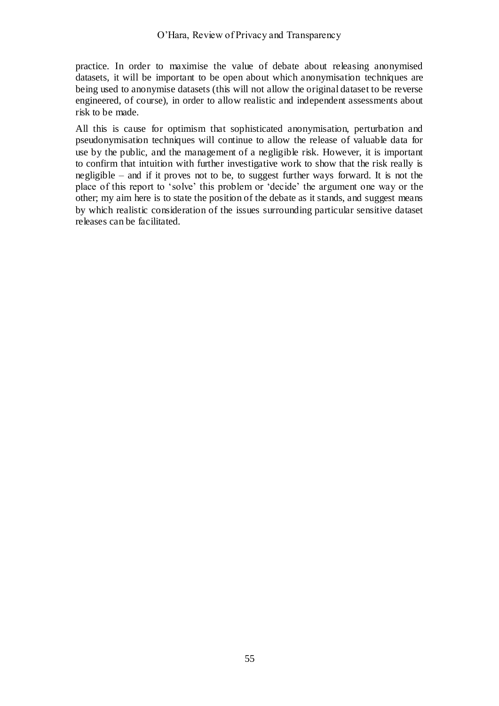practice. In order to maximise the value of debate about releasing anonymised datasets, it will be important to be open about which anonymisation techniques are being used to anonymise datasets (this will not allow the original dataset to be reverse engineered, of course), in order to allow realistic and independent assessments about risk to be made.

All this is cause for optimism that sophisticated anonymisation, perturbation and pseudonymisation techniques will continue to allow the release of valuable data for use by the public, and the management of a negligible risk. However, it is important to confirm that intuition with further investigative work to show that the risk really is negligible – and if it proves not to be, to suggest further ways forward. It is not the place of this report to ‗solve' this problem or ‗decide' the argument one way or the other; my aim here is to state the position of the debate as it stands, and suggest means by which realistic consideration of the issues surrounding particular sensitive dataset releases can be facilitated.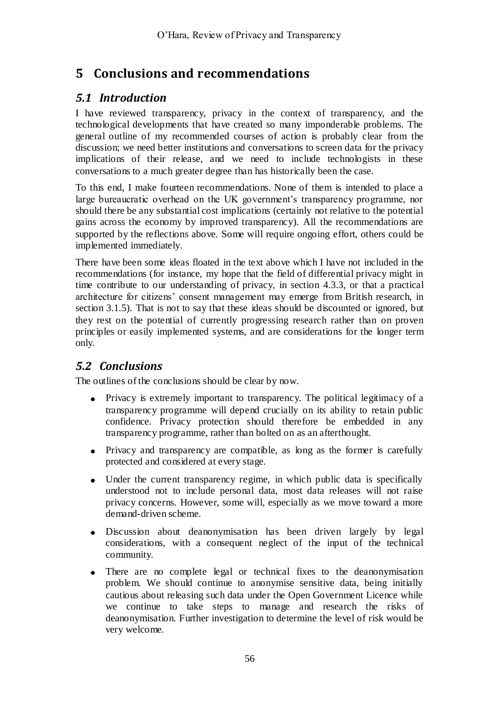# **5 Conclusions and recommendations**

## *5.1 Introduction*

I have reviewed transparency, privacy in the context of transparency, and the technological developments that have created so many imponderable problems. The general outline of my recommended courses of action is probably clear from the discussion; we need better institutions and conversations to screen data for the privacy implications of their release, and we need to include technologists in these conversations to a much greater degree than has historically been the case.

To this end, I make fourteen recommendations. None of them is intended to place a large bureaucratic overhead on the UK government's transparency programme, nor should there be any substantial cost implications (certainly not relative to the potential gains across the economy by improved transparency). All the recommendations are supported by the reflections above. Some will require ongoing effort, others could be implemented immediately.

There have been some ideas floated in the text above which I have not included in the recommendations (for instance, my hope that the field of differential privacy might in time contribute to our understanding of privacy, in section 4.3.3, or that a practical architecture for citizens' consent management may emerge from British research, in section 3.1.5). That is not to say that these ideas should be discounted or ignored, but they rest on the potential of currently progressing research rather than on proven principles or easily implemented systems, and are considerations for the longer term only.

# *5.2 Conclusions*

The outlines of the conclusions should be clear by now.

- $\bullet$ Privacy is extremely important to transparency. The political legitimacy of a transparency programme will depend crucially on its ability to retain public confidence. Privacy protection should therefore be embedded in any transparency programme, rather than bolted on as an afterthought.
- Privacy and transparency are compatible, as long as the former is carefully protected and considered at every stage.
- Under the current transparency regime, in which public data is specifically  $\bullet$ understood not to include personal data, most data releases will not raise privacy concerns. However, some will, especially as we move toward a more demand-driven scheme.
- Discussion about deanonymisation has been driven largely by legal  $\bullet$ considerations, with a consequent neglect of the input of the technical community.
- $\bullet$ There are no complete legal or technical fixes to the deanonymisation problem. We should continue to anonymise sensitive data, being initially cautious about releasing such data under the Open Government Licence while we continue to take steps to manage and research the risks of deanonymisation. Further investigation to determine the level of risk would be very welcome.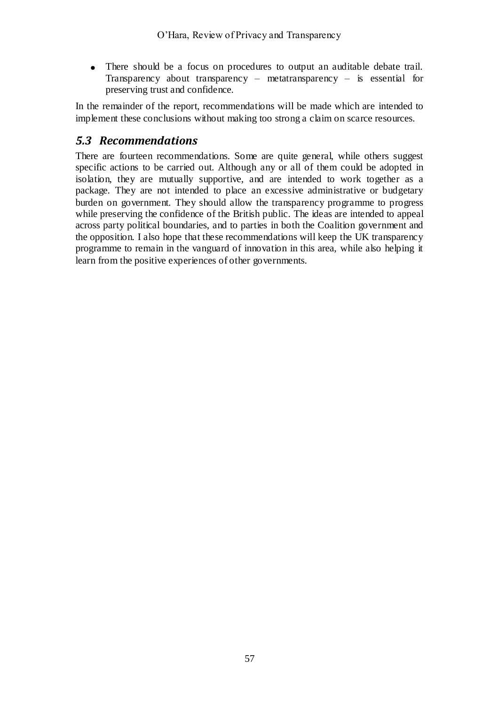There should be a focus on procedures to output an auditable debate trail. Transparency about transparency – metatransparency – is essential for preserving trust and confidence.

In the remainder of the report, recommendations will be made which are intended to implement these conclusions without making too strong a claim on scarce resources.

# *5.3 Recommendations*

There are fourteen recommendations. Some are quite general, while others suggest specific actions to be carried out. Although any or all of them could be adopted in isolation, they are mutually supportive, and are intended to work together as a package. They are not intended to place an excessive administrative or budgetary burden on government. They should allow the transparency programme to progress while preserving the confidence of the British public. The ideas are intended to appeal across party political boundaries, and to parties in both the Coalition government and the opposition. I also hope that these recommendations will keep the UK transparency programme to remain in the vanguard of innovation in this area, while also helping it learn from the positive experiences of other governments.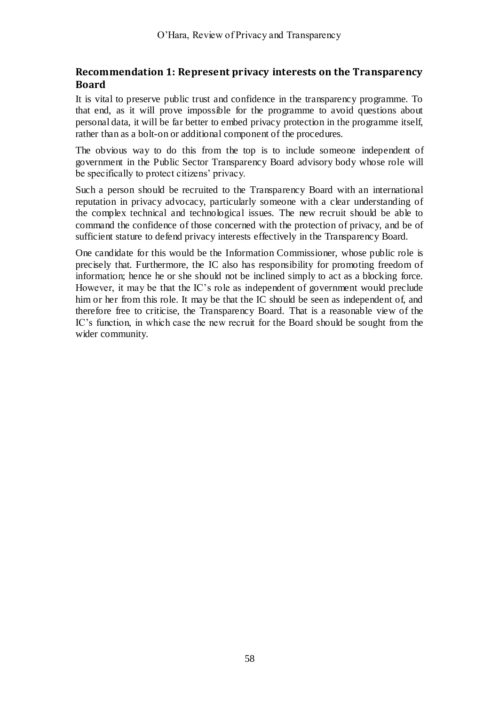#### **Recommendation 1: Represent privacy interests on the Transparency Board**

It is vital to preserve public trust and confidence in the transparency programme. To that end, as it will prove impossible for the programme to avoid questions about personal data, it will be far better to embed privacy protection in the programme itself, rather than as a bolt-on or additional component of the procedures.

The obvious way to do this from the top is to include someone independent of government in the Public Sector Transparency Board advisory body whose role will be specifically to protect citizens' privacy.

Such a person should be recruited to the Transparency Board with an international reputation in privacy advocacy, particularly someone with a clear understanding of the complex technical and technological issues. The new recruit should be able to command the confidence of those concerned with the protection of privacy, and be of sufficient stature to defend privacy interests effectively in the Transparency Board.

One candidate for this would be the Information Commissioner, whose public role is precisely that. Furthermore, the IC also has responsibility for promoting freedom of information; hence he or she should not be inclined simply to act as a blocking force. However, it may be that the IC's role as independent of government would preclude him or her from this role. It may be that the IC should be seen as independent of, and therefore free to criticise, the Transparency Board. That is a reasonable view of the IC's function, in which case the new recruit for the Board should be sought from the wider community.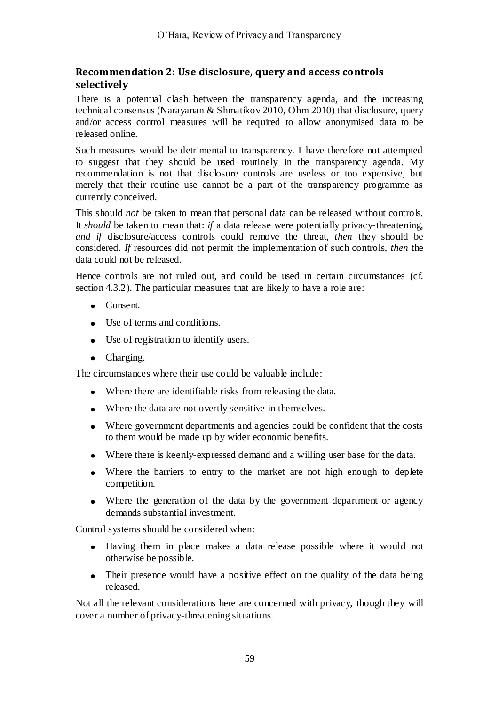#### **Recommendation 2: Use disclosure, query and access controls selectively**

There is a potential clash between the transparency agenda, and the increasing technical consensus (Narayanan & Shmatikov 2010, Ohm 2010) that disclosure, query and/or access control measures will be required to allow anonymised data to be released online.

Such measures would be detrimental to transparency. I have therefore not attempted to suggest that they should be used routinely in the transparency agenda. My recommendation is not that disclosure controls are useless or too expensive, but merely that their routine use cannot be a part of the transparency programme as currently conceived.

This should *not* be taken to mean that personal data can be released without controls. It *should* be taken to mean that: *if* a data release were potentially privacy-threatening, *and if* disclosure/access controls could remove the threat, *then* they should be considered. *If* resources did not permit the implementation of such controls, *then* the data could not be released.

Hence controls are not ruled out, and could be used in certain circumstances (cf. section 4.3.2). The particular measures that are likely to have a role are:

- Consent.
- Use of terms and conditions.
- Use of registration to identify users.
- Charging.

The circumstances where their use could be valuable include:

- Where there are identifiable risks from releasing the data.
- Where the data are not overtly sensitive in themselves.
- Where government departments and agencies could be confident that the costs to them would be made up by wider economic benefits.
- Where there is keenly-expressed demand and a willing user base for the data.
- Where the barriers to entry to the market are not high enough to deplete competition.
- Where the generation of the data by the government department or agency demands substantial investment.

Control systems should be considered when:

- Having them in place makes a data release possible where it would not otherwise be possible.
- Their presence would have a positive effect on the quality of the data being released.

Not all the relevant considerations here are concerned with privacy, though they will cover a number of privacy-threatening situations.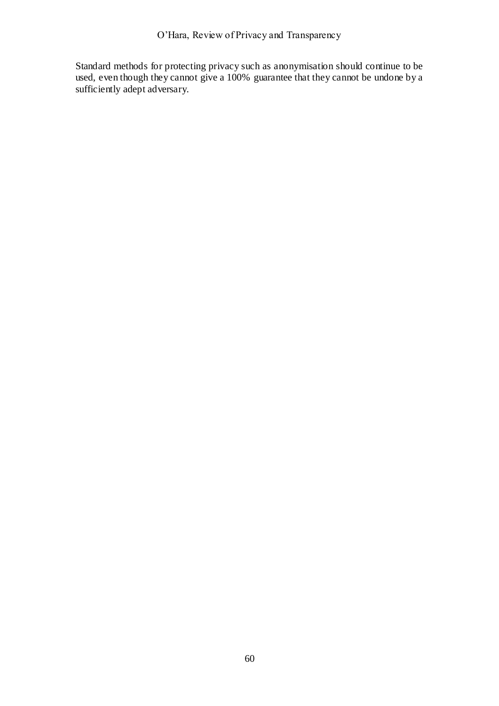Standard methods for protecting privacy such as anonymisation should continue to be used, even though they cannot give a 100% guarantee that they cannot be undone by a sufficiently adept adversary.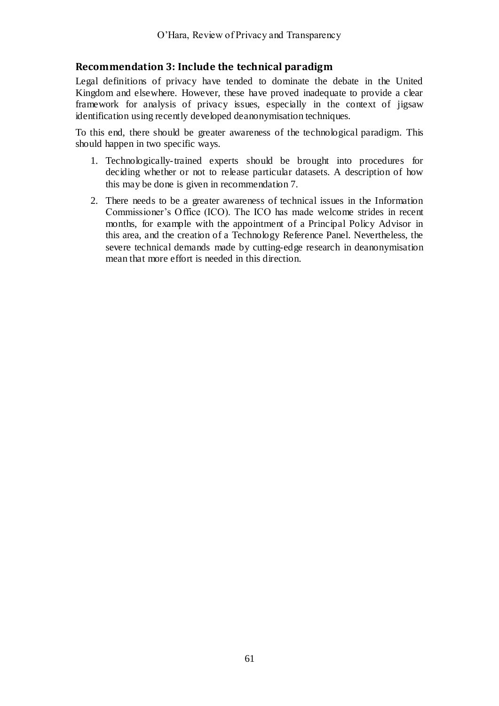#### **Recommendation 3: Include the technical paradigm**

Legal definitions of privacy have tended to dominate the debate in the United Kingdom and elsewhere. However, these have proved inadequate to provide a clear framework for analysis of privacy issues, especially in the context of jigsaw identification using recently developed deanonymisation techniques.

To this end, there should be greater awareness of the technological paradigm. This should happen in two specific ways.

- 1. Technologically-trained experts should be brought into procedures for deciding whether or not to release particular datasets. A description of how this may be done is given in recommendation 7.
- 2. There needs to be a greater awareness of technical issues in the Information Commissioner's Office (ICO). The ICO has made welcome strides in recent months, for example with the appointment of a Principal Policy Advisor in this area, and the creation of a Technology Reference Panel. Nevertheless, the severe technical demands made by cutting-edge research in deanonymisation mean that more effort is needed in this direction.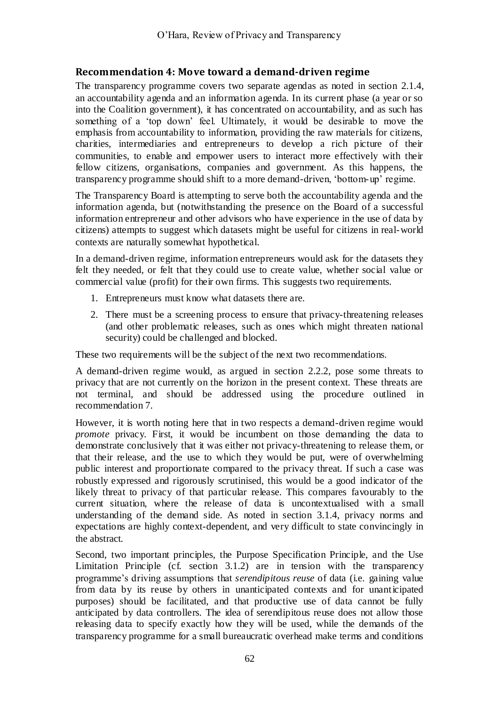#### **Recommendation 4: Move toward a demand-driven regime**

The transparency programme covers two separate agendas as noted in section [2.1.4,](#page-19-0) an accountability agenda and an information agenda. In its current phase (a year or so into the Coalition government), it has concentrated on accountability, and as such has something of a 'top down' feel. Ultimately, it would be desirable to move the emphasis from accountability to information, providing the raw materials for citizens, charities, intermediaries and entrepreneurs to develop a rich picture of their communities, to enable and empower users to interact more effectively with their fellow citizens, organisations, companies and government. As this happens, the transparency programme should shift to a more demand-driven, ‗bottom-up' regime.

The Transparency Board is attempting to serve both the accountability agenda and the information agenda, but (notwithstanding the presence on the Board of a successful information entrepreneur and other advisors who have experience in the use of data by citizens) attempts to suggest which datasets might be useful for citizens in real-world contexts are naturally somewhat hypothetical.

In a demand-driven regime, information entrepreneurs would ask for the datasets they felt they needed, or felt that they could use to create value, whether social value or commercial value (profit) for their own firms. This suggests two requirements.

- 1. Entrepreneurs must know what datasets there are.
- 2. There must be a screening process to ensure that privacy-threatening releases (and other problematic releases, such as ones which might threaten national security) could be challenged and blocked.

These two requirements will be the subject of the next two recommendations.

A demand-driven regime would, as argued in section [2.2.2,](#page-24-0) pose some threats to privacy that are not currently on the horizon in the present context. These threats are not terminal, and should be addressed using the procedure outlined in recommendation 7.

However, it is worth noting here that in two respects a demand-driven regime would *promote* privacy. First, it would be incumbent on those demanding the data to demonstrate conclusively that it was either not privacy-threatening to release them, or that their release, and the use to which they would be put, were of overwhelming public interest and proportionate compared to the privacy threat. If such a case was robustly expressed and rigorously scrutinised, this would be a good indicator of the likely threat to privacy of that particular release. This compares favourably to the current situation, where the release of data is uncontextualised with a small understanding of the demand side. As noted in section [3.1.4,](#page-29-0) privacy norms and expectations are highly context-dependent, and very difficult to state convincingly in the abstract.

Second, two important principles, the Purpose Specification Principle, and the Use Limitation Principle (cf. section [3.1.2\)](#page-28-0) are in tension with the transparency programme's driving assumptions that *serendipitous reuse* of data (i.e. gaining value from data by its reuse by others in unanticipated contexts and for unanticipated purposes) should be facilitated, and that productive use of data cannot be fully anticipated by data controllers. The idea of serendipitous reuse does not allow those releasing data to specify exactly how they will be used, while the demands of the transparency programme for a small bureaucratic overhead make terms and conditions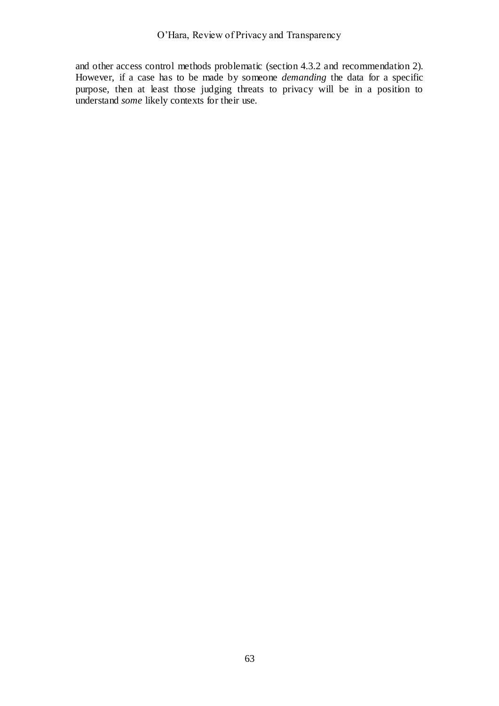and other access control methods problematic (section [4.3.2](#page-48-0) and recommendation 2). However, if a case has to be made by someone *demanding* the data for a specific purpose, then at least those judging threats to privacy will be in a position to understand *some* likely contexts for their use.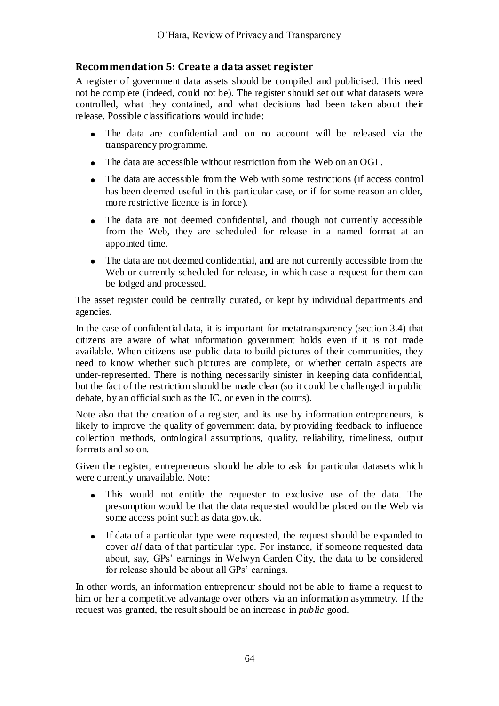## **Recommendation 5: Create a data asset register**

A register of government data assets should be compiled and publicised. This need not be complete (indeed, could not be). The register should set out what datasets were controlled, what they contained, and what decisions had been taken about their release. Possible classifications would include:

- The data are confidential and on no account will be released via the transparency programme.
- The data are accessible without restriction from the Web on an OGL.
- The data are accessible from the Web with some restrictions (if access control has been deemed useful in this particular case, or if for some reason an older, more restrictive licence is in force).
- The data are not deemed confidential, and though not currently accessible  $\bullet$ from the Web, they are scheduled for release in a named format at an appointed time.
- The data are not deemed confidential, and are not currently accessible from the Web or currently scheduled for release, in which case a request for them can be lodged and processed.

The asset register could be centrally curated, or kept by individual departments and agencies.

In the case of confidential data, it is important for metatransparency (section [3.4\)](#page-34-0) that citizens are aware of what information government holds even if it is not made available. When citizens use public data to build pictures of their communities, they need to know whether such pictures are complete, or whether certain aspects are under-represented. There is nothing necessarily sinister in keeping data confidential, but the fact of the restriction should be made clear (so it could be challenged in public debate, by an official such as the IC, or even in the courts).

Note also that the creation of a register, and its use by information entrepreneurs, is likely to improve the quality of government data, by providing feedback to influence collection methods, ontological assumptions, quality, reliability, timeliness, output formats and so on.

Given the register, entrepreneurs should be able to ask for particular datasets which were currently unavailable. Note:

- This would not entitle the requester to exclusive use of the data. The  $\bullet$ presumption would be that the data requested would be placed on the Web via some access point such as data.gov.uk.
- If data of a particular type were requested, the request should be expanded to cover *all* data of that particular type. For instance, if someone requested data about, say, GPs' earnings in Welwyn Garden City, the data to be considered for release should be about all GPs' earnings.

In other words, an information entrepreneur should not be able to frame a request to him or her a competitive advantage over others via an information asymmetry. If the request was granted, the result should be an increase in *public* good.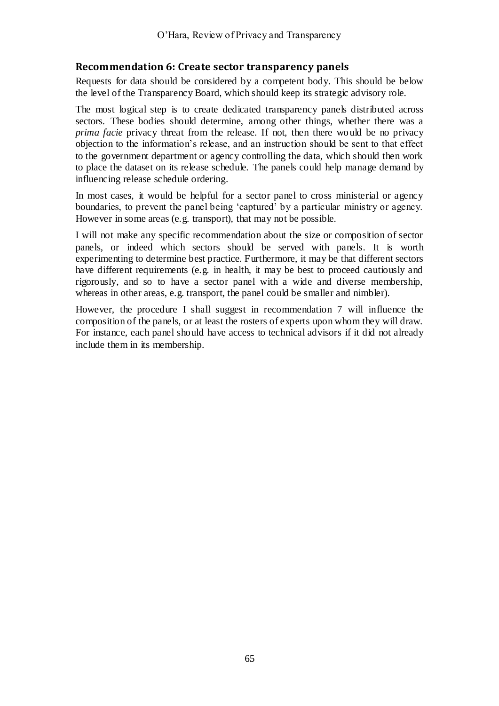#### **Recommendation 6: Create sector transparency panels**

Requests for data should be considered by a competent body. This should be below the level of the Transparency Board, which should keep its strategic advisory role.

The most logical step is to create dedicated transparency panels distributed across sectors. These bodies should determine, among other things, whether there was a *prima facie* privacy threat from the release. If not, then there would be no privacy objection to the information's release, and an instruction should be sent to that effect to the government department or agency controlling the data, which should then work to place the dataset on its release schedule. The panels could help manage demand by influencing release schedule ordering.

In most cases, it would be helpful for a sector panel to cross ministerial or agency boundaries, to prevent the panel being 'captured' by a particular ministry or agency. However in some areas (e.g. transport), that may not be possible.

I will not make any specific recommendation about the size or composition of sector panels, or indeed which sectors should be served with panels. It is worth experimenting to determine best practice. Furthermore, it may be that different sectors have different requirements (e.g. in health, it may be best to proceed cautiously and rigorously, and so to have a sector panel with a wide and diverse membership, whereas in other areas, e.g. transport, the panel could be smaller and nimbler).

However, the procedure I shall suggest in recommendation 7 will influence the composition of the panels, or at least the rosters of experts upon whom they will draw. For instance, each panel should have access to technical advisors if it did not already include them in its membership.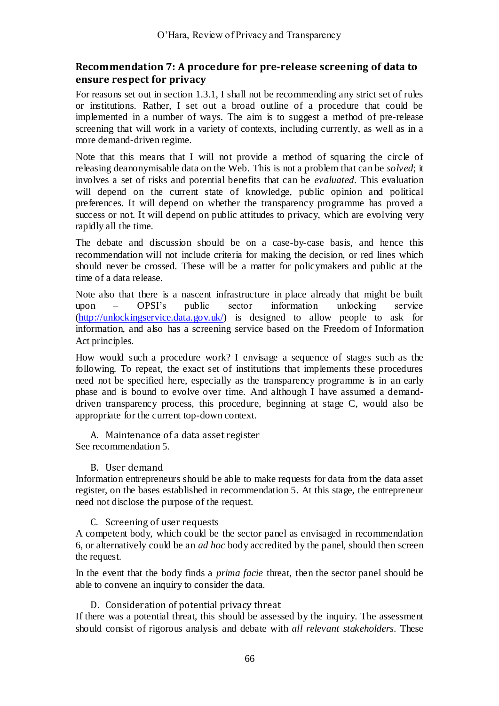#### **Recommendation 7: A procedure for pre-release screening of data to ensure respect for privacy**

For reasons set out in section [1.3.1,](#page-11-0) I shall not be recommending any strict set of rules or institutions. Rather, I set out a broad outline of a procedure that could be implemented in a number of ways. The aim is to suggest a method of pre-release screening that will work in a variety of contexts, including currently, as well as in a more demand-driven regime.

Note that this means that I will not provide a method of squaring the circle of releasing deanonymisable data on the Web. This is not a problem that can be *solved*; it involves a set of risks and potential benefits that can be *evaluated*. This evaluation will depend on the current state of knowledge, public opinion and political preferences. It will depend on whether the transparency programme has proved a success or not. It will depend on public attitudes to privacy, which are evolving very rapidly all the time.

The debate and discussion should be on a case-by-case basis, and hence this recommendation will not include criteria for making the decision, or red lines which should never be crossed. These will be a matter for policymakers and public at the time of a data release.

Note also that there is a nascent infrastructure in place already that might be built upon - OPSI's public sector information unlocking service upon – OPSI's public sector information unlocking service [\(http://unlockingservice.data.gov.uk/\)](http://unlockingservice.data.gov.uk/) is designed to allow people to ask for information, and also has a screening service based on the Freedom of Information Act principles.

How would such a procedure work? I envisage a sequence of stages such as the following. To repeat, the exact set of institutions that implements these procedures need not be specified here, especially as the transparency programme is in an early phase and is bound to evolve over time. And although I have assumed a demanddriven transparency process, this procedure, beginning at stage C, would also be appropriate for the current top-down context.

A. Maintenance of a data asset register See recommendation 5.

#### B. User demand

Information entrepreneurs should be able to make requests for data from the data asset register, on the bases established in recommendation 5. At this stage, the entrepreneur need not disclose the purpose of the request.

#### C. Screening of user requests

A competent body, which could be the sector panel as envisaged in recommendation 6, or alternatively could be an *ad hoc* body accredited by the panel, should then screen the request.

In the event that the body finds a *prima facie* threat, then the sector panel should be able to convene an inquiry to consider the data.

D. Consideration of potential privacy threat

If there was a potential threat, this should be assessed by the inquiry. The assessment should consist of rigorous analysis and debate with *all relevant stakeholders*. These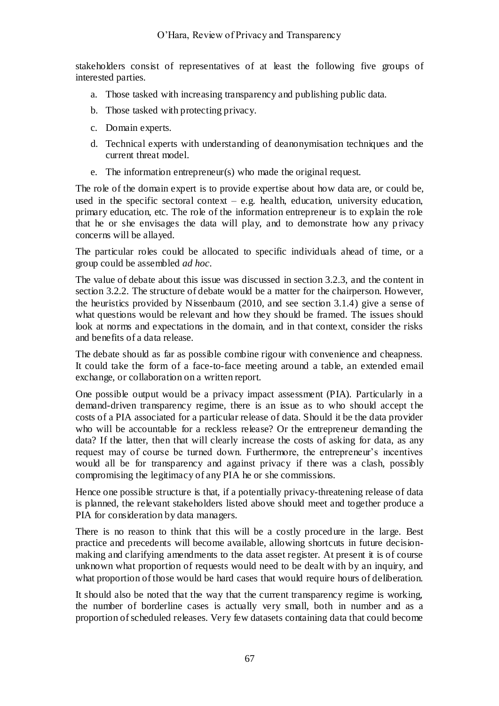stakeholders consist of representatives of at least the following five groups of interested parties.

- a. Those tasked with increasing transparency and publishing public data.
- b. Those tasked with protecting privacy.
- c. Domain experts.
- d. Technical experts with understanding of deanonymisation techniques and the current threat model.
- e. The information entrepreneur(s) who made the original request.

The role of the domain expert is to provide expertise about how data are, or could be, used in the specific sectoral context – e.g. health, education, university education, primary education, etc. The role of the information entrepreneur is to explain the role that he or she envisages the data will play, and to demonstrate how any p rivacy concerns will be allayed.

The particular roles could be allocated to specific individuals ahead of time, or a group could be assembled *ad hoc*.

The value of debate about this issue was discussed in section [3.2.3,](#page-32-0) and the content in section [3.2.2.](#page-31-0) The structure of debate would be a matter for the chairperson. However, the heuristics provided by Nissenbaum (2010, and see section [3.1.4\)](#page-29-0) give a sense of what questions would be relevant and how they should be framed. The issues should look at norms and expectations in the domain, and in that context, consider the risks and benefits of a data release.

The debate should as far as possible combine rigour with convenience and cheapness. It could take the form of a face-to-face meeting around a table, an extended email exchange, or collaboration on a written report.

One possible output would be a privacy impact assessment (PIA). Particularly in a demand-driven transparency regime, there is an issue as to who should accept the costs of a PIA associated for a particular release of data. Should it be the data provider who will be accountable for a reckless release? Or the entrepreneur demanding the data? If the latter, then that will clearly increase the costs of asking for data, as any request may of course be turned down. Furthermore, the entrepreneur's incentives would all be for transparency and against privacy if there was a clash, possibly compromising the legitimacy of any PIA he or she commissions.

Hence one possible structure is that, if a potentially privacy-threatening release of data is planned, the relevant stakeholders listed above should meet and together produce a PIA for consideration by data managers.

There is no reason to think that this will be a costly procedure in the large. Best practice and precedents will become available, allowing shortcuts in future decisionmaking and clarifying amendments to the data asset register. At present it is of course unknown what proportion of requests would need to be dealt with by an inquiry, and what proportion of those would be hard cases that would require hours of deliberation.

It should also be noted that the way that the current transparency regime is working, the number of borderline cases is actually very small, both in number and as a proportion of scheduled releases. Very few datasets containing data that could become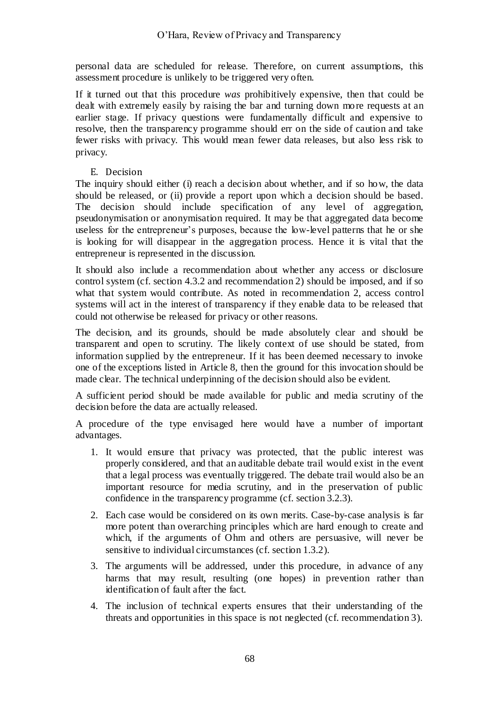personal data are scheduled for release. Therefore, on current assumptions, this assessment procedure is unlikely to be triggered very often.

If it turned out that this procedure *was* prohibitively expensive, then that could be dealt with extremely easily by raising the bar and turning down more requests at an earlier stage. If privacy questions were fundamentally difficult and expensive to resolve, then the transparency programme should err on the side of caution and take fewer risks with privacy. This would mean fewer data releases, but also less risk to privacy.

E. Decision

The inquiry should either (i) reach a decision about whether, and if so how, the data should be released, or (ii) provide a report upon which a decision should be based. The decision should include specification of any level of aggregation, pseudonymisation or anonymisation required. It may be that aggregated data become useless for the entrepreneur's purposes, because the low-level patterns that he or she is looking for will disappear in the aggregation process. Hence it is vital that the entrepreneur is represented in the discussion.

It should also include a recommendation about whether any access or disclosure control system (cf. section [4.3.2](#page-48-0) and recommendation 2) should be imposed, and if so what that system would contribute. As noted in recommendation 2, access control systems will act in the interest of transparency if they enable data to be released that could not otherwise be released for privacy or other reasons.

The decision, and its grounds, should be made absolutely clear and should be transparent and open to scrutiny. The likely context of use should be stated, from information supplied by the entrepreneur. If it has been deemed necessary to invoke one of the exceptions listed in Article 8, then the ground for this invocation should be made clear. The technical underpinning of the decision should also be evident.

A sufficient period should be made available for public and media scrutiny of the decision before the data are actually released.

A procedure of the type envisaged here would have a number of important advantages.

- 1. It would ensure that privacy was protected, that the public interest was properly considered, and that an auditable debate trail would exist in the event that a legal process was eventually triggered. The debate trail would also be an important resource for media scrutiny, and in the preservation of public confidence in the transparency programme (cf. section [3.2.3\)](#page-32-0).
- 2. Each case would be considered on its own merits. Case-by-case analysis is far more potent than overarching principles which are hard enough to create and which, if the arguments of Ohm and others are persuasive, will never be sensitive to individual circumstances (cf. section [1.3.2\)](#page-11-1).
- 3. The arguments will be addressed, under this procedure, in advance of any harms that may result, resulting (one hopes) in prevention rather than identification of fault after the fact.
- 4. The inclusion of technical experts ensures that their understanding of the threats and opportunities in this space is not neglected (cf. recommendation 3).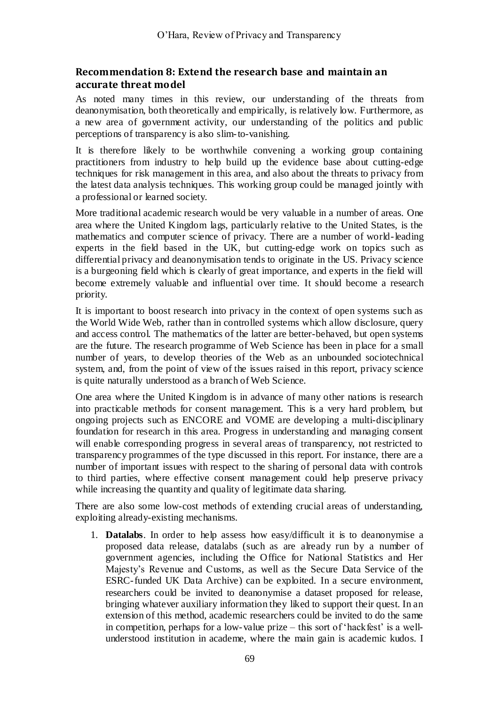#### **Recommendation 8: Extend the research base and maintain an accurate threat model**

As noted many times in this review, our understanding of the threats from deanonymisation, both theoretically and empirically, is relatively low. Furthermore, as a new area of government activity, our understanding of the politics and public perceptions of transparency is also slim-to-vanishing.

It is therefore likely to be worthwhile convening a working group containing practitioners from industry to help build up the evidence base about cutting-edge techniques for risk management in this area, and also about the threats to privacy from the latest data analysis techniques. This working group could be managed jointly with a professional or learned society.

More traditional academic research would be very valuable in a number of areas. One area where the United Kingdom lags, particularly relative to the United States, is the mathematics and computer science of privacy. There are a number of world-leading experts in the field based in the UK, but cutting-edge work on topics such as differential privacy and deanonymisation tends to originate in the US. Privacy science is a burgeoning field which is clearly of great importance, and experts in the field will become extremely valuable and influential over time. It should become a research priority.

It is important to boost research into privacy in the context of open systems such as the World Wide Web, rather than in controlled systems which allow disclosure, query and access control. The mathematics of the latter are better-behaved, but open systems are the future. The research programme of Web Science has been in place for a small number of years, to develop theories of the Web as an unbounded sociotechnical system, and, from the point of view of the issues raised in this report, privacy science is quite naturally understood as a branch of Web Science.

One area where the United Kingdom is in advance of many other nations is research into practicable methods for consent management. This is a very hard problem, but ongoing projects such as ENCORE and VOME are developing a multi-disciplinary foundation for research in this area. Progress in understanding and managing consent will enable corresponding progress in several areas of transparency, not restricted to transparency programmes of the type discussed in this report. For instance, there are a number of important issues with respect to the sharing of personal data with controls to third parties, where effective consent management could help preserve privacy while increasing the quantity and quality of legitimate data sharing.

There are also some low-cost methods of extending crucial areas of understanding, exploiting already-existing mechanisms.

1. **Datalabs**. In order to help assess how easy/difficult it is to deanonymise a proposed data release, datalabs (such as are already run by a number of government agencies, including the Office for National Statistics and Her Majesty's Revenue and Customs, as well as the Secure Data Service of the ESRC-funded UK Data Archive) can be exploited. In a secure environment, researchers could be invited to deanonymise a dataset proposed for release, bringing whatever auxiliary information they liked to support their quest. In an extension of this method, academic researchers could be invited to do the same in competition, perhaps for a low-value prize – this sort of 'hackfest' is a wellunderstood institution in academe, where the main gain is academic kudos. I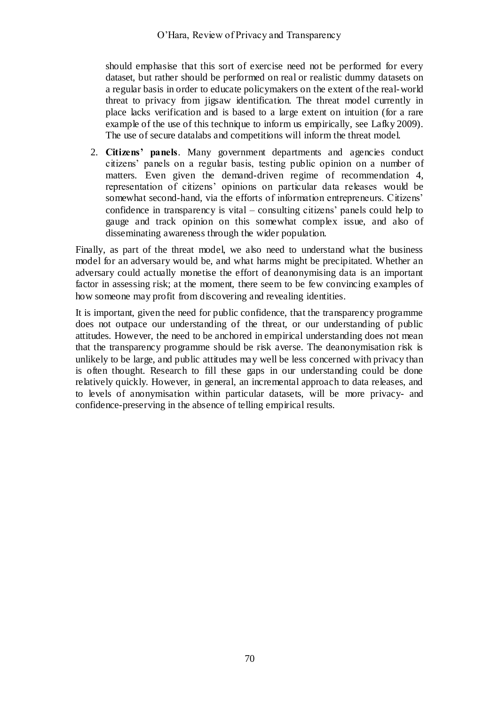should emphasise that this sort of exercise need not be performed for every dataset, but rather should be performed on real or realistic dummy datasets on a regular basis in order to educate policymakers on the extent of the real-world threat to privacy from jigsaw identification. The threat model currently in place lacks verification and is based to a large extent on intuition (for a rare example of the use of this technique to inform us empirically, see Lafky 2009). The use of secure datalabs and competitions will inform the threat model.

2. **Citizens' panels**. Many government departments and agencies conduct citizens' panels on a regular basis, testing public opinion on a number of matters. Even given the demand-driven regime of recommendation 4, representation of citizens' opinions on particular data releases would be somewhat second-hand, via the efforts of information entrepreneurs. Citizens' confidence in transparency is vital – consulting citizens' panels could help to gauge and track opinion on this somewhat complex issue, and also of disseminating awareness through the wider population.

Finally, as part of the threat model, we also need to understand what the business model for an adversary would be, and what harms might be precipitated. Whether an adversary could actually monetise the effort of deanonymising data is an important factor in assessing risk; at the moment, there seem to be few convincing examples of how someone may profit from discovering and revealing identities.

It is important, given the need for public confidence, that the transparency programme does not outpace our understanding of the threat, or our understanding of public attitudes. However, the need to be anchored in empirical understanding does not mean that the transparency programme should be risk averse. The deanonymisation risk is unlikely to be large, and public attitudes may well be less concerned with privacy than is often thought. Research to fill these gaps in our understanding could be done relatively quickly. However, in general, an incremental approach to data releases, and to levels of anonymisation within particular datasets, will be more privacy- and confidence-preserving in the absence of telling empirical results.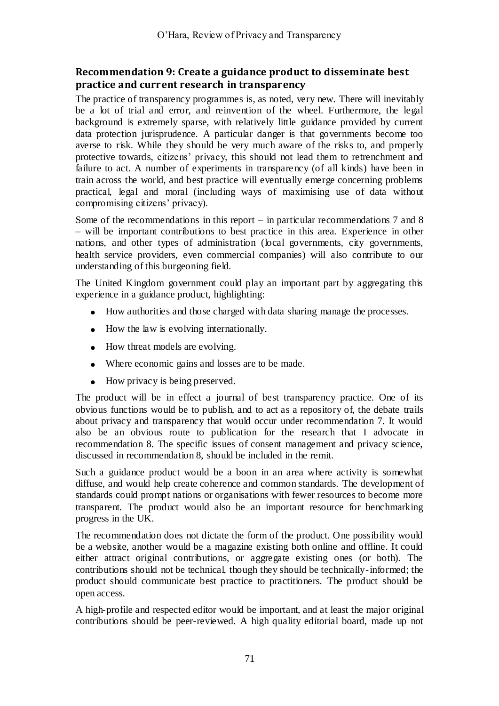#### **Recommendation 9: Create a guidance product to disseminate best practice and current research in transparency**

The practice of transparency programmes is, as noted, very new. There will inevitably be a lot of trial and error, and reinvention of the wheel. Furthermore, the legal background is extremely sparse, with relatively little guidance provided by current data protection jurisprudence. A particular danger is that governments become too averse to risk. While they should be very much aware of the risks to, and properly protective towards, citizens' privacy, this should not lead them to retrenchment and failure to act. A number of experiments in transparency (of all kinds) have been in train across the world, and best practice will eventually emerge concerning problems practical, legal and moral (including ways of maximising use of data without compromising citizens' privacy).

Some of the recommendations in this report – in particular recommendations 7 and 8 – will be important contributions to best practice in this area. Experience in other nations, and other types of administration (local governments, city governments, health service providers, even commercial companies) will also contribute to our understanding of this burgeoning field.

The United Kingdom government could play an important part by aggregating this experience in a guidance product, highlighting:

- How authorities and those charged with data sharing manage the processes.
- How the law is evolving internationally.
- How threat models are evolving.
- Where economic gains and losses are to be made.
- How privacy is being preserved.

The product will be in effect a journal of best transparency practice. One of its obvious functions would be to publish, and to act as a repository of, the debate trails about privacy and transparency that would occur under recommendation 7. It would also be an obvious route to publication for the research that I advocate in recommendation 8. The specific issues of consent management and privacy science, discussed in recommendation 8, should be included in the remit.

Such a guidance product would be a boon in an area where activity is somewhat diffuse, and would help create coherence and common standards. The development of standards could prompt nations or organisations with fewer resources to become more transparent. The product would also be an important resource for benchmarking progress in the UK.

The recommendation does not dictate the form of the product. One possibility would be a website, another would be a magazine existing both online and offline. It could either attract original contributions, or aggregate existing ones (or both). The contributions should not be technical, though they should be technically-informed; the product should communicate best practice to practitioners. The product should be open access.

A high-profile and respected editor would be important, and at least the major original contributions should be peer-reviewed. A high quality editorial board, made up not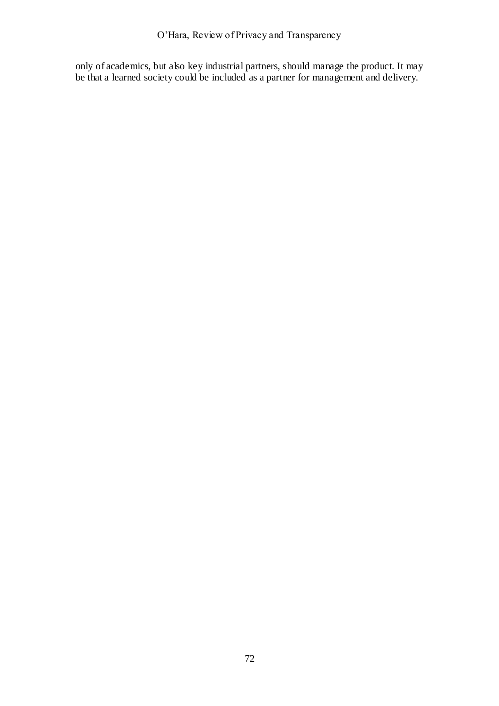O'Hara, Review of Privacy and Transparency

only of academics, but also key industrial partners, should manage the product. It may be that a learned society could be included as a partner for management and delivery.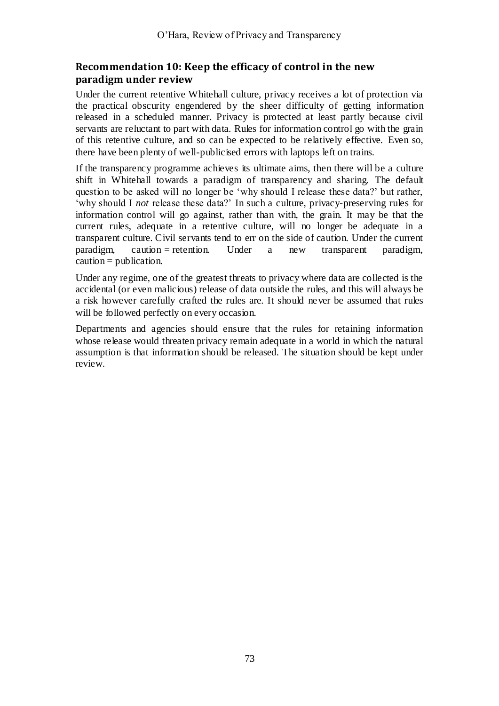## **Recommendation 10: Keep the efficacy of control in the new paradigm under review**

Under the current retentive Whitehall culture, privacy receives a lot of protection via the practical obscurity engendered by the sheer difficulty of getting information released in a scheduled manner. Privacy is protected at least partly because civil servants are reluctant to part with data. Rules for information control go with the grain of this retentive culture, and so can be expected to be relatively effective. Even so, there have been plenty of well-publicised errors with laptops left on trains.

If the transparency programme achieves its ultimate aims, then there will be a culture shift in Whitehall towards a paradigm of transparency and sharing. The default question to be asked will no longer be 'why should I release these data?' but rather, ‗why should I *not* release these data?' In such a culture, privacy-preserving rules for information control will go against, rather than with, the grain. It may be that the current rules, adequate in a retentive culture, will no longer be adequate in a transparent culture. Civil servants tend to err on the side of caution. Under the current paradigm, caution = retention. Under a new transparent paradigm,  $caution = publication$ .

Under any regime, one of the greatest threats to privacy where data are collected is the accidental (or even malicious) release of data outside the rules, and this will always be a risk however carefully crafted the rules are. It should never be assumed that rules will be followed perfectly on every occasion.

Departments and agencies should ensure that the rules for retaining information whose release would threaten privacy remain adequate in a world in which the natural assumption is that information should be released. The situation should be kept under review.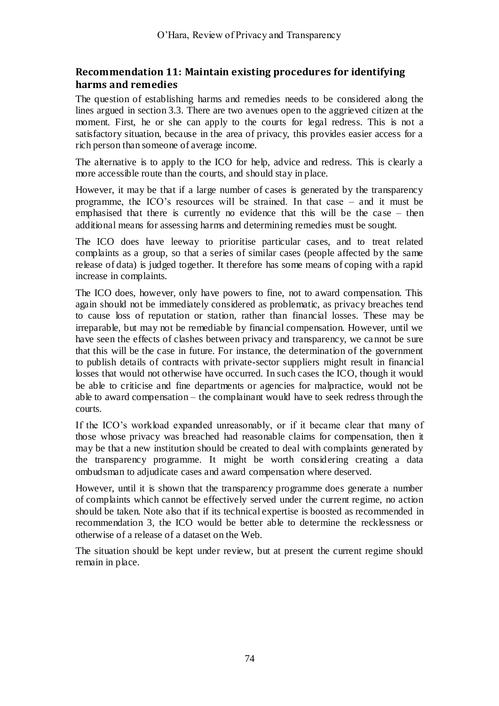### **Recommendation 11: Maintain existing procedures for identifying harms and remedies**

The question of establishing harms and remedies needs to be considered along the lines argued in section [3.3.](#page-33-0) There are two avenues open to the aggrieved citizen at the moment. First, he or she can apply to the courts for legal redress. This is not a satisfactory situation, because in the area of privacy, this provides easier access for a rich person than someone of average income.

The alternative is to apply to the ICO for help, advice and redress. This is clearly a more accessible route than the courts, and should stay in place.

However, it may be that if a large number of cases is generated by the transparency programme, the ICO's resources will be strained. In that case – and it must be emphasised that there is currently no evidence that this will be the ca se – then additional means for assessing harms and determining remedies must be sought.

The ICO does have leeway to prioritise particular cases, and to treat related complaints as a group, so that a series of similar cases (people affected by the same release of data) is judged together. It therefore has some means of coping with a rapid increase in complaints.

The ICO does, however, only have powers to fine, not to award compensation. This again should not be immediately considered as problematic, as privacy breaches tend to cause loss of reputation or station, rather than financial losses. These may be irreparable, but may not be remediable by financial compensation. However, until we have seen the effects of clashes between privacy and transparency, we ca nnot be sure that this will be the case in future. For instance, the determination of the government to publish details of contracts with private-sector suppliers might result in financial losses that would not otherwise have occurred. In such cases the ICO, though it would be able to criticise and fine departments or agencies for malpractice, would not be able to award compensation – the complainant would have to seek redress through the courts.

If the ICO's workload expanded unreasonably, or if it became clear that many of those whose privacy was breached had reasonable claims for compensation, then it may be that a new institution should be created to deal with complaints generated by the transparency programme. It might be worth considering creating a data ombudsman to adjudicate cases and award compensation where deserved.

However, until it is shown that the transparency programme does generate a number of complaints which cannot be effectively served under the current regime, no action should be taken. Note also that if its technical expertise is boosted as recommended in recommendation 3, the ICO would be better able to determine the recklessness or otherwise of a release of a dataset on the Web.

The situation should be kept under review, but at present the current regime should remain in place.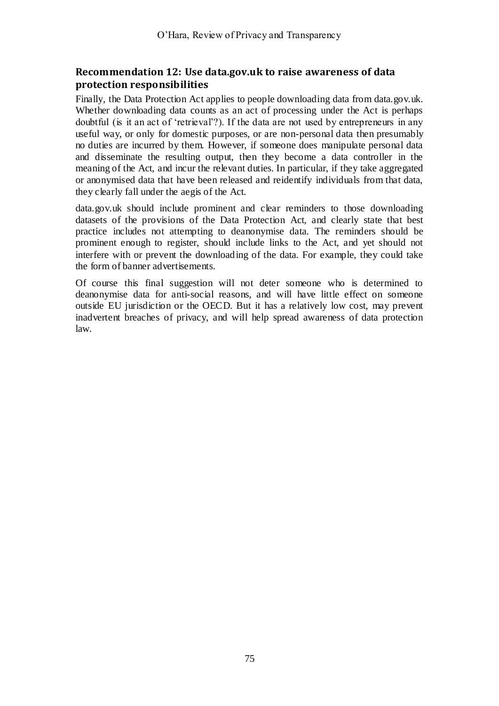### **Recommendation 12: Use data.gov.uk to raise awareness of data protection responsibilities**

Finally, the Data Protection Act applies to people downloading data from data.gov.uk. Whether downloading data counts as an act of processing under the Act is perhaps doubtful (is it an act of 'retrieval'?). If the data are not used by entrepreneurs in any useful way, or only for domestic purposes, or are non-personal data then presumably no duties are incurred by them. However, if someone does manipulate personal data and disseminate the resulting output, then they become a data controller in the meaning of the Act, and incur the relevant duties. In particular, if they take aggregated or anonymised data that have been released and reidentify individuals from that data, they clearly fall under the aegis of the Act.

data.gov.uk should include prominent and clear reminders to those downloading datasets of the provisions of the Data Protection Act, and clearly state that best practice includes not attempting to deanonymise data. The reminders should be prominent enough to register, should include links to the Act, and yet should not interfere with or prevent the downloading of the data. For example, they could take the form of banner advertisements.

Of course this final suggestion will not deter someone who is determined to deanonymise data for anti-social reasons, and will have little effect on someone outside EU jurisdiction or the OECD. But it has a relatively low cost, may prevent inadvertent breaches of privacy, and will help spread awareness of data protection law.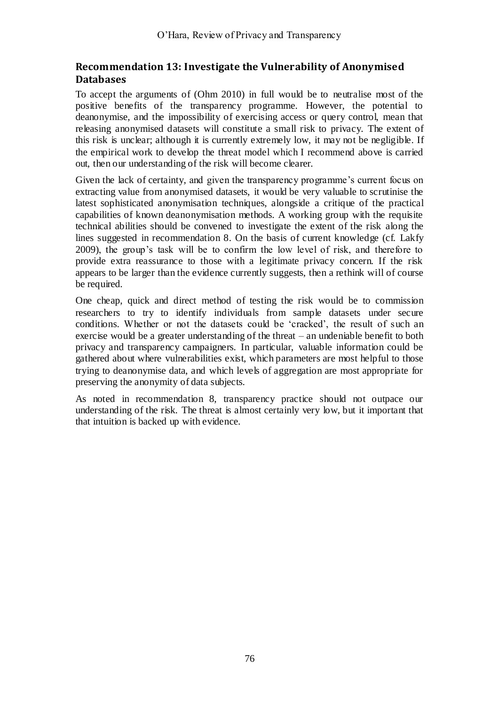## **Recommendation 13: Investigate the Vulnerability of Anonymised Databases**

To accept the arguments of (Ohm 2010) in full would be to neutralise most of the positive benefits of the transparency programme. However, the potential to deanonymise, and the impossibility of exercising access or query control, mean that releasing anonymised datasets will constitute a small risk to privacy. The extent of this risk is unclear; although it is currently extremely low, it may not be negligible. If the empirical work to develop the threat model which I recommend above is carried out, then our understanding of the risk will become clearer.

Given the lack of certainty, and given the transparency programme's current focus on extracting value from anonymised datasets, it would be very valuable to scrutinise the latest sophisticated anonymisation techniques, alongside a critique of the practical capabilities of known deanonymisation methods. A working group with the requisite technical abilities should be convened to investigate the extent of the risk along the lines suggested in recommendation 8. On the basis of current knowledge (cf. Lakfy 2009), the group's task will be to confirm the low level of risk, and therefore to provide extra reassurance to those with a legitimate privacy concern. If the risk appears to be larger than the evidence currently suggests, then a rethink will of course be required.

One cheap, quick and direct method of testing the risk would be to commission researchers to try to identify individuals from sample datasets under secure conditions. Whether or not the datasets could be 'cracked', the result of such an exercise would be a greater understanding of the threat – an undeniable benefit to both privacy and transparency campaigners. In particular, valuable information could be gathered about where vulnerabilities exist, which parameters are most helpful to those trying to deanonymise data, and which levels of aggregation are most appropriate for preserving the anonymity of data subjects.

As noted in recommendation 8, transparency practice should not outpace our understanding of the risk. The threat is almost certainly very low, but it important that that intuition is backed up with evidence.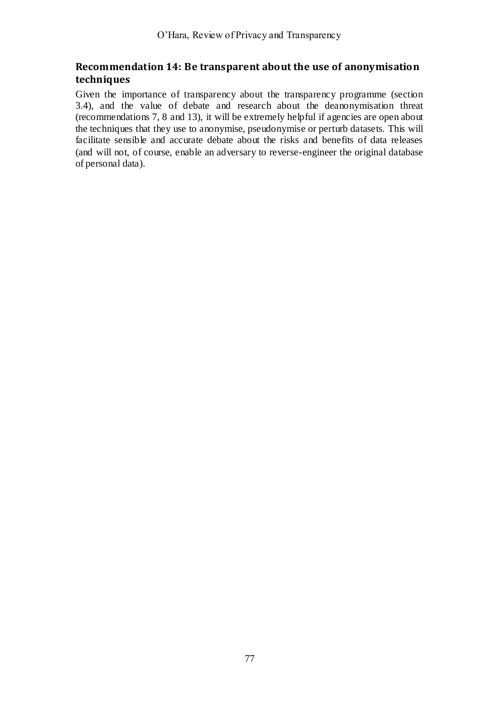## **Recommendation 14: Be transparent about the use of anonymisation techniques**

Given the importance of transparency about the transparency programme (section [3.4\)](#page-34-0), and the value of debate and research about the deanonymisation threat (recommendations 7, 8 and 13), it will be extremely helpful if agencies are open about the techniques that they use to anonymise, pseudonymise or perturb datasets. This will facilitate sensible and accurate debate about the risks and benefits of data releases (and will not, of course, enable an adversary to reverse-engineer the original database of personal data).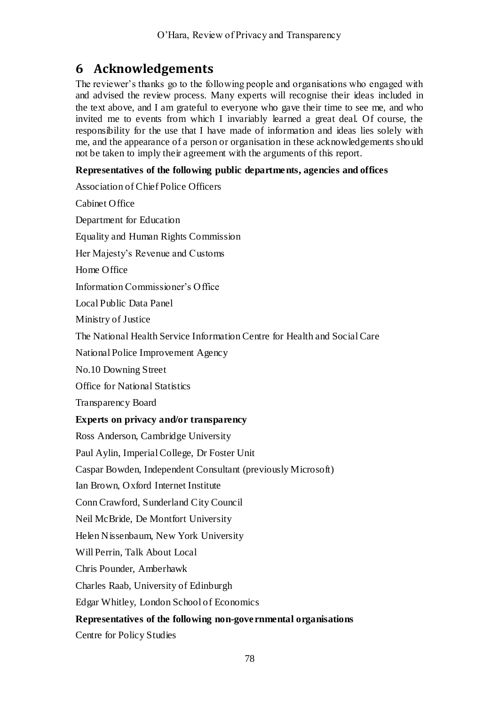## **6 Acknowledgements**

The reviewer's thanks go to the following people and organisations who engaged with and advised the review process. Many experts will recognise their ideas included in the text above, and I am grateful to everyone who gave their time to see me, and who invited me to events from which I invariably learned a great deal. Of course, the responsibility for the use that I have made of information and ideas lies solely with me, and the appearance of a person or organisation in these acknowledgements sho uld not be taken to imply their agreement with the arguments of this report.

#### **Representatives of the following public departments, agencies and offices**

| Association of Chief Police Officers                                      |
|---------------------------------------------------------------------------|
| Cabinet Office                                                            |
| Department for Education                                                  |
| <b>Equality and Human Rights Commission</b>                               |
| Her Majesty's Revenue and Customs                                         |
| Home Office                                                               |
| Information Commissioner's Office                                         |
| Local Public Data Panel                                                   |
| Ministry of Justice                                                       |
| The National Health Service Information Centre for Health and Social Care |
| National Police Improvement Agency                                        |
| No.10 Downing Street                                                      |
| <b>Office for National Statistics</b>                                     |
| Transparency Board                                                        |
| Experts on privacy and/or transparency                                    |
| Ross Anderson, Cambridge University                                       |
| Paul Aylin, Imperial College, Dr Foster Unit                              |
| Caspar Bowden, Independent Consultant (previously Microsoft)              |
| Ian Brown, Oxford Internet Institute                                      |
| Conn Crawford, Sunderland City Council                                    |
| Neil McBride, De Montfort University                                      |
| Helen Nissenbaum, New York University                                     |
| Will Perrin, Talk About Local                                             |
| Chris Pounder, Amberhawk                                                  |
| Charles Raab, University of Edinburgh                                     |
| Edgar Whitley, London School of Economics                                 |
| Representatives of the following non-governmental organisations           |
| Centre for Policy Studies                                                 |
|                                                                           |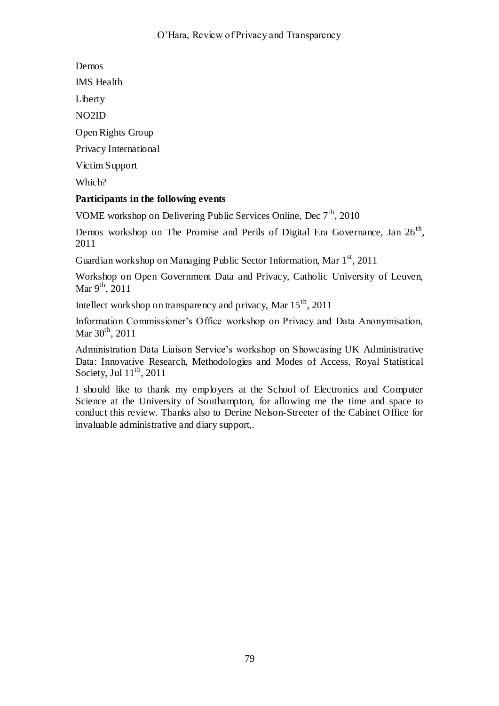Demos

IMS Health

Liberty

NO2ID

Open Rights Group

Privacy International

Victim Support

Which?

### **Participants in the following events**

VOME workshop on Delivering Public Services Online, Dec 7<sup>th</sup>, 2010

Demos workshop on The Promise and Perils of Digital Era Governance, Jan 26<sup>th</sup>, 2011

Guardian workshop on Managing Public Sector Information, Mar  $1<sup>st</sup>$ , 2011

Workshop on Open Government Data and Privacy, Catholic University of Leuven, Mar  $9^{th}$ , 2011

Intellect workshop on transparency and privacy, Mar 15th, 2011

Information Commissioner's Office workshop on Privacy and Data Anonymisation, Mar  $30^{th}$ , 2011

Administration Data Liaison Service's workshop on Showcasing UK Administrative Data: Innovative Research, Methodologies and Modes of Access, Royal Statistical Society, Jul  $11<sup>th</sup>$ , 2011

I should like to thank my employers at the School of Electronics and Computer Science at the University of Southampton, for allowing me the time and space to conduct this review. Thanks also to Derine Nelson-Streeter of the Cabinet Office for invaluable administrative and diary support,.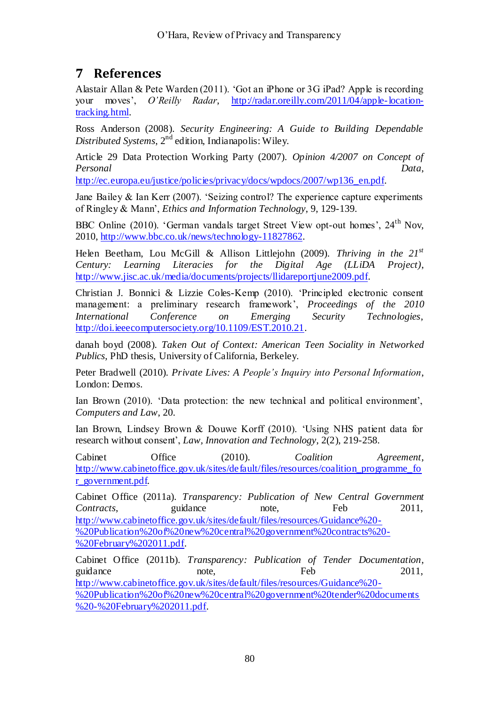# **7 References**

Alastair Allan & Pete Warden (2011). 'Got an iPhone or 3G iPad? Apple is recording your moves', *O'Reilly Radar*, [http://radar.oreilly.com/2011/04/apple-location](http://radar.oreilly.com/2011/04/apple-location-tracking.html)[tracking.html.](http://radar.oreilly.com/2011/04/apple-location-tracking.html)

Ross Anderson (2008). *Security Engineering: A Guide to Building Dependable Distributed Systems*, 2nd edition, Indianapolis: Wiley.

Article 29 Data Protection Working Party (2007). *Opinion 4/2007 on Concept of Personal Data*,

[http://ec.europa.eu/justice/policies/privacy/docs/wpdocs/2007/wp136\\_en.pdf.](http://ec.europa.eu/justice/policies/privacy/docs/wpdocs/2007/wp136_en.pdf)

Jane Bailey  $&$  Ian Kerr (2007). 'Seizing control? The experience capture experiments of Ringley & Mann', *Ethics and Information Technology*, 9, 129-139.

BBC Online (2010). 'German vandals target Street View opt-out homes', 24<sup>th</sup> Nov, 2010, [http://www.bbc.co.uk/news/technology-11827862.](http://www.bbc.co.uk/news/technology-11827862)

Helen Beetham, Lou McGill & Allison Littlejohn (2009). *Thriving in the 21st Century: Learning Literacies for the Digital Age (LLiDA Project)*, [http://www.jisc.ac.uk/media/documents/projects/llidareportjune2009.pdf.](http://www.jisc.ac.uk/media/documents/projects/llidareportjune2009.pdf)

Christian J. Bonnici & Lizzie Coles-Kemp (2010). ‗Principled electronic consent management: a preliminary research framework', *Proceedings of the 2010 International Conference on Emerging Security Technologies*, [http://doi.ieeecomputersociety.org/10.1109/EST.2010.21.](http://doi.ieeecomputersociety.org/10.1109/EST.2010.21)

danah boyd (2008). *Taken Out of Context: American Teen Sociality in Networked Publics*, PhD thesis, University of California, Berkeley.

Peter Bradwell (2010). *Private Lives: A People's Inquiry into Personal Information*, London: Demos.

Ian Brown (2010). 'Data protection: the new technical and political environment', *Computers and Law*, 20.

Ian Brown, Lindsey Brown & Douwe Korff (2010). 'Using NHS patient data for research without consent', *Law, Innovation and Technology*, 2(2), 219-258.

Cabinet Office (2010). *Coalition Agreement*, [http://www.cabinetoffice.gov.uk/sites/default/files/resources/coalition\\_programme\\_fo](http://www.cabinetoffice.gov.uk/sites/default/files/resources/coalition_programme_for_government.pdf) [r\\_government.pdf.](http://www.cabinetoffice.gov.uk/sites/default/files/resources/coalition_programme_for_government.pdf)

Cabinet Office (2011a). *Transparency: Publication of New Central Government Contracts*, guidance note, Feb 2011, [http://www.cabinetoffice.gov.uk/sites/default/files/resources/Guidance%20-](http://www.cabinetoffice.gov.uk/sites/default/files/resources/Guidance%20-%20Publication%20of%20new%20central%20government%20contracts%20-%20February%202011.pdf) [%20Publication%20of%20new%20central%20government%20contracts%20-](http://www.cabinetoffice.gov.uk/sites/default/files/resources/Guidance%20-%20Publication%20of%20new%20central%20government%20contracts%20-%20February%202011.pdf) [%20February%202011.pdf.](http://www.cabinetoffice.gov.uk/sites/default/files/resources/Guidance%20-%20Publication%20of%20new%20central%20government%20contracts%20-%20February%202011.pdf)

Cabinet Office (2011b). *Transparency: Publication of Tender Documentation*, guidance note, Feb 2011, [http://www.cabinetoffice.gov.uk/sites/default/files/resources/Guidance%20-](http://www.cabinetoffice.gov.uk/sites/default/files/resources/Guidance%20-%20Publication%20of%20new%20central%20government%20tender%20documents%20-%20February%202011.pdf) [%20Publication%20of%20new%20central%20government%20tender%20documents](http://www.cabinetoffice.gov.uk/sites/default/files/resources/Guidance%20-%20Publication%20of%20new%20central%20government%20tender%20documents%20-%20February%202011.pdf) [%20-%20February%202011.pdf.](http://www.cabinetoffice.gov.uk/sites/default/files/resources/Guidance%20-%20Publication%20of%20new%20central%20government%20tender%20documents%20-%20February%202011.pdf)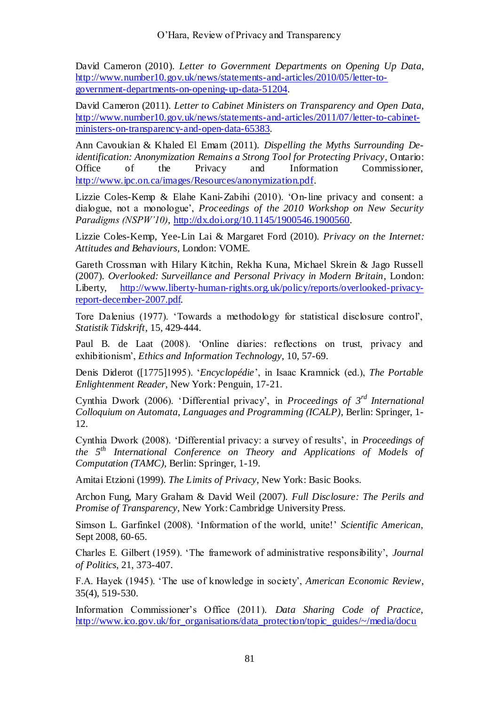David Cameron (2010). *Letter to Government Departments on Opening Up Data*, [http://www.number10.gov.uk/news/statements-and-articles/2010/05/letter-to](http://www.number10.gov.uk/news/statements-and-articles/2010/05/letter-to-government-departments-on-opening-up-data-51204)[government-departments-on-opening-up-data-51204.](http://www.number10.gov.uk/news/statements-and-articles/2010/05/letter-to-government-departments-on-opening-up-data-51204)

David Cameron (2011). *Letter to Cabinet Ministers on Transparency and Open Data*, [http://www.number10.gov.uk/news/statements-and-articles/2011/07/letter-to-cabinet](http://www.number10.gov.uk/news/statements-and-articles/2011/07/letter-to-cabinet-ministers-on-transparency-and-open-data-65383)[ministers-on-transparency-and-open-data-65383.](http://www.number10.gov.uk/news/statements-and-articles/2011/07/letter-to-cabinet-ministers-on-transparency-and-open-data-65383)

Ann Cavoukian & Khaled El Emam (2011). *Dispelling the Myths Surrounding Deidentification: Anonymization Remains a Strong Tool for Protecting Privacy*, Ontario: Office of the Privacy and Information Commissioner, [http://www.ipc.on.ca/images/Resources/anonymization.pdf.](http://www.ipc.on.ca/images/Resources/anonymization.pdf)

Lizzie Coles-Kemp & Elahe Kani-Zabihi (2010). 'On-line privacy and consent: a dialogue, not a monologue', *Proceedings of the 2010 Workshop on New Security Paradigms (NSPW'10)*, [http://dx.doi.org/10.1145/1900546.1900560.](http://dx.doi.org/10.1145/1900546.1900560)

Lizzie Coles-Kemp, Yee-Lin Lai & Margaret Ford (2010). *Privacy on the Internet: Attitudes and Behaviours*, London: VOME.

Gareth Crossman with Hilary Kitchin, Rekha Kuna, Michael Skrein & Jago Russell (2007). *Overlooked: Surveillance and Personal Privacy in Modern Britain*, London: Liberty, [http://www.liberty-human-rights.org.uk/policy/reports/overlooked-privacy](http://www.liberty-human-rights.org.uk/policy/reports/overlooked-privacy-report-december-2007.pdf)[report-december-2007.pdf.](http://www.liberty-human-rights.org.uk/policy/reports/overlooked-privacy-report-december-2007.pdf)

Tore Dalenius (1977). ‗Towards a methodology for statistical disclosure control', *Statistik Tidskrift*, 15, 429-444.

Paul B. de Laat (2008). 'Online diaries: reflections on trust, privacy and exhibitionism', *Ethics and Information Technology*, 10, 57-69.

Denis Diderot ([1775]1995). ‗*Encyclopédie*', in Isaac Kramnick (ed.), *The Portable Enlightenment Reader*, New York: Penguin, 17-21.

Cynthia Dwork (2006). 'Differential privacy', in *Proceedings of 3<sup>rd</sup> International Colloquium on Automata, Languages and Programming (ICALP)*, Berlin: Springer, 1- 12.

Cynthia Dwork (2008). 'Differential privacy: a survey of results', in *Proceedings of the 5th International Conference on Theory and Applications of Models of Computation (TAMC)*, Berlin: Springer, 1-19.

Amitai Etzioni (1999). *The Limits of Privacy*, New York: Basic Books.

Archon Fung, Mary Graham & David Weil (2007). *Full Disclosure: The Perils and Promise of Transparency*, New York: Cambridge University Press.

Simson L. Garfinkel (2008). ‗Information of the world, unite!' *Scientific American*, Sept 2008, 60-65.

Charles E. Gilbert (1959). ‗The framework of administrative responsibility', *Journal of Politics*, 21, 373-407.

F.A. Hayek (1945). ‗The use of knowledge in society', *American Economic Review*, 35(4), 519-530.

Information Commissioner's Office (2011). *Data Sharing Code of Practice*, [http://www.ico.gov.uk/for\\_organisations/data\\_protection/topic\\_guides/~/media/docu](http://www.ico.gov.uk/for_organisations/data_protection/topic_guides/~/media/documents/library/Data_Protection/Detailed_specialist_guides/data_sharing_code_of_practice.ashx)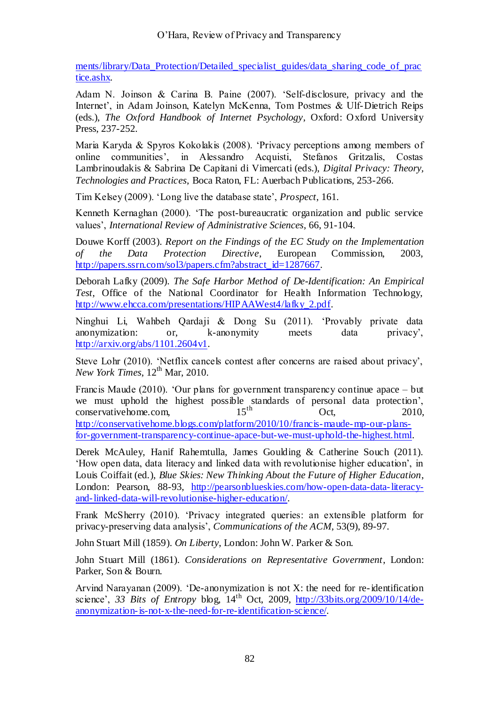ments/library/Data\_Protection/Detailed\_specialist\_guides/data\_sharing\_code\_of\_prac tice.ashx.

Adam N. Joinson & Carina B. Paine (2007). 'Self-disclosure, privacy and the Internet', in Adam Joinson, Katelyn McKenna, Tom Postmes & Ulf-Dietrich Reips (eds.), *The Oxford Handbook of Internet Psychology*, Oxford: Oxford University Press, 237-252.

Maria Karyda & Spyros Kokolakis (2008). ‗Privacy perceptions among members of online communities', in Alessandro Acquisti, Stefanos Gritzalis, Costas Lambrinoudakis & Sabrina De Capitani di Vimercati (eds.), *Digital Privacy: Theory, Technologies and Practices*, Boca Raton, FL: Auerbach Publications, 253-266.

Tim Kelsey (2009). ‗Long live the database state', *Prospect*, 161.

Kenneth Kernaghan (2000). 'The post-bureaucratic organization and public service values', *International Review of Administrative Sciences*, 66, 91-104.

Douwe Korff (2003). *Report on the Findings of the EC Study on the Implementation of the Data Protection Directive*, European Commission, 2003, [http://papers.ssrn.com/sol3/papers.cfm?abstract\\_id=1287667.](http://papers.ssrn.com/sol3/papers.cfm?abstract_id=1287667)

Deborah Lafky (2009). *The Safe Harbor Method of De-Identification: An Empirical Test*, Office of the National Coordinator for Health Information Technology, [http://www.ehcca.com/presentations/HIPAAWest4/lafky\\_2.pdf.](http://www.ehcca.com/presentations/HIPAAWest4/lafky_2.pdf)

Ninghui Li, Wahbeh Qardaji & Dong Su (2011). ‗Provably private data anonymization: or, k-anonymity meets data privacy', [http://arxiv.org/abs/1101.2604v1.](http://arxiv.org/abs/1101.2604v1)

Steve Lohr (2010). 'Netflix cancels contest after concerns are raised about privacy', *New York Times*,  $12<sup>th</sup>$  Mar, 2010.

Francis Maude (2010). 'Our plans for government transparency continue apace  $-$  but we must uphold the highest possible standards of personal data protection', conservative home com and  $15^{th}$  Oct 2010 conservative home.com,  $15^{th}$  Oct, 2010, [http://conservativehome.blogs.com/platform/2010/10/francis-maude-mp-our-plans](http://conservativehome.blogs.com/platform/2010/10/francis-maude-mp-our-plans-for-government-transparency-continue-apace-but-we-must-uphold-the-highest.html)[for-government-transparency-continue-apace-but-we-must-uphold-the-highest.html.](http://conservativehome.blogs.com/platform/2010/10/francis-maude-mp-our-plans-for-government-transparency-continue-apace-but-we-must-uphold-the-highest.html)

Derek McAuley, Hanif Rahemtulla, James Goulding & Catherine Souch (2011). ‗How open data, data literacy and linked data with revolutionise higher education', in Louis Coiffait (ed.), *Blue Skies: New Thinking About the Future of Higher Education*, London: Pearson, 88-93, [http://pearsonblueskies.com/how-open-data-data-literacy](http://pearsonblueskies.com/how-open-data-data-literacy-and-linked-data-will-revolutionise-higher-education/)[and-linked-data-will-revolutionise-higher-education/.](http://pearsonblueskies.com/how-open-data-data-literacy-and-linked-data-will-revolutionise-higher-education/)

Frank McSherry (2010). 'Privacy integrated queries: an extensible platform for privacy-preserving data analysis', *Communications of the ACM*, 53(9), 89-97.

John Stuart Mill (1859). *On Liberty*, London: John W. Parker & Son.

John Stuart Mill (1861). *Considerations on Representative Government*, London: Parker, Son & Bourn.

Arvind Narayanan (2009). 'De-anonymization is not X: the need for re-identification science', *33 Bits of Entropy* blog, 14th Oct, 2009, [http://33bits.org/2009/10/14/de](http://33bits.org/2009/10/14/de-anonymization-is-not-x-the-need-for-re-identification-science/)[anonymization-is-not-x-the-need-for-re-identification-science/.](http://33bits.org/2009/10/14/de-anonymization-is-not-x-the-need-for-re-identification-science/)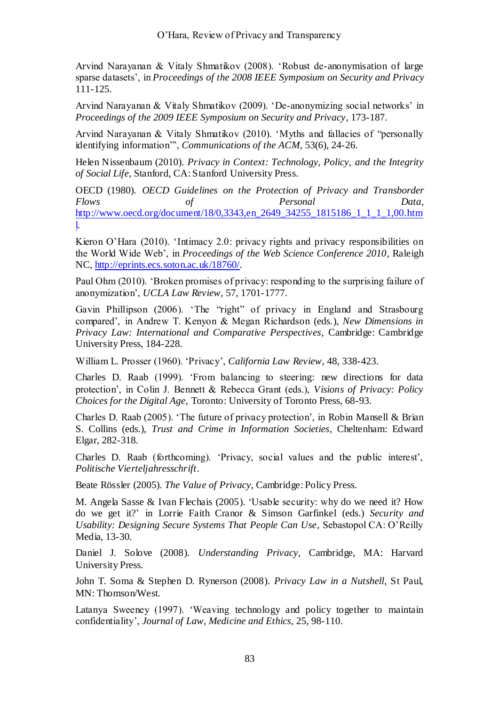Arvind Narayanan & Vitaly Shmatikov (2008). ‗Robust de-anonymisation of large sparse datasets', in *Proceedings of the 2008 IEEE Symposium on Security and Privacy* 111-125.

Arvind Narayanan & Vitaly Shmatikov (2009). ‗De-anonymizing social networks' in *Proceedings of the 2009 IEEE Symposium on Security and Privacy*, 173-187.

Arvind Narayanan & Vitaly Shmatikov (2010). 'Myths and fallacies of "personally identifying information", *Communications of the ACM*, 53(6), 24-26.

Helen Nissenbaum (2010). *Privacy in Context: Technology, Policy, and the Integrity of Social Life*, Stanford, CA: Stanford University Press.

OECD (1980). *OECD Guidelines on the Protection of Privacy and Transborder Flows of Personal Data*, [http://www.oecd.org/document/18/0,3343,en\\_2649\\_34255\\_1815186\\_1\\_1\\_1\\_1,00.htm](http://www.oecd.org/document/18/0,3343,en_2649_34255_1815186_1_1_1_1,00.html) [l.](http://www.oecd.org/document/18/0,3343,en_2649_34255_1815186_1_1_1_1,00.html)

Kieron O'Hara (2010). 'Intimacy 2.0: privacy rights and privacy responsibilities on the World Wide Web', in *Proceedings of the Web Science Conference 2010*, Raleigh NC[, http://eprints.ecs.soton.ac.uk/18760/.](http://eprints.ecs.soton.ac.uk/18760/)

Paul Ohm (2010). 'Broken promises of privacy: responding to the surprising failure of anonymization', *UCLA Law Review*, 57, 1701-1777.

Gavin Phillipson (2006). 'The "right" of privacy in England and Strasbourg compared', in Andrew T. Kenyon & Megan Richardson (eds.), *New Dimensions in Privacy Law: International and Comparative Perspectives*, Cambridge: Cambridge University Press, 184-228.

William L. Prosser (1960). ‗Privacy', *California Law Review*, 48, 338-423.

Charles D. Raab (1999). ‗From balancing to steering: new directions for data protection', in Colin J. Bennett & Rebecca Grant (eds.), *Visions of Privacy: Policy Choices for the Digital Age*, Toronto: University of Toronto Press, 68-93.

Charles D. Raab (2005). 'The future of privacy protection', in Robin Mansell  $\&$  Brian S. Collins (eds.), *Trust and Crime in Information Societies*, Cheltenham: Edward Elgar, 282-318.

Charles D. Raab (forthcoming). ‗Privacy, social values and the public interest', *Politische Vierteljahresschrift*.

Beate Rössler (2005). *The Value of Privacy*, Cambridge: Policy Press.

M. Angela Sasse & Ivan Flechais (2005). ‗Usable security: why do we need it? How do we get it?' in Lorrie Faith Cranor & Simson Garfinkel (eds.) *Security and Usability: Designing Secure Systems That People Can Use*, Sebastopol CA: O'Reilly Media, 13-30.

Daniel J. Solove (2008). *Understanding Privacy*, Cambridge, MA: Harvard University Press.

John T. Soma & Stephen D. Rynerson (2008). *Privacy Law in a Nutshell*, St Paul, MN: Thomson/West.

Latanya Sweeney (1997). 'Weaving technology and policy together to maintain confidentiality', *Journal of Law, Medicine and Ethics*, 25, 98-110.